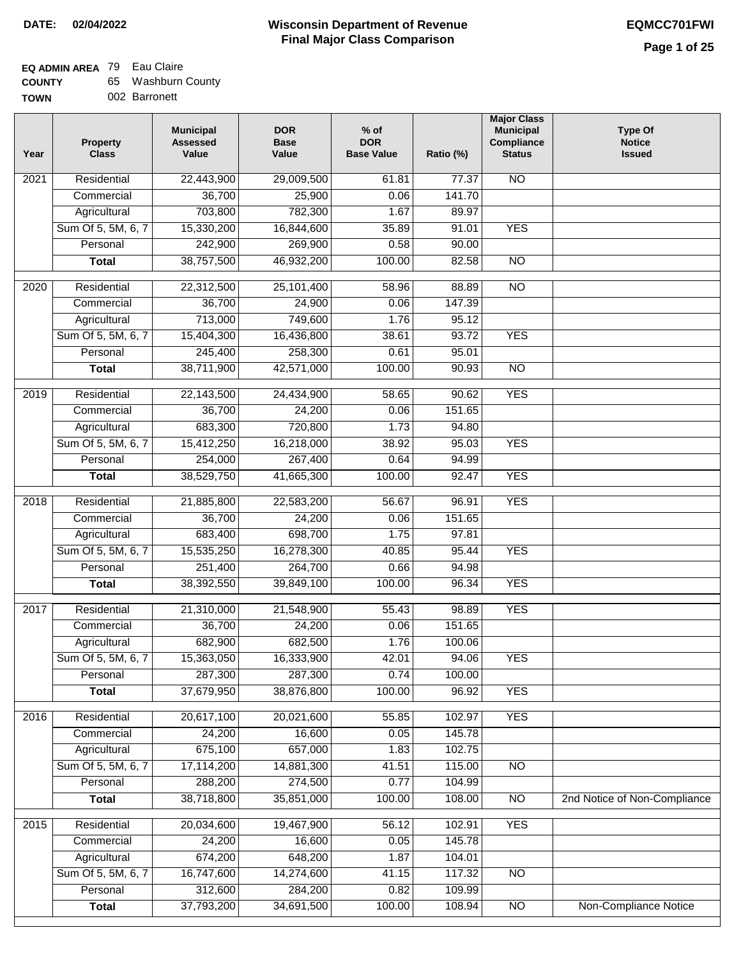## **EQ ADMIN AREA** 79 Eau Claire

| <b>COUNTY</b> |  | 65 Washburn County |  |
|---------------|--|--------------------|--|
|---------------|--|--------------------|--|

**TOWN** 002 Barronett

| Year              | <b>Property</b><br><b>Class</b> | <b>Municipal</b><br><b>Assessed</b><br>Value | <b>DOR</b><br><b>Base</b><br>Value | % of<br><b>DOR</b><br><b>Base Value</b> | Ratio (%) | <b>Major Class</b><br><b>Municipal</b><br>Compliance<br><b>Status</b> | <b>Type Of</b><br><b>Notice</b><br><b>Issued</b> |
|-------------------|---------------------------------|----------------------------------------------|------------------------------------|-----------------------------------------|-----------|-----------------------------------------------------------------------|--------------------------------------------------|
| $\overline{202}1$ | Residential                     | 22,443,900                                   | 29,009,500                         | 61.81                                   | 77.37     | <b>NO</b>                                                             |                                                  |
|                   | Commercial                      | 36,700                                       | 25,900                             | 0.06                                    | 141.70    |                                                                       |                                                  |
|                   | Agricultural                    | 703,800                                      | 782,300                            | 1.67                                    | 89.97     |                                                                       |                                                  |
|                   | Sum Of 5, 5M, 6, 7              | 15,330,200                                   | 16,844,600                         | 35.89                                   | 91.01     | <b>YES</b>                                                            |                                                  |
|                   | Personal                        | 242,900                                      | 269,900                            | 0.58                                    | 90.00     |                                                                       |                                                  |
|                   | <b>Total</b>                    | 38,757,500                                   | 46,932,200                         | 100.00                                  | 82.58     | $\overline{NO}$                                                       |                                                  |
| $\overline{2020}$ | Residential                     | 22,312,500                                   | 25,101,400                         | 58.96                                   | 88.89     | $\overline{NO}$                                                       |                                                  |
|                   | Commercial                      | 36,700                                       | 24,900                             | 0.06                                    | 147.39    |                                                                       |                                                  |
|                   | Agricultural                    | 713,000                                      | 749,600                            | 1.76                                    | 95.12     |                                                                       |                                                  |
|                   | Sum Of 5, 5M, 6, 7              | 15,404,300                                   | 16,436,800                         | 38.61                                   | 93.72     | <b>YES</b>                                                            |                                                  |
|                   | Personal                        | 245,400                                      | 258,300                            | 0.61                                    | 95.01     |                                                                       |                                                  |
|                   | <b>Total</b>                    | 38,711,900                                   | 42,571,000                         | 100.00                                  | 90.93     | $\overline{NO}$                                                       |                                                  |
| 2019              | Residential                     | 22,143,500                                   | 24,434,900                         | 58.65                                   | 90.62     | <b>YES</b>                                                            |                                                  |
|                   | Commercial                      | 36,700                                       | 24,200                             | 0.06                                    | 151.65    |                                                                       |                                                  |
|                   | Agricultural                    | 683,300                                      | 720,800                            | 1.73                                    | 94.80     |                                                                       |                                                  |
|                   | Sum Of 5, 5M, 6, 7              | 15,412,250                                   | 16,218,000                         | 38.92                                   | 95.03     | <b>YES</b>                                                            |                                                  |
|                   | Personal                        | 254,000                                      | 267,400                            | 0.64                                    | 94.99     |                                                                       |                                                  |
|                   | <b>Total</b>                    | 38,529,750                                   | 41,665,300                         | 100.00                                  | 92.47     | <b>YES</b>                                                            |                                                  |
| 2018              | Residential                     | 21,885,800                                   | 22,583,200                         | 56.67                                   | 96.91     | <b>YES</b>                                                            |                                                  |
|                   | Commercial                      | 36,700                                       | 24,200                             | 0.06                                    | 151.65    |                                                                       |                                                  |
|                   | Agricultural                    | 683,400                                      | 698,700                            | 1.75                                    | 97.81     |                                                                       |                                                  |
|                   | Sum Of 5, 5M, 6, 7              | 15,535,250                                   | 16,278,300                         | 40.85                                   | 95.44     | <b>YES</b>                                                            |                                                  |
|                   | Personal                        | 251,400                                      | 264,700                            | 0.66                                    | 94.98     |                                                                       |                                                  |
|                   | <b>Total</b>                    | 38,392,550                                   | 39,849,100                         | 100.00                                  | 96.34     | <b>YES</b>                                                            |                                                  |
| 2017              | Residential                     | 21,310,000                                   | 21,548,900                         | 55.43                                   | 98.89     | <b>YES</b>                                                            |                                                  |
|                   | Commercial                      | 36,700                                       | 24,200                             | 0.06                                    | 151.65    |                                                                       |                                                  |
|                   | Agricultural                    | 682,900                                      | 682,500                            | 1.76                                    | 100.06    |                                                                       |                                                  |
|                   | Sum Of 5, 5M, 6, 7              | 15,363,050                                   | 16,333,900                         | 42.01                                   | 94.06     | <b>YES</b>                                                            |                                                  |
|                   | Personal                        | 287,300                                      | 287,300                            | 0.74                                    | 100.00    |                                                                       |                                                  |
|                   | <b>Total</b>                    | 37,679,950                                   | 38,876,800                         | 100.00                                  | 96.92     | <b>YES</b>                                                            |                                                  |
| 2016              | Residential                     | 20,617,100                                   | 20,021,600                         | 55.85                                   | 102.97    | <b>YES</b>                                                            |                                                  |
|                   | Commercial                      | 24,200                                       | 16,600                             | 0.05                                    | 145.78    |                                                                       |                                                  |
|                   | Agricultural                    | 675,100                                      | 657,000                            | 1.83                                    | 102.75    |                                                                       |                                                  |
|                   | Sum Of 5, 5M, 6, 7              | 17,114,200                                   | 14,881,300                         | 41.51                                   | 115.00    | $\overline{NO}$                                                       |                                                  |
|                   | Personal                        | 288,200                                      | 274,500                            | 0.77                                    | 104.99    |                                                                       |                                                  |
|                   | <b>Total</b>                    | 38,718,800                                   | 35,851,000                         | 100.00                                  | 108.00    | $\overline{NO}$                                                       | 2nd Notice of Non-Compliance                     |
| 2015              | Residential                     | 20,034,600                                   | 19,467,900                         | 56.12                                   | 102.91    | <b>YES</b>                                                            |                                                  |
|                   | Commercial                      | 24,200                                       | 16,600                             | 0.05                                    | 145.78    |                                                                       |                                                  |
|                   | Agricultural                    | 674,200                                      | 648,200                            | 1.87                                    | 104.01    |                                                                       |                                                  |
|                   | Sum Of 5, 5M, 6, 7              | 16,747,600                                   | 14,274,600                         | 41.15                                   | 117.32    | <b>NO</b>                                                             |                                                  |
|                   | Personal                        | 312,600                                      | 284,200                            | 0.82                                    | 109.99    |                                                                       |                                                  |
|                   | <b>Total</b>                    | 37,793,200                                   | 34,691,500                         | 100.00                                  | 108.94    | N <sub>O</sub>                                                        | <b>Non-Compliance Notice</b>                     |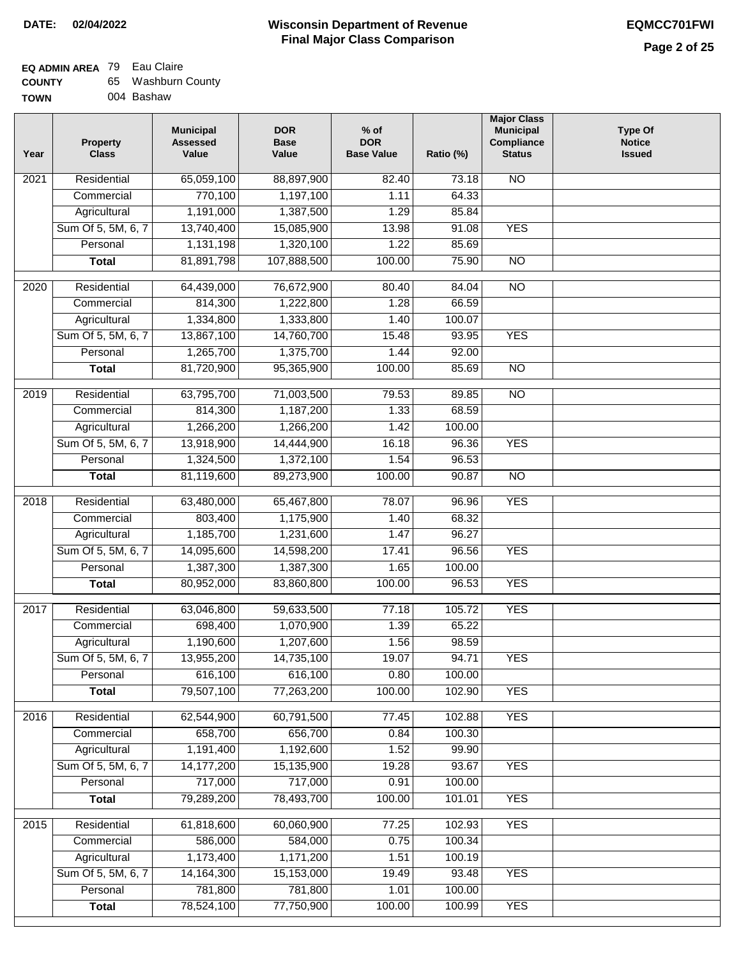| <b>COUNTY</b> | 65. | Washburn County |
|---------------|-----|-----------------|
| TOWN          |     | 004 Bashaw      |

| Year              | <b>Property</b><br><b>Class</b>    | <b>Municipal</b><br><b>Assessed</b><br>Value | <b>DOR</b><br><b>Base</b><br>Value | % of<br><b>DOR</b><br><b>Base Value</b> | Ratio (%)       | <b>Major Class</b><br><b>Municipal</b><br>Compliance<br><b>Status</b> | <b>Type Of</b><br><b>Notice</b><br><b>Issued</b> |
|-------------------|------------------------------------|----------------------------------------------|------------------------------------|-----------------------------------------|-----------------|-----------------------------------------------------------------------|--------------------------------------------------|
| 2021              | Residential                        | 65,059,100                                   | 88,897,900                         | 82.40                                   | 73.18           | N <sub>O</sub>                                                        |                                                  |
|                   | Commercial                         | 770,100                                      | 1,197,100                          | 1.11                                    | 64.33           |                                                                       |                                                  |
|                   | Agricultural                       | 1,191,000                                    | 1,387,500                          | 1.29                                    | 85.84           |                                                                       |                                                  |
|                   | Sum Of 5, 5M, 6, 7                 | 13,740,400                                   | 15,085,900                         | 13.98                                   | 91.08           | <b>YES</b>                                                            |                                                  |
|                   | Personal                           | 1,131,198                                    | 1,320,100                          | 1.22                                    | 85.69           |                                                                       |                                                  |
|                   | <b>Total</b>                       | 81,891,798                                   | 107,888,500                        | 100.00                                  | 75.90           | $\overline{NO}$                                                       |                                                  |
|                   |                                    |                                              |                                    |                                         |                 | $\overline{NO}$                                                       |                                                  |
| $\overline{2020}$ | Residential                        | 64,439,000                                   | 76,672,900                         | 80.40                                   | 84.04           |                                                                       |                                                  |
|                   | Commercial                         | 814,300                                      | 1,222,800                          | 1.28                                    | 66.59           |                                                                       |                                                  |
|                   | Agricultural<br>Sum Of 5, 5M, 6, 7 | 1,334,800                                    | 1,333,800<br>14,760,700            | 1.40<br>15.48                           | 100.07<br>93.95 | <b>YES</b>                                                            |                                                  |
|                   | Personal                           | 13,867,100<br>1,265,700                      | 1,375,700                          | 1.44                                    | 92.00           |                                                                       |                                                  |
|                   | <b>Total</b>                       | 81,720,900                                   | 95,365,900                         | 100.00                                  | 85.69           | <b>NO</b>                                                             |                                                  |
|                   |                                    |                                              |                                    |                                         |                 |                                                                       |                                                  |
| $\frac{1}{2019}$  | Residential                        | 63,795,700                                   | 71,003,500                         | 79.53                                   | 89.85           | $\overline{NO}$                                                       |                                                  |
|                   | Commercial                         | 814,300                                      | 1,187,200                          | 1.33                                    | 68.59           |                                                                       |                                                  |
|                   | Agricultural                       | 1,266,200                                    | 1,266,200                          | 1.42                                    | 100.00          |                                                                       |                                                  |
|                   | Sum Of 5, 5M, 6, 7                 | 13,918,900                                   | 14,444,900                         | 16.18                                   | 96.36           | <b>YES</b>                                                            |                                                  |
|                   | Personal                           | 1,324,500                                    | 1,372,100                          | 1.54                                    | 96.53           |                                                                       |                                                  |
|                   | <b>Total</b>                       | 81,119,600                                   | 89,273,900                         | 100.00                                  | 90.87           | $\overline{NO}$                                                       |                                                  |
| 2018              | Residential                        | 63,480,000                                   | 65,467,800                         | 78.07                                   | 96.96           | <b>YES</b>                                                            |                                                  |
|                   | Commercial                         | 803,400                                      | 1,175,900                          | 1.40                                    | 68.32           |                                                                       |                                                  |
|                   | Agricultural                       | 1,185,700                                    | 1,231,600                          | 1.47                                    | 96.27           |                                                                       |                                                  |
|                   | Sum Of 5, 5M, 6, 7                 | 14,095,600                                   | 14,598,200                         | 17.41                                   | 96.56           | <b>YES</b>                                                            |                                                  |
|                   | Personal                           | 1,387,300                                    | 1,387,300                          | 1.65                                    | 100.00          |                                                                       |                                                  |
|                   | <b>Total</b>                       | 80,952,000                                   | 83,860,800                         | 100.00                                  | 96.53           | <b>YES</b>                                                            |                                                  |
| 2017              | Residential                        | 63,046,800                                   | 59,633,500                         | 77.18                                   | 105.72          | <b>YES</b>                                                            |                                                  |
|                   | Commercial                         | 698,400                                      | 1,070,900                          | 1.39                                    | 65.22           |                                                                       |                                                  |
|                   | Agricultural                       | 1,190,600                                    | 1,207,600                          | 1.56                                    | 98.59           |                                                                       |                                                  |
|                   | Sum Of 5, 5M, 6, 7                 | 13,955,200                                   | 14,735,100                         | 19.07                                   | 94.71           | <b>YES</b>                                                            |                                                  |
|                   | Personal                           | 616,100                                      | 616,100                            | 0.80                                    | 100.00          |                                                                       |                                                  |
|                   | <b>Total</b>                       | 79,507,100                                   | 77,263,200                         | 100.00                                  | 102.90          | <b>YES</b>                                                            |                                                  |
| 2016              | Residential                        | 62,544,900                                   | 60,791,500                         | 77.45                                   | 102.88          | <b>YES</b>                                                            |                                                  |
|                   | Commercial                         | 658,700                                      | 656,700                            | 0.84                                    | 100.30          |                                                                       |                                                  |
|                   | Agricultural                       | 1,191,400                                    | 1,192,600                          | 1.52                                    | 99.90           |                                                                       |                                                  |
|                   | Sum Of 5, 5M, 6, 7                 | 14, 177, 200                                 | 15,135,900                         | 19.28                                   | 93.67           | <b>YES</b>                                                            |                                                  |
|                   | Personal                           | 717,000                                      | 717,000                            | 0.91                                    | 100.00          |                                                                       |                                                  |
|                   | <b>Total</b>                       | 79,289,200                                   | 78,493,700                         | 100.00                                  | 101.01          | <b>YES</b>                                                            |                                                  |
|                   |                                    |                                              |                                    |                                         |                 |                                                                       |                                                  |
| 2015              | Residential                        | 61,818,600                                   | 60,060,900                         | 77.25                                   | 102.93          | <b>YES</b>                                                            |                                                  |
|                   | Commercial                         | 586,000                                      | 584,000                            | 0.75                                    | 100.34          |                                                                       |                                                  |
|                   | Agricultural                       | 1,173,400                                    | 1,171,200                          | 1.51                                    | 100.19          |                                                                       |                                                  |
|                   | Sum Of 5, 5M, 6, 7                 | 14, 164, 300                                 | 15,153,000                         | 19.49                                   | 93.48           | <b>YES</b>                                                            |                                                  |
|                   | Personal                           | 781,800                                      | 781,800                            | 1.01                                    | 100.00          |                                                                       |                                                  |
|                   | <b>Total</b>                       | 78,524,100                                   | 77,750,900                         | 100.00                                  | 100.99          | <b>YES</b>                                                            |                                                  |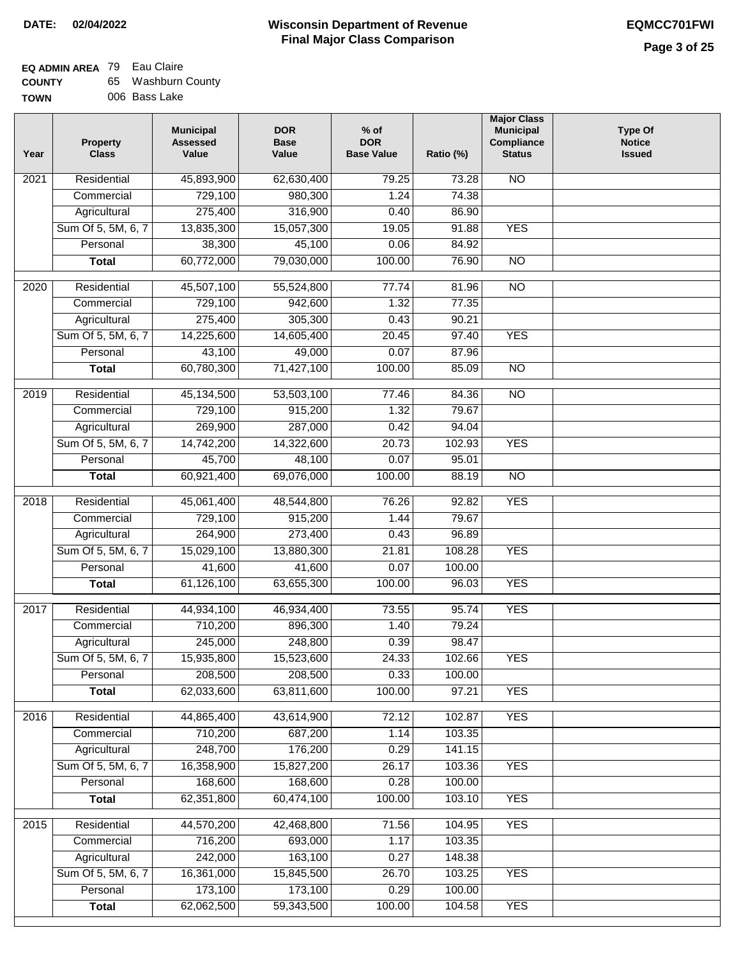### **Wisconsin Department of Revenue DATE: 02/04/2022 EQMCC701FWI Final Major Class Comparison**

## **EQ ADMIN AREA** 79 Eau Claire

**Commercial Agricultural** Sum Of 5, 5M, 6, 7 **Personal Total**

 716,200 242,000 16,361,000 173,100 62,062,500

 693,000 163,100 15,845,500 173,100 59,343,500

 1.17 0.27 26.70 0.29 100.00  103.35 148.38 103.25 100.00 104.58

YES

YES

| <b>COUNTY</b> | 65 Washburn County |
|---------------|--------------------|
| <b>TOWN</b>   | 006 Bass Lake      |

| Year              | <b>Property</b><br><b>Class</b> | <b>Municipal</b><br><b>Assessed</b><br>Value | <b>DOR</b><br><b>Base</b><br>Value | $%$ of<br><b>DOR</b><br><b>Base Value</b> | Ratio (%) | <b>Major Class</b><br><b>Municipal</b><br>Compliance<br><b>Status</b> | <b>Type Of</b><br><b>Notice</b><br><b>Issued</b> |
|-------------------|---------------------------------|----------------------------------------------|------------------------------------|-------------------------------------------|-----------|-----------------------------------------------------------------------|--------------------------------------------------|
| 2021              | Residential                     | 45,893,900                                   | 62,630,400                         | 79.25                                     | 73.28     | $\overline{NO}$                                                       |                                                  |
|                   | Commercial                      | 729,100                                      | 980,300                            | 1.24                                      | 74.38     |                                                                       |                                                  |
|                   | Agricultural                    | 275,400                                      | 316,900                            | 0.40                                      | 86.90     |                                                                       |                                                  |
|                   | Sum Of 5, 5M, 6, 7              | 13,835,300                                   | 15,057,300                         | 19.05                                     | 91.88     | <b>YES</b>                                                            |                                                  |
|                   | Personal                        | 38,300                                       | 45,100                             | 0.06                                      | 84.92     |                                                                       |                                                  |
|                   | <b>Total</b>                    | 60,772,000                                   | 79,030,000                         | 100.00                                    | 76.90     | <b>NO</b>                                                             |                                                  |
| $\overline{20}20$ | Residential                     | 45,507,100                                   | 55,524,800                         | 77.74                                     | 81.96     | $\overline{NO}$                                                       |                                                  |
|                   | Commercial                      | 729,100                                      | 942,600                            | 1.32                                      | 77.35     |                                                                       |                                                  |
|                   | Agricultural                    | 275,400                                      | 305,300                            | 0.43                                      | 90.21     |                                                                       |                                                  |
|                   | Sum Of 5, 5M, 6, 7              | 14,225,600                                   | 14,605,400                         | 20.45                                     | 97.40     | <b>YES</b>                                                            |                                                  |
|                   | Personal                        | 43,100                                       | 49,000                             | 0.07                                      | 87.96     |                                                                       |                                                  |
|                   | <b>Total</b>                    | 60,780,300                                   | 71,427,100                         | 100.00                                    | 85.09     | $\overline{NO}$                                                       |                                                  |
| 2019              | Residential                     | 45,134,500                                   | 53,503,100                         | 77.46                                     | 84.36     | $\overline{NO}$                                                       |                                                  |
|                   | Commercial                      | 729,100                                      | 915,200                            | 1.32                                      | 79.67     |                                                                       |                                                  |
|                   | Agricultural                    | 269,900                                      | 287,000                            | 0.42                                      | 94.04     |                                                                       |                                                  |
|                   | Sum Of 5, 5M, 6, 7              | 14,742,200                                   | 14,322,600                         | 20.73                                     | 102.93    | <b>YES</b>                                                            |                                                  |
|                   | Personal                        | 45,700                                       | 48,100                             | 0.07                                      | 95.01     |                                                                       |                                                  |
|                   | <b>Total</b>                    | 60,921,400                                   | 69,076,000                         | 100.00                                    | 88.19     | $\overline{NO}$                                                       |                                                  |
| 2018              | Residential                     | 45,061,400                                   | 48,544,800                         | 76.26                                     | 92.82     | <b>YES</b>                                                            |                                                  |
|                   | Commercial                      | 729,100                                      | 915,200                            | 1.44                                      | 79.67     |                                                                       |                                                  |
|                   | Agricultural                    | 264,900                                      | 273,400                            | 0.43                                      | 96.89     |                                                                       |                                                  |
|                   | Sum Of 5, 5M, 6, 7              | 15,029,100                                   | 13,880,300                         | 21.81                                     | 108.28    | <b>YES</b>                                                            |                                                  |
|                   | Personal                        | 41,600                                       | 41,600                             | 0.07                                      | 100.00    |                                                                       |                                                  |
|                   | <b>Total</b>                    | 61,126,100                                   | 63,655,300                         | 100.00                                    | 96.03     | <b>YES</b>                                                            |                                                  |
|                   |                                 |                                              |                                    |                                           |           |                                                                       |                                                  |
| 2017              | Residential                     | 44,934,100                                   | 46,934,400                         | 73.55                                     | 95.74     | <b>YES</b>                                                            |                                                  |
|                   | Commercial                      | 710,200                                      | 896,300                            | 1.40                                      | 79.24     |                                                                       |                                                  |
|                   | Agricultural                    | 245,000                                      | 248,800                            | 0.39                                      | 98.47     |                                                                       |                                                  |
|                   | Sum Of 5, 5M, 6, 7              | 15,935,800                                   | 15,523,600                         | 24.33                                     | 102.66    | <b>YES</b>                                                            |                                                  |
|                   | Personal                        | 208,500                                      | 208,500                            | 0.33                                      | 100.00    |                                                                       |                                                  |
|                   | <b>Total</b>                    | 62,033,600                                   | 63,811,600                         | 100.00                                    | 97.21     | <b>YES</b>                                                            |                                                  |
| 2016              | Residential                     | 44,865,400                                   | 43,614,900                         | 72.12                                     | 102.87    | <b>YES</b>                                                            |                                                  |
|                   | Commercial                      | 710,200                                      | 687,200                            | 1.14                                      | 103.35    |                                                                       |                                                  |
|                   | Agricultural                    | 248,700                                      | 176,200                            | 0.29                                      | 141.15    |                                                                       |                                                  |
|                   | Sum Of 5, 5M, 6, 7              | 16,358,900                                   | 15,827,200                         | 26.17                                     | 103.36    | <b>YES</b>                                                            |                                                  |
|                   | Personal                        | 168,600                                      | 168,600                            | 0.28                                      | 100.00    |                                                                       |                                                  |
|                   | <b>Total</b>                    | 62,351,800                                   | 60,474,100                         | 100.00                                    | 103.10    | <b>YES</b>                                                            |                                                  |
| $\overline{2015}$ | Residential                     | 44,570,200                                   | 42,468,800                         | 71.56                                     | 104.95    | <b>YES</b>                                                            |                                                  |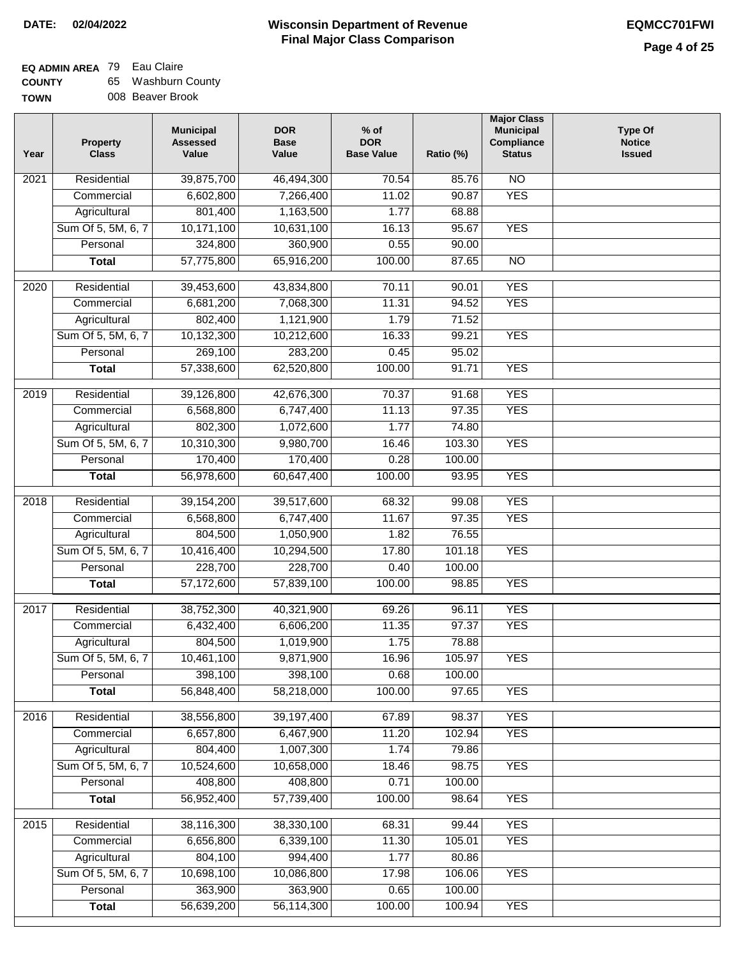| <b>COUNTY</b> | 65. | Washburn County  |
|---------------|-----|------------------|
| <b>TOWN</b>   |     | 008 Beaver Brook |

| N | 008 Beaver Brook |
|---|------------------|
|   |                  |

| Year              | <b>Property</b><br><b>Class</b> | <b>Municipal</b><br><b>Assessed</b><br>Value | <b>DOR</b><br><b>Base</b><br>Value | % of<br><b>DOR</b><br><b>Base Value</b> | Ratio (%) | <b>Major Class</b><br><b>Municipal</b><br>Compliance<br><b>Status</b> | <b>Type Of</b><br><b>Notice</b><br><b>Issued</b> |
|-------------------|---------------------------------|----------------------------------------------|------------------------------------|-----------------------------------------|-----------|-----------------------------------------------------------------------|--------------------------------------------------|
| $\overline{202}1$ | Residential                     | 39,875,700                                   | 46,494,300                         | 70.54                                   | 85.76     | $\overline{NO}$                                                       |                                                  |
|                   | Commercial                      | 6,602,800                                    | 7,266,400                          | 11.02                                   | 90.87     | <b>YES</b>                                                            |                                                  |
|                   | Agricultural                    | 801,400                                      | 1,163,500                          | 1.77                                    | 68.88     |                                                                       |                                                  |
|                   | Sum Of 5, 5M, 6, 7              | 10,171,100                                   | 10,631,100                         | 16.13                                   | 95.67     | <b>YES</b>                                                            |                                                  |
|                   | Personal                        | 324,800                                      | 360,900                            | 0.55                                    | 90.00     |                                                                       |                                                  |
|                   | <b>Total</b>                    | 57,775,800                                   | 65,916,200                         | 100.00                                  | 87.65     | $\overline{NO}$                                                       |                                                  |
| $\overline{2020}$ | Residential                     | 39,453,600                                   | 43,834,800                         | 70.11                                   | 90.01     | <b>YES</b>                                                            |                                                  |
|                   | Commercial                      | 6,681,200                                    | 7,068,300                          | 11.31                                   | 94.52     | <b>YES</b>                                                            |                                                  |
|                   | Agricultural                    | 802,400                                      | 1,121,900                          | 1.79                                    | 71.52     |                                                                       |                                                  |
|                   | Sum Of 5, 5M, 6, 7              | 10,132,300                                   | 10,212,600                         | 16.33                                   | 99.21     | <b>YES</b>                                                            |                                                  |
|                   | Personal                        | 269,100                                      | 283,200                            | 0.45                                    | 95.02     |                                                                       |                                                  |
|                   | <b>Total</b>                    | 57,338,600                                   | 62,520,800                         | 100.00                                  | 91.71     | <b>YES</b>                                                            |                                                  |
|                   |                                 |                                              |                                    |                                         |           |                                                                       |                                                  |
| 2019              | Residential                     | 39,126,800                                   | 42,676,300                         | 70.37                                   | 91.68     | <b>YES</b>                                                            |                                                  |
|                   | Commercial                      | 6,568,800                                    | 6,747,400                          | 11.13                                   | 97.35     | <b>YES</b>                                                            |                                                  |
|                   | Agricultural                    | 802,300                                      | 1,072,600                          | 1.77                                    | 74.80     |                                                                       |                                                  |
|                   | Sum Of 5, 5M, 6, 7              | 10,310,300                                   | 9,980,700                          | 16.46                                   | 103.30    | <b>YES</b>                                                            |                                                  |
|                   | Personal                        | 170,400                                      | 170,400                            | 0.28                                    | 100.00    |                                                                       |                                                  |
|                   | <b>Total</b>                    | 56,978,600                                   | 60,647,400                         | 100.00                                  | 93.95     | <b>YES</b>                                                            |                                                  |
| 2018              | Residential                     | 39, 154, 200                                 | 39,517,600                         | 68.32                                   | 99.08     | <b>YES</b>                                                            |                                                  |
|                   | Commercial                      | 6,568,800                                    | 6,747,400                          | 11.67                                   | 97.35     | <b>YES</b>                                                            |                                                  |
|                   | Agricultural                    | 804,500                                      | 1,050,900                          | 1.82                                    | 76.55     |                                                                       |                                                  |
|                   | Sum Of 5, 5M, 6, 7              | 10,416,400                                   | 10,294,500                         | 17.80                                   | 101.18    | <b>YES</b>                                                            |                                                  |
|                   | Personal                        | 228,700                                      | 228,700                            | 0.40                                    | 100.00    |                                                                       |                                                  |
|                   | <b>Total</b>                    | 57,172,600                                   | 57,839,100                         | 100.00                                  | 98.85     | <b>YES</b>                                                            |                                                  |
| 2017              | Residential                     | 38,752,300                                   | 40,321,900                         | 69.26                                   | 96.11     | <b>YES</b>                                                            |                                                  |
|                   | Commercial                      | 6,432,400                                    | 6,606,200                          | 11.35                                   | 97.37     | <b>YES</b>                                                            |                                                  |
|                   | Agricultural                    | 804,500                                      | 1,019,900                          | 1.75                                    | 78.88     |                                                                       |                                                  |
|                   | Sum Of 5, 5M, 6, 7              | 10,461,100                                   | 9,871,900                          | 16.96                                   | 105.97    | <b>YES</b>                                                            |                                                  |
|                   | Personal                        | 398,100                                      | 398,100                            | 0.68                                    | 100.00    |                                                                       |                                                  |
|                   | <b>Total</b>                    | 56,848,400                                   | 58,218,000                         | 100.00                                  | 97.65     | <b>YES</b>                                                            |                                                  |
|                   |                                 |                                              |                                    |                                         |           |                                                                       |                                                  |
| 2016              | Residential                     | 38,556,800                                   | 39,197,400                         | 67.89                                   | 98.37     | <b>YES</b>                                                            |                                                  |
|                   | Commercial                      | 6,657,800                                    | 6,467,900                          | 11.20                                   | 102.94    | <b>YES</b>                                                            |                                                  |
|                   | Agricultural                    | 804,400                                      | 1,007,300                          | 1.74                                    | 79.86     |                                                                       |                                                  |
|                   | Sum Of 5, 5M, 6, 7              | 10,524,600                                   | 10,658,000                         | 18.46                                   | 98.75     | <b>YES</b>                                                            |                                                  |
|                   | Personal                        | 408,800                                      | 408,800                            | 0.71                                    | 100.00    |                                                                       |                                                  |
|                   | <b>Total</b>                    | 56,952,400                                   | 57,739,400                         | 100.00                                  | 98.64     | <b>YES</b>                                                            |                                                  |
| 2015              | Residential                     | 38,116,300                                   | 38,330,100                         | 68.31                                   | 99.44     | <b>YES</b>                                                            |                                                  |
|                   | Commercial                      | 6,656,800                                    | 6,339,100                          | 11.30                                   | 105.01    | <b>YES</b>                                                            |                                                  |
|                   | Agricultural                    | 804,100                                      | 994,400                            | 1.77                                    | 80.86     |                                                                       |                                                  |
|                   | Sum Of 5, 5M, 6, 7              | 10,698,100                                   | 10,086,800                         | 17.98                                   | 106.06    | <b>YES</b>                                                            |                                                  |
|                   | Personal                        | 363,900                                      | 363,900                            | 0.65                                    | 100.00    |                                                                       |                                                  |
|                   | <b>Total</b>                    | 56,639,200                                   | 56,114,300                         | 100.00                                  | 100.94    | <b>YES</b>                                                            |                                                  |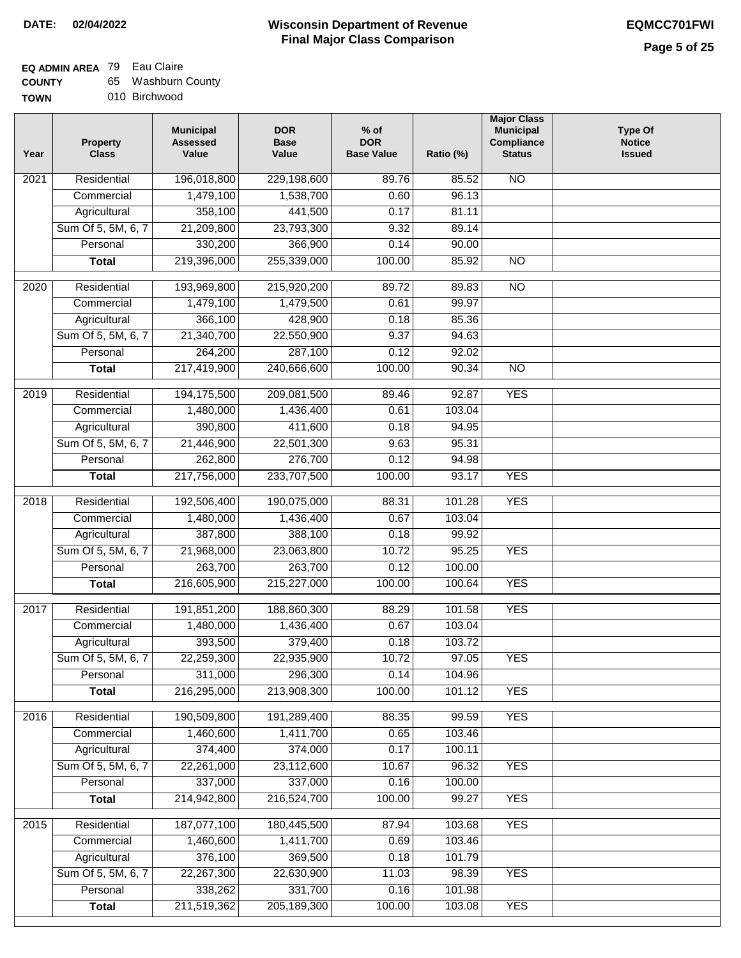**TOWN**

#### **Wisconsin Department of Revenue Final Major Class Comparison DATE: 02/04/2022 EQMCC701FWI**

### **EQ ADMIN AREA** 79 Eau Claire

**COUNTY** 65 Washburn County

010 Birchwood

| Year              | <b>Property</b><br><b>Class</b>    | <b>Municipal</b><br><b>Assessed</b><br>Value | <b>DOR</b><br><b>Base</b><br>Value | $%$ of<br><b>DOR</b><br><b>Base Value</b> | Ratio (%)        | <b>Major Class</b><br><b>Municipal</b><br>Compliance<br><b>Status</b> | <b>Type Of</b><br><b>Notice</b><br><b>Issued</b> |
|-------------------|------------------------------------|----------------------------------------------|------------------------------------|-------------------------------------------|------------------|-----------------------------------------------------------------------|--------------------------------------------------|
| $\overline{202}1$ | Residential                        | 196,018,800                                  | 229,198,600                        | 89.76                                     | 85.52            | <b>NO</b>                                                             |                                                  |
|                   | Commercial                         | 1,479,100                                    | 1,538,700                          | 0.60                                      | 96.13            |                                                                       |                                                  |
|                   | Agricultural                       | 358,100                                      | 441,500                            | 0.17                                      | 81.11            |                                                                       |                                                  |
|                   | Sum Of 5, 5M, 6, 7                 | 21,209,800                                   | 23,793,300                         | 9.32                                      | 89.14            |                                                                       |                                                  |
|                   | Personal                           | 330,200                                      | 366,900                            | 0.14                                      | 90.00            |                                                                       |                                                  |
|                   | <b>Total</b>                       | 219,396,000                                  | 255,339,000                        | 100.00                                    | 85.92            | <b>NO</b>                                                             |                                                  |
| $\overline{2020}$ | Residential                        | 193,969,800                                  | 215,920,200                        | 89.72                                     | 89.83            | $\overline{10}$                                                       |                                                  |
|                   | Commercial                         | 1,479,100                                    | 1,479,500                          | 0.61                                      | 99.97            |                                                                       |                                                  |
|                   | Agricultural                       | 366,100                                      | 428,900                            | 0.18                                      | 85.36            |                                                                       |                                                  |
|                   | Sum Of 5, 5M, 6, 7                 | 21,340,700                                   | 22,550,900                         | 9.37                                      | 94.63            |                                                                       |                                                  |
|                   | Personal                           | 264,200                                      | 287,100                            | 0.12                                      | 92.02            |                                                                       |                                                  |
|                   | <b>Total</b>                       | 217,419,900                                  | 240,666,600                        | 100.00                                    | 90.34            | $\overline{NO}$                                                       |                                                  |
| 2019              | Residential                        | 194,175,500                                  | 209,081,500                        | 89.46                                     | 92.87            | <b>YES</b>                                                            |                                                  |
|                   | Commercial                         | 1,480,000                                    | 1,436,400                          | 0.61                                      | 103.04           |                                                                       |                                                  |
|                   | Agricultural                       | 390,800                                      | 411,600                            | 0.18                                      | 94.95            |                                                                       |                                                  |
|                   | Sum Of 5, 5M, 6, 7                 | 21,446,900                                   | 22,501,300                         | 9.63                                      | 95.31            |                                                                       |                                                  |
|                   | Personal                           | 262,800                                      | 276,700                            | 0.12                                      | 94.98            |                                                                       |                                                  |
|                   | <b>Total</b>                       | 217,756,000                                  | 233,707,500                        | 100.00                                    | 93.17            | <b>YES</b>                                                            |                                                  |
| 2018              | Residential                        | 192,506,400                                  | 190,075,000                        | 88.31                                     | 101.28           | <b>YES</b>                                                            |                                                  |
|                   | Commercial                         | 1,480,000                                    | 1,436,400                          | 0.67                                      | 103.04           |                                                                       |                                                  |
|                   | Agricultural                       | 387,800                                      | 388,100                            | 0.18                                      | 99.92            |                                                                       |                                                  |
|                   | Sum Of 5, 5M, 6, 7                 | 21,968,000                                   | 23,063,800                         | 10.72                                     | 95.25            | <b>YES</b>                                                            |                                                  |
|                   | Personal                           | 263,700                                      | 263,700                            | 0.12                                      | 100.00           |                                                                       |                                                  |
|                   | <b>Total</b>                       | 216,605,900                                  | 215,227,000                        | 100.00                                    | 100.64           | <b>YES</b>                                                            |                                                  |
| 2017              | Residential                        | 191,851,200                                  | 188,860,300                        | 88.29                                     | 101.58           | <b>YES</b>                                                            |                                                  |
|                   | Commercial                         | 1,480,000                                    | 1,436,400                          | 0.67                                      | 103.04           |                                                                       |                                                  |
|                   | Agricultural                       | 393,500                                      | 379,400                            | 0.18                                      | 103.72           |                                                                       |                                                  |
|                   | Sum Of 5, 5M, 6, 7                 | 22,259,300                                   | 22,935,900                         | 10.72                                     | 97.05            | <b>YES</b>                                                            |                                                  |
|                   | Personal                           | 311,000                                      | 296,300                            | 0.14                                      | 104.96           |                                                                       |                                                  |
|                   | <b>Total</b>                       | 216,295,000                                  | 213,908,300                        | 100.00                                    | 101.12           | <b>YES</b>                                                            |                                                  |
| 2016              | Residential                        | 190,509,800                                  | 191,289,400                        |                                           |                  | <b>YES</b>                                                            |                                                  |
|                   | Commercial                         | 1,460,600                                    | 1,411,700                          | 88.35<br>0.65                             | 99.59<br>103.46  |                                                                       |                                                  |
|                   | Agricultural                       | 374,400                                      | 374,000                            | 0.17                                      | 100.11           |                                                                       |                                                  |
|                   | Sum Of 5, 5M, 6, 7                 | 22,261,000                                   | 23,112,600                         | 10.67                                     | 96.32            | <b>YES</b>                                                            |                                                  |
|                   | Personal                           | 337,000                                      | 337,000                            | 0.16                                      | 100.00           |                                                                       |                                                  |
|                   | <b>Total</b>                       | 214,942,800                                  | 216,524,700                        | 100.00                                    | 99.27            | <b>YES</b>                                                            |                                                  |
|                   |                                    |                                              |                                    |                                           |                  |                                                                       |                                                  |
| 2015              | Residential                        | 187,077,100                                  | 180,445,500                        | 87.94                                     | 103.68           | <b>YES</b>                                                            |                                                  |
|                   | Commercial                         | 1,460,600<br>376,100                         | 1,411,700<br>369,500               | 0.69<br>0.18                              | 103.46<br>101.79 |                                                                       |                                                  |
|                   | Agricultural<br>Sum Of 5, 5M, 6, 7 | 22,267,300                                   | 22,630,900                         | 11.03                                     | 98.39            | <b>YES</b>                                                            |                                                  |
|                   | Personal                           | 338,262                                      | 331,700                            | 0.16                                      | 101.98           |                                                                       |                                                  |
|                   | <b>Total</b>                       | 211,519,362                                  | 205, 189, 300                      | 100.00                                    | 103.08           | <b>YES</b>                                                            |                                                  |
|                   |                                    |                                              |                                    |                                           |                  |                                                                       |                                                  |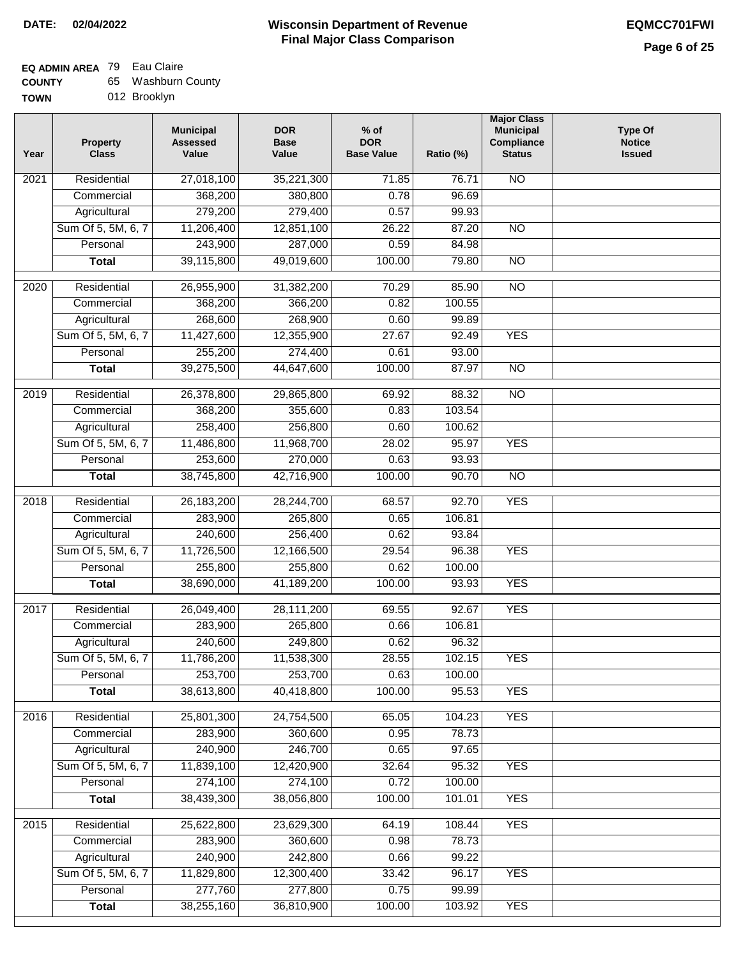### **EQ ADMIN AREA** 79 Eau Claire

| <b>COUNTY</b> | 65 Washburn County |
|---------------|--------------------|
|---------------|--------------------|

**TOWN** 012 Brooklyn

| Residential<br><b>NO</b><br>$\overline{202}1$<br>27,018,100<br>35,221,300<br>71.85<br>76.71<br>368,200<br>380,800<br>0.78<br>96.69<br>Commercial<br>Agricultural<br>279,200<br>279,400<br>0.57<br>99.93<br>Sum Of 5, 5M, 6, 7<br>11,206,400<br>12,851,100<br>26.22<br>87.20<br>$\overline{NO}$<br>243,900<br>0.59<br>287,000<br>84.98<br>Personal<br>39,115,800<br>100.00<br>79.80<br>$\overline{NO}$<br><b>Total</b><br>49,019,600<br>$\overline{NO}$<br>$\overline{2020}$<br>Residential<br>26,955,900<br>31,382,200<br>70.29<br>85.90<br>Commercial<br>368,200<br>366,200<br>0.82<br>100.55<br>268,600<br>268,900<br>0.60<br>99.89<br>Agricultural<br>Sum Of 5, 5M, 6, 7<br>11,427,600<br>12,355,900<br>27.67<br>92.49<br><b>YES</b><br>255,200<br>274,400<br>Personal<br>0.61<br>93.00<br>39,275,500<br>44,647,600<br>100.00<br>$\overline{NO}$<br><b>Total</b><br>87.97<br>Residential<br>26,378,800<br>69.92<br>88.32<br>$\overline{NO}$<br>2019<br>29,865,800<br>368,200<br>0.83<br>103.54<br>Commercial<br>355,600<br>258,400<br>256,800<br>0.60<br>100.62<br>Agricultural<br><b>YES</b><br>Sum Of 5, 5M, 6, 7<br>11,486,800<br>11,968,700<br>28.02<br>95.97<br>253,600<br>270,000<br>0.63<br>93.93<br>Personal<br>38,745,800<br>42,716,900<br>100.00<br>90.70<br><b>Total</b><br>$\overline{NO}$<br>Residential<br>26,183,200<br>92.70<br><b>YES</b><br>2018<br>28,244,700<br>68.57<br>283,900<br>Commercial<br>265,800<br>0.65<br>106.81<br>240,600<br>256,400<br>Agricultural<br>0.62<br>93.84<br>Sum Of 5, 5M, 6, 7<br>11,726,500<br>12,166,500<br>29.54<br>96.38<br><b>YES</b><br>Personal<br>255,800<br>255,800<br>0.62<br>100.00<br>38,690,000<br>41,189,200<br>100.00<br><b>YES</b><br>93.93<br><b>Total</b><br>2017<br>Residential<br>26,049,400<br>28,111,200<br><b>YES</b><br>69.55<br>92.67<br>Commercial<br>283,900<br>265,800<br>0.66<br>106.81<br>240,600<br>249,800<br>0.62<br>96.32<br>Agricultural<br>11,786,200<br>11,538,300<br>28.55<br>102.15<br>Sum Of 5, 5M, 6, 7<br><b>YES</b><br>253,700<br>Personal<br>253,700<br>0.63<br>100.00<br>38,613,800<br>40,418,800<br>100.00<br>95.53<br><b>YES</b><br><b>Total</b> | Year | <b>Property</b><br><b>Class</b> | <b>Municipal</b><br><b>Assessed</b><br>Value | <b>DOR</b><br><b>Base</b><br>Value | $%$ of<br><b>DOR</b><br><b>Base Value</b> | Ratio (%) | <b>Major Class</b><br><b>Municipal</b><br>Compliance<br><b>Status</b> | <b>Type Of</b><br><b>Notice</b><br><b>Issued</b> |
|--------------------------------------------------------------------------------------------------------------------------------------------------------------------------------------------------------------------------------------------------------------------------------------------------------------------------------------------------------------------------------------------------------------------------------------------------------------------------------------------------------------------------------------------------------------------------------------------------------------------------------------------------------------------------------------------------------------------------------------------------------------------------------------------------------------------------------------------------------------------------------------------------------------------------------------------------------------------------------------------------------------------------------------------------------------------------------------------------------------------------------------------------------------------------------------------------------------------------------------------------------------------------------------------------------------------------------------------------------------------------------------------------------------------------------------------------------------------------------------------------------------------------------------------------------------------------------------------------------------------------------------------------------------------------------------------------------------------------------------------------------------------------------------------------------------------------------------------------------------------------------------------------------------------------------------------------------------------------------------------------------------------------------------------------------------------------------------------------------------------------------------------------|------|---------------------------------|----------------------------------------------|------------------------------------|-------------------------------------------|-----------|-----------------------------------------------------------------------|--------------------------------------------------|
|                                                                                                                                                                                                                                                                                                                                                                                                                                                                                                                                                                                                                                                                                                                                                                                                                                                                                                                                                                                                                                                                                                                                                                                                                                                                                                                                                                                                                                                                                                                                                                                                                                                                                                                                                                                                                                                                                                                                                                                                                                                                                                                                                  |      |                                 |                                              |                                    |                                           |           |                                                                       |                                                  |
|                                                                                                                                                                                                                                                                                                                                                                                                                                                                                                                                                                                                                                                                                                                                                                                                                                                                                                                                                                                                                                                                                                                                                                                                                                                                                                                                                                                                                                                                                                                                                                                                                                                                                                                                                                                                                                                                                                                                                                                                                                                                                                                                                  |      |                                 |                                              |                                    |                                           |           |                                                                       |                                                  |
|                                                                                                                                                                                                                                                                                                                                                                                                                                                                                                                                                                                                                                                                                                                                                                                                                                                                                                                                                                                                                                                                                                                                                                                                                                                                                                                                                                                                                                                                                                                                                                                                                                                                                                                                                                                                                                                                                                                                                                                                                                                                                                                                                  |      |                                 |                                              |                                    |                                           |           |                                                                       |                                                  |
|                                                                                                                                                                                                                                                                                                                                                                                                                                                                                                                                                                                                                                                                                                                                                                                                                                                                                                                                                                                                                                                                                                                                                                                                                                                                                                                                                                                                                                                                                                                                                                                                                                                                                                                                                                                                                                                                                                                                                                                                                                                                                                                                                  |      |                                 |                                              |                                    |                                           |           |                                                                       |                                                  |
|                                                                                                                                                                                                                                                                                                                                                                                                                                                                                                                                                                                                                                                                                                                                                                                                                                                                                                                                                                                                                                                                                                                                                                                                                                                                                                                                                                                                                                                                                                                                                                                                                                                                                                                                                                                                                                                                                                                                                                                                                                                                                                                                                  |      |                                 |                                              |                                    |                                           |           |                                                                       |                                                  |
|                                                                                                                                                                                                                                                                                                                                                                                                                                                                                                                                                                                                                                                                                                                                                                                                                                                                                                                                                                                                                                                                                                                                                                                                                                                                                                                                                                                                                                                                                                                                                                                                                                                                                                                                                                                                                                                                                                                                                                                                                                                                                                                                                  |      |                                 |                                              |                                    |                                           |           |                                                                       |                                                  |
|                                                                                                                                                                                                                                                                                                                                                                                                                                                                                                                                                                                                                                                                                                                                                                                                                                                                                                                                                                                                                                                                                                                                                                                                                                                                                                                                                                                                                                                                                                                                                                                                                                                                                                                                                                                                                                                                                                                                                                                                                                                                                                                                                  |      |                                 |                                              |                                    |                                           |           |                                                                       |                                                  |
|                                                                                                                                                                                                                                                                                                                                                                                                                                                                                                                                                                                                                                                                                                                                                                                                                                                                                                                                                                                                                                                                                                                                                                                                                                                                                                                                                                                                                                                                                                                                                                                                                                                                                                                                                                                                                                                                                                                                                                                                                                                                                                                                                  |      |                                 |                                              |                                    |                                           |           |                                                                       |                                                  |
|                                                                                                                                                                                                                                                                                                                                                                                                                                                                                                                                                                                                                                                                                                                                                                                                                                                                                                                                                                                                                                                                                                                                                                                                                                                                                                                                                                                                                                                                                                                                                                                                                                                                                                                                                                                                                                                                                                                                                                                                                                                                                                                                                  |      |                                 |                                              |                                    |                                           |           |                                                                       |                                                  |
|                                                                                                                                                                                                                                                                                                                                                                                                                                                                                                                                                                                                                                                                                                                                                                                                                                                                                                                                                                                                                                                                                                                                                                                                                                                                                                                                                                                                                                                                                                                                                                                                                                                                                                                                                                                                                                                                                                                                                                                                                                                                                                                                                  |      |                                 |                                              |                                    |                                           |           |                                                                       |                                                  |
|                                                                                                                                                                                                                                                                                                                                                                                                                                                                                                                                                                                                                                                                                                                                                                                                                                                                                                                                                                                                                                                                                                                                                                                                                                                                                                                                                                                                                                                                                                                                                                                                                                                                                                                                                                                                                                                                                                                                                                                                                                                                                                                                                  |      |                                 |                                              |                                    |                                           |           |                                                                       |                                                  |
|                                                                                                                                                                                                                                                                                                                                                                                                                                                                                                                                                                                                                                                                                                                                                                                                                                                                                                                                                                                                                                                                                                                                                                                                                                                                                                                                                                                                                                                                                                                                                                                                                                                                                                                                                                                                                                                                                                                                                                                                                                                                                                                                                  |      |                                 |                                              |                                    |                                           |           |                                                                       |                                                  |
|                                                                                                                                                                                                                                                                                                                                                                                                                                                                                                                                                                                                                                                                                                                                                                                                                                                                                                                                                                                                                                                                                                                                                                                                                                                                                                                                                                                                                                                                                                                                                                                                                                                                                                                                                                                                                                                                                                                                                                                                                                                                                                                                                  |      |                                 |                                              |                                    |                                           |           |                                                                       |                                                  |
|                                                                                                                                                                                                                                                                                                                                                                                                                                                                                                                                                                                                                                                                                                                                                                                                                                                                                                                                                                                                                                                                                                                                                                                                                                                                                                                                                                                                                                                                                                                                                                                                                                                                                                                                                                                                                                                                                                                                                                                                                                                                                                                                                  |      |                                 |                                              |                                    |                                           |           |                                                                       |                                                  |
|                                                                                                                                                                                                                                                                                                                                                                                                                                                                                                                                                                                                                                                                                                                                                                                                                                                                                                                                                                                                                                                                                                                                                                                                                                                                                                                                                                                                                                                                                                                                                                                                                                                                                                                                                                                                                                                                                                                                                                                                                                                                                                                                                  |      |                                 |                                              |                                    |                                           |           |                                                                       |                                                  |
|                                                                                                                                                                                                                                                                                                                                                                                                                                                                                                                                                                                                                                                                                                                                                                                                                                                                                                                                                                                                                                                                                                                                                                                                                                                                                                                                                                                                                                                                                                                                                                                                                                                                                                                                                                                                                                                                                                                                                                                                                                                                                                                                                  |      |                                 |                                              |                                    |                                           |           |                                                                       |                                                  |
|                                                                                                                                                                                                                                                                                                                                                                                                                                                                                                                                                                                                                                                                                                                                                                                                                                                                                                                                                                                                                                                                                                                                                                                                                                                                                                                                                                                                                                                                                                                                                                                                                                                                                                                                                                                                                                                                                                                                                                                                                                                                                                                                                  |      |                                 |                                              |                                    |                                           |           |                                                                       |                                                  |
|                                                                                                                                                                                                                                                                                                                                                                                                                                                                                                                                                                                                                                                                                                                                                                                                                                                                                                                                                                                                                                                                                                                                                                                                                                                                                                                                                                                                                                                                                                                                                                                                                                                                                                                                                                                                                                                                                                                                                                                                                                                                                                                                                  |      |                                 |                                              |                                    |                                           |           |                                                                       |                                                  |
|                                                                                                                                                                                                                                                                                                                                                                                                                                                                                                                                                                                                                                                                                                                                                                                                                                                                                                                                                                                                                                                                                                                                                                                                                                                                                                                                                                                                                                                                                                                                                                                                                                                                                                                                                                                                                                                                                                                                                                                                                                                                                                                                                  |      |                                 |                                              |                                    |                                           |           |                                                                       |                                                  |
|                                                                                                                                                                                                                                                                                                                                                                                                                                                                                                                                                                                                                                                                                                                                                                                                                                                                                                                                                                                                                                                                                                                                                                                                                                                                                                                                                                                                                                                                                                                                                                                                                                                                                                                                                                                                                                                                                                                                                                                                                                                                                                                                                  |      |                                 |                                              |                                    |                                           |           |                                                                       |                                                  |
|                                                                                                                                                                                                                                                                                                                                                                                                                                                                                                                                                                                                                                                                                                                                                                                                                                                                                                                                                                                                                                                                                                                                                                                                                                                                                                                                                                                                                                                                                                                                                                                                                                                                                                                                                                                                                                                                                                                                                                                                                                                                                                                                                  |      |                                 |                                              |                                    |                                           |           |                                                                       |                                                  |
|                                                                                                                                                                                                                                                                                                                                                                                                                                                                                                                                                                                                                                                                                                                                                                                                                                                                                                                                                                                                                                                                                                                                                                                                                                                                                                                                                                                                                                                                                                                                                                                                                                                                                                                                                                                                                                                                                                                                                                                                                                                                                                                                                  |      |                                 |                                              |                                    |                                           |           |                                                                       |                                                  |
|                                                                                                                                                                                                                                                                                                                                                                                                                                                                                                                                                                                                                                                                                                                                                                                                                                                                                                                                                                                                                                                                                                                                                                                                                                                                                                                                                                                                                                                                                                                                                                                                                                                                                                                                                                                                                                                                                                                                                                                                                                                                                                                                                  |      |                                 |                                              |                                    |                                           |           |                                                                       |                                                  |
|                                                                                                                                                                                                                                                                                                                                                                                                                                                                                                                                                                                                                                                                                                                                                                                                                                                                                                                                                                                                                                                                                                                                                                                                                                                                                                                                                                                                                                                                                                                                                                                                                                                                                                                                                                                                                                                                                                                                                                                                                                                                                                                                                  |      |                                 |                                              |                                    |                                           |           |                                                                       |                                                  |
|                                                                                                                                                                                                                                                                                                                                                                                                                                                                                                                                                                                                                                                                                                                                                                                                                                                                                                                                                                                                                                                                                                                                                                                                                                                                                                                                                                                                                                                                                                                                                                                                                                                                                                                                                                                                                                                                                                                                                                                                                                                                                                                                                  |      |                                 |                                              |                                    |                                           |           |                                                                       |                                                  |
|                                                                                                                                                                                                                                                                                                                                                                                                                                                                                                                                                                                                                                                                                                                                                                                                                                                                                                                                                                                                                                                                                                                                                                                                                                                                                                                                                                                                                                                                                                                                                                                                                                                                                                                                                                                                                                                                                                                                                                                                                                                                                                                                                  |      |                                 |                                              |                                    |                                           |           |                                                                       |                                                  |
|                                                                                                                                                                                                                                                                                                                                                                                                                                                                                                                                                                                                                                                                                                                                                                                                                                                                                                                                                                                                                                                                                                                                                                                                                                                                                                                                                                                                                                                                                                                                                                                                                                                                                                                                                                                                                                                                                                                                                                                                                                                                                                                                                  |      |                                 |                                              |                                    |                                           |           |                                                                       |                                                  |
|                                                                                                                                                                                                                                                                                                                                                                                                                                                                                                                                                                                                                                                                                                                                                                                                                                                                                                                                                                                                                                                                                                                                                                                                                                                                                                                                                                                                                                                                                                                                                                                                                                                                                                                                                                                                                                                                                                                                                                                                                                                                                                                                                  |      |                                 |                                              |                                    |                                           |           |                                                                       |                                                  |
|                                                                                                                                                                                                                                                                                                                                                                                                                                                                                                                                                                                                                                                                                                                                                                                                                                                                                                                                                                                                                                                                                                                                                                                                                                                                                                                                                                                                                                                                                                                                                                                                                                                                                                                                                                                                                                                                                                                                                                                                                                                                                                                                                  |      |                                 |                                              |                                    |                                           |           |                                                                       |                                                  |
|                                                                                                                                                                                                                                                                                                                                                                                                                                                                                                                                                                                                                                                                                                                                                                                                                                                                                                                                                                                                                                                                                                                                                                                                                                                                                                                                                                                                                                                                                                                                                                                                                                                                                                                                                                                                                                                                                                                                                                                                                                                                                                                                                  |      |                                 |                                              |                                    |                                           |           |                                                                       |                                                  |
| 65.05                                                                                                                                                                                                                                                                                                                                                                                                                                                                                                                                                                                                                                                                                                                                                                                                                                                                                                                                                                                                                                                                                                                                                                                                                                                                                                                                                                                                                                                                                                                                                                                                                                                                                                                                                                                                                                                                                                                                                                                                                                                                                                                                            | 2016 | Residential                     | 25,801,300                                   | 24,754,500                         |                                           | 104.23    | <b>YES</b>                                                            |                                                  |
| 283,900<br>360,600<br>0.95<br>78.73<br>Commercial                                                                                                                                                                                                                                                                                                                                                                                                                                                                                                                                                                                                                                                                                                                                                                                                                                                                                                                                                                                                                                                                                                                                                                                                                                                                                                                                                                                                                                                                                                                                                                                                                                                                                                                                                                                                                                                                                                                                                                                                                                                                                                |      |                                 |                                              |                                    |                                           |           |                                                                       |                                                  |
| 240,900<br>246,700<br>0.65<br>97.65<br>Agricultural                                                                                                                                                                                                                                                                                                                                                                                                                                                                                                                                                                                                                                                                                                                                                                                                                                                                                                                                                                                                                                                                                                                                                                                                                                                                                                                                                                                                                                                                                                                                                                                                                                                                                                                                                                                                                                                                                                                                                                                                                                                                                              |      |                                 |                                              |                                    |                                           |           |                                                                       |                                                  |
| Sum Of 5, 5M, 6, 7<br>11,839,100<br>32.64<br>95.32<br><b>YES</b><br>12,420,900                                                                                                                                                                                                                                                                                                                                                                                                                                                                                                                                                                                                                                                                                                                                                                                                                                                                                                                                                                                                                                                                                                                                                                                                                                                                                                                                                                                                                                                                                                                                                                                                                                                                                                                                                                                                                                                                                                                                                                                                                                                                   |      |                                 |                                              |                                    |                                           |           |                                                                       |                                                  |
| 274,100<br>274,100<br>100.00<br>Personal<br>0.72                                                                                                                                                                                                                                                                                                                                                                                                                                                                                                                                                                                                                                                                                                                                                                                                                                                                                                                                                                                                                                                                                                                                                                                                                                                                                                                                                                                                                                                                                                                                                                                                                                                                                                                                                                                                                                                                                                                                                                                                                                                                                                 |      |                                 |                                              |                                    |                                           |           |                                                                       |                                                  |
| 38,439,300<br>38,056,800<br>100.00<br>101.01<br><b>YES</b><br><b>Total</b>                                                                                                                                                                                                                                                                                                                                                                                                                                                                                                                                                                                                                                                                                                                                                                                                                                                                                                                                                                                                                                                                                                                                                                                                                                                                                                                                                                                                                                                                                                                                                                                                                                                                                                                                                                                                                                                                                                                                                                                                                                                                       |      |                                 |                                              |                                    |                                           |           |                                                                       |                                                  |
| Residential<br><b>YES</b><br>25,622,800<br>23,629,300<br>64.19<br>108.44<br>2015                                                                                                                                                                                                                                                                                                                                                                                                                                                                                                                                                                                                                                                                                                                                                                                                                                                                                                                                                                                                                                                                                                                                                                                                                                                                                                                                                                                                                                                                                                                                                                                                                                                                                                                                                                                                                                                                                                                                                                                                                                                                 |      |                                 |                                              |                                    |                                           |           |                                                                       |                                                  |
| 283,900<br>360,600<br>0.98<br>78.73<br>Commercial                                                                                                                                                                                                                                                                                                                                                                                                                                                                                                                                                                                                                                                                                                                                                                                                                                                                                                                                                                                                                                                                                                                                                                                                                                                                                                                                                                                                                                                                                                                                                                                                                                                                                                                                                                                                                                                                                                                                                                                                                                                                                                |      |                                 |                                              |                                    |                                           |           |                                                                       |                                                  |
|                                                                                                                                                                                                                                                                                                                                                                                                                                                                                                                                                                                                                                                                                                                                                                                                                                                                                                                                                                                                                                                                                                                                                                                                                                                                                                                                                                                                                                                                                                                                                                                                                                                                                                                                                                                                                                                                                                                                                                                                                                                                                                                                                  |      | Agricultural                    | 240,900                                      | 242,800                            | 0.66                                      | 99.22     |                                                                       |                                                  |
|                                                                                                                                                                                                                                                                                                                                                                                                                                                                                                                                                                                                                                                                                                                                                                                                                                                                                                                                                                                                                                                                                                                                                                                                                                                                                                                                                                                                                                                                                                                                                                                                                                                                                                                                                                                                                                                                                                                                                                                                                                                                                                                                                  |      | Sum Of 5, 5M, 6, 7              | 11,829,800                                   | 12,300,400                         | 33.42                                     | 96.17     | <b>YES</b>                                                            |                                                  |
|                                                                                                                                                                                                                                                                                                                                                                                                                                                                                                                                                                                                                                                                                                                                                                                                                                                                                                                                                                                                                                                                                                                                                                                                                                                                                                                                                                                                                                                                                                                                                                                                                                                                                                                                                                                                                                                                                                                                                                                                                                                                                                                                                  |      | Personal                        | 277,760                                      | 277,800                            | 0.75                                      | 99.99     |                                                                       |                                                  |
|                                                                                                                                                                                                                                                                                                                                                                                                                                                                                                                                                                                                                                                                                                                                                                                                                                                                                                                                                                                                                                                                                                                                                                                                                                                                                                                                                                                                                                                                                                                                                                                                                                                                                                                                                                                                                                                                                                                                                                                                                                                                                                                                                  |      |                                 |                                              | 36,810,900                         | 100.00                                    | 103.92    | <b>YES</b>                                                            |                                                  |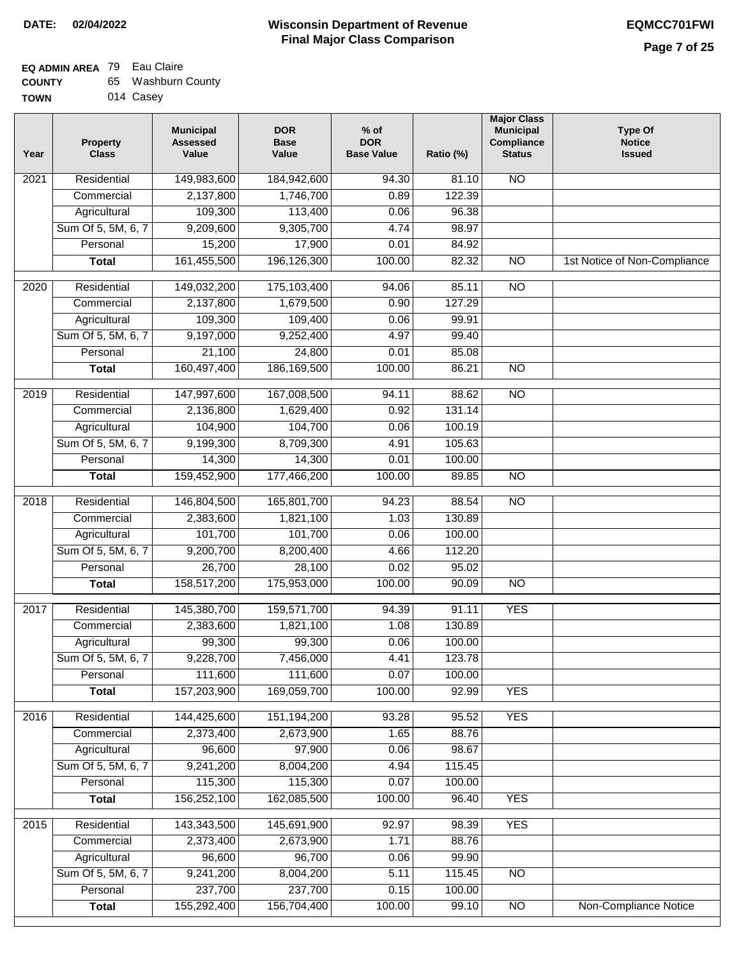## **EQ ADMIN AREA** 79 Eau Claire

| <b>COUNTY</b> | Washburn County |  |
|---------------|-----------------|--|
|---------------|-----------------|--|

**TOWN** 014 Casey

| Year              | <b>Property</b><br><b>Class</b> | <b>Municipal</b><br><b>Assessed</b><br>Value | <b>DOR</b><br><b>Base</b><br>Value | $%$ of<br><b>DOR</b><br><b>Base Value</b> | Ratio (%) | <b>Major Class</b><br><b>Municipal</b><br>Compliance<br><b>Status</b> | <b>Type Of</b><br><b>Notice</b><br><b>Issued</b> |
|-------------------|---------------------------------|----------------------------------------------|------------------------------------|-------------------------------------------|-----------|-----------------------------------------------------------------------|--------------------------------------------------|
| $\overline{202}1$ | Residential                     | 149,983,600                                  | 184,942,600                        | 94.30                                     | 81.10     | <b>NO</b>                                                             |                                                  |
|                   | Commercial                      | 2,137,800                                    | 1,746,700                          | 0.89                                      | 122.39    |                                                                       |                                                  |
|                   | Agricultural                    | 109,300                                      | 113,400                            | 0.06                                      | 96.38     |                                                                       |                                                  |
|                   | Sum Of 5, 5M, 6, 7              | 9,209,600                                    | 9,305,700                          | 4.74                                      | 98.97     |                                                                       |                                                  |
|                   | Personal                        | 15,200                                       | 17,900                             | 0.01                                      | 84.92     |                                                                       |                                                  |
|                   | <b>Total</b>                    | 161,455,500                                  | 196,126,300                        | 100.00                                    | 82.32     | $\overline{NO}$                                                       | 1st Notice of Non-Compliance                     |
| $\overline{2020}$ | Residential                     | 149,032,200                                  | 175,103,400                        | 94.06                                     | 85.11     | $\overline{10}$                                                       |                                                  |
|                   | Commercial                      | 2,137,800                                    | 1,679,500                          | 0.90                                      | 127.29    |                                                                       |                                                  |
|                   | Agricultural                    | 109,300                                      | 109,400                            | 0.06                                      | 99.91     |                                                                       |                                                  |
|                   | Sum Of 5, 5M, 6, 7              | 9,197,000                                    | 9,252,400                          | 4.97                                      | 99.40     |                                                                       |                                                  |
|                   | Personal                        | 21,100                                       | 24,800                             | 0.01                                      | 85.08     |                                                                       |                                                  |
|                   | <b>Total</b>                    | 160,497,400                                  | 186,169,500                        | 100.00                                    | 86.21     | $\overline{NO}$                                                       |                                                  |
| 2019              | Residential                     | 147,997,600                                  | 167,008,500                        | 94.11                                     | 88.62     | $\overline{10}$                                                       |                                                  |
|                   | Commercial                      | 2,136,800                                    | 1,629,400                          | 0.92                                      | 131.14    |                                                                       |                                                  |
|                   | Agricultural                    | 104,900                                      | 104,700                            | 0.06                                      | 100.19    |                                                                       |                                                  |
|                   | Sum Of 5, 5M, 6, 7              | 9,199,300                                    | 8,709,300                          | 4.91                                      | 105.63    |                                                                       |                                                  |
|                   | Personal                        | 14,300                                       | 14,300                             | 0.01                                      | 100.00    |                                                                       |                                                  |
|                   | <b>Total</b>                    | 159,452,900                                  | 177,466,200                        | 100.00                                    | 89.85     | $\overline{NO}$                                                       |                                                  |
| 2018              | Residential                     | 146,804,500                                  | 165,801,700                        | 94.23                                     | 88.54     | $\overline{10}$                                                       |                                                  |
|                   | Commercial                      | 2,383,600                                    | 1,821,100                          | 1.03                                      | 130.89    |                                                                       |                                                  |
|                   | Agricultural                    | 101,700                                      | 101,700                            | 0.06                                      | 100.00    |                                                                       |                                                  |
|                   | Sum Of 5, 5M, 6, 7              | 9,200,700                                    | 8,200,400                          | 4.66                                      | 112.20    |                                                                       |                                                  |
|                   | Personal                        | 26,700                                       | 28,100                             | 0.02                                      | 95.02     |                                                                       |                                                  |
|                   | <b>Total</b>                    | 158,517,200                                  | 175,953,000                        | 100.00                                    | 90.09     | <b>NO</b>                                                             |                                                  |
| 2017              | Residential                     | 145,380,700                                  | 159,571,700                        | 94.39                                     | 91.11     | <b>YES</b>                                                            |                                                  |
|                   | Commercial                      | 2,383,600                                    | 1,821,100                          | 1.08                                      | 130.89    |                                                                       |                                                  |
|                   | Agricultural                    | 99,300                                       | 99,300                             | 0.06                                      | 100.00    |                                                                       |                                                  |
|                   | Sum Of 5, 5M, 6, 7              | 9,228,700                                    | 7,456,000                          | 4.41                                      | 123.78    |                                                                       |                                                  |
|                   | Personal                        | 111,600                                      | 111,600                            | 0.07                                      | 100.00    |                                                                       |                                                  |
|                   | <b>Total</b>                    | 157,203,900                                  | 169,059,700                        | 100.00                                    | 92.99     | <b>YES</b>                                                            |                                                  |
| 2016              | Residential                     | 144,425,600                                  | 151,194,200                        | 93.28                                     | 95.52     | <b>YES</b>                                                            |                                                  |
|                   | Commercial                      | 2,373,400                                    | 2,673,900                          | 1.65                                      | 88.76     |                                                                       |                                                  |
|                   | Agricultural                    | 96,600                                       | 97,900                             | 0.06                                      | 98.67     |                                                                       |                                                  |
|                   | Sum Of 5, 5M, 6, 7              | 9,241,200                                    | 8,004,200                          | 4.94                                      | 115.45    |                                                                       |                                                  |
|                   | Personal                        | 115,300                                      | 115,300                            | 0.07                                      | 100.00    |                                                                       |                                                  |
|                   | <b>Total</b>                    | 156,252,100                                  | 162,085,500                        | 100.00                                    | 96.40     | <b>YES</b>                                                            |                                                  |
| 2015              | Residential                     | 143,343,500                                  | 145,691,900                        | 92.97                                     | 98.39     | <b>YES</b>                                                            |                                                  |
|                   | Commercial                      | 2,373,400                                    | 2,673,900                          | 1.71                                      | 88.76     |                                                                       |                                                  |
|                   | Agricultural                    | 96,600                                       | 96,700                             | 0.06                                      | 99.90     |                                                                       |                                                  |
|                   | Sum Of 5, 5M, 6, 7              | 9,241,200                                    | 8,004,200                          | 5.11                                      | 115.45    | <b>NO</b>                                                             |                                                  |
|                   | Personal                        | 237,700                                      | 237,700                            | 0.15                                      | 100.00    |                                                                       |                                                  |
|                   | <b>Total</b>                    | 155,292,400                                  | 156,704,400                        | 100.00                                    | 99.10     | NO                                                                    | <b>Non-Compliance Notice</b>                     |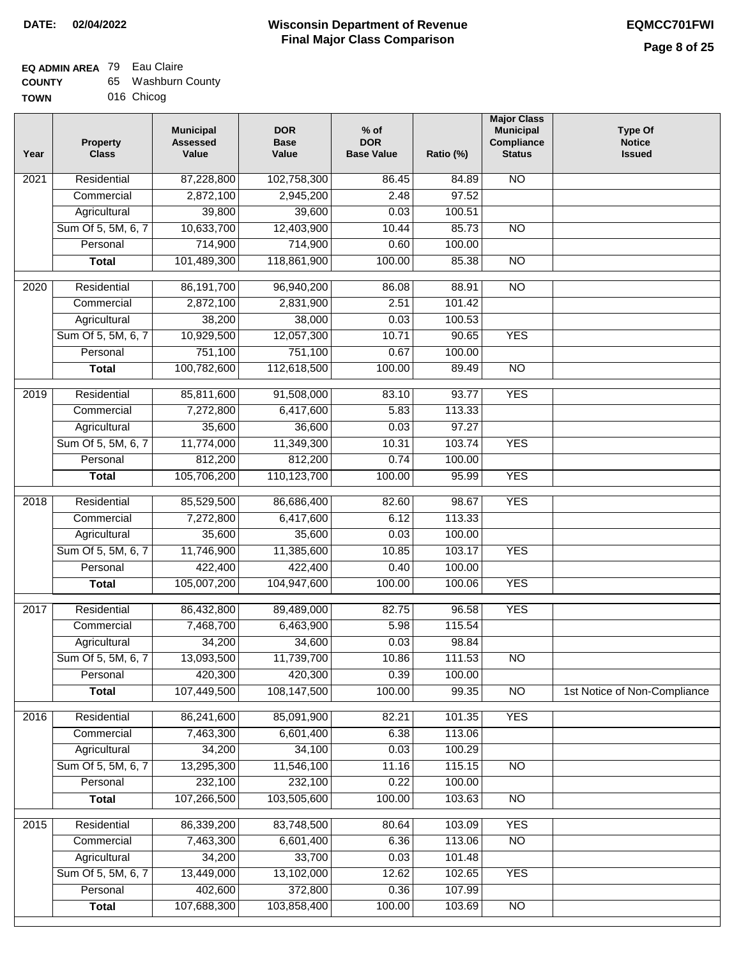#### **Wisconsin Department of Revenue Final Major Class Comparison DATE: 02/04/2022 EQMCC701FWI**

#### **EQ ADMIN AREA** 79 Eau Claire

| <b>COUNTY</b> | 65 Washburn County |
|---------------|--------------------|
| TOWN          | 016 Chicog         |

| Year | <b>Property</b><br><b>Class</b> | <b>Municipal</b><br><b>Assessed</b><br>Value | <b>DOR</b><br><b>Base</b><br>Value | $%$ of<br><b>DOR</b><br><b>Base Value</b> | Ratio (%) | <b>Major Class</b><br><b>Municipal</b><br>Compliance<br><b>Status</b> | Type Of<br><b>Notice</b><br><b>Issued</b> |
|------|---------------------------------|----------------------------------------------|------------------------------------|-------------------------------------------|-----------|-----------------------------------------------------------------------|-------------------------------------------|
| 2021 | Residential                     | 87,228,800                                   | 102,758,300                        | 86.45                                     | 84.89     | <b>NO</b>                                                             |                                           |
|      | Commercial                      | 2,872,100                                    | 2,945,200                          | 2.48                                      | 97.52     |                                                                       |                                           |
|      | Agricultural                    | 39,800                                       | 39,600                             | 0.03                                      | 100.51    |                                                                       |                                           |
|      | Sum Of 5, 5M, 6, 7              | 10,633,700                                   | 12,403,900                         | 10.44                                     | 85.73     | $\overline{NO}$                                                       |                                           |
|      | Personal                        | 714,900                                      | 714,900                            | 0.60                                      | 100.00    |                                                                       |                                           |
|      | <b>Total</b>                    | 101,489,300                                  | 118,861,900                        | 100.00                                    | 85.38     | $\overline{NO}$                                                       |                                           |
| 2020 | Residential                     | 86,191,700                                   | 96,940,200                         | 86.08                                     | 88.91     | $\overline{NO}$                                                       |                                           |
|      | Commercial                      | 2,872,100                                    | 2,831,900                          | 2.51                                      | 101.42    |                                                                       |                                           |
|      | Agricultural                    | 38,200                                       | 38,000                             | 0.03                                      | 100.53    |                                                                       |                                           |
|      | Sum Of 5, 5M, 6, 7              | 10,929,500                                   | 12,057,300                         | 10.71                                     | 90.65     | <b>YES</b>                                                            |                                           |
|      | Personal                        | 751,100                                      | 751,100                            | 0.67                                      | 100.00    |                                                                       |                                           |
|      | <b>Total</b>                    | 100,782,600                                  | 112,618,500                        | 100.00                                    | 89.49     | $\overline{NO}$                                                       |                                           |
| 2019 | Residential                     | 85,811,600                                   | 91,508,000                         | 83.10                                     | 93.77     | <b>YES</b>                                                            |                                           |
|      | Commercial                      | 7,272,800                                    | 6,417,600                          | 5.83                                      | 113.33    |                                                                       |                                           |
|      | Agricultural                    | 35,600                                       | 36,600                             | 0.03                                      | 97.27     |                                                                       |                                           |
|      | Sum Of 5, 5M, 6, 7              | 11,774,000                                   | 11,349,300                         | 10.31                                     | 103.74    | <b>YES</b>                                                            |                                           |
|      | Personal                        | 812,200                                      | 812,200                            | 0.74                                      | 100.00    |                                                                       |                                           |
|      | <b>Total</b>                    | 105,706,200                                  | 110,123,700                        | 100.00                                    | 95.99     | <b>YES</b>                                                            |                                           |
| 2018 | Residential                     | 85,529,500                                   | 86,686,400                         | 82.60                                     | 98.67     | <b>YES</b>                                                            |                                           |
|      | Commercial                      | 7,272,800                                    | 6,417,600                          | 6.12                                      | 113.33    |                                                                       |                                           |
|      | Agricultural                    | 35,600                                       | 35,600                             | 0.03                                      | 100.00    |                                                                       |                                           |
|      | Sum Of 5, 5M, 6, 7              | 11,746,900                                   | 11,385,600                         | 10.85                                     | 103.17    | <b>YES</b>                                                            |                                           |
|      | Personal                        | 422,400                                      | 422,400                            | 0.40                                      | 100.00    |                                                                       |                                           |
|      | <b>Total</b>                    | 105,007,200                                  | 104,947,600                        | 100.00                                    | 100.06    | <b>YES</b>                                                            |                                           |
| 2017 | Residential                     | 86,432,800                                   | 89,489,000                         | 82.75                                     | 96.58     | <b>YES</b>                                                            |                                           |
|      | Commercial                      | 7,468,700                                    | 6,463,900                          | 5.98                                      | 115.54    |                                                                       |                                           |
|      | Agricultural                    | 34,200                                       | 34,600                             | 0.03                                      | 98.84     |                                                                       |                                           |
|      | Sum Of 5, 5M, 6, 7              | 13,093,500                                   | 11,739,700                         | 10.86                                     | 111.53    | <b>NO</b>                                                             |                                           |
|      | Personal                        | 420,300                                      | 420,300                            | 0.39                                      | 100.00    |                                                                       |                                           |
|      | <b>Total</b>                    | 107,449,500                                  | 108,147,500                        | 100.00                                    | 99.35     | $\overline{NO}$                                                       | 1st Notice of Non-Compliance              |
| 2016 | Residential                     | 86,241,600                                   | 85,091,900                         | 82.21                                     | 101.35    | <b>YES</b>                                                            |                                           |
|      | Commercial                      | 7,463,300                                    | 6,601,400                          | 6.38                                      | 113.06    |                                                                       |                                           |
|      | Agricultural                    | 34,200                                       | 34,100                             | 0.03                                      | 100.29    |                                                                       |                                           |
|      | Sum Of 5, 5M, 6, 7              | 13,295,300                                   | 11,546,100                         | 11.16                                     | 115.15    | N <sub>O</sub>                                                        |                                           |
|      | Personal                        | 232,100                                      | 232,100                            | 0.22                                      | 100.00    |                                                                       |                                           |
|      | <b>Total</b>                    | 107,266,500                                  | 103,505,600                        | 100.00                                    | 103.63    | $\overline{NO}$                                                       |                                           |
| 2015 | Residential                     | 86,339,200                                   | 83,748,500                         | 80.64                                     | 103.09    | <b>YES</b>                                                            |                                           |
|      | Commercial                      | 7,463,300                                    | 6,601,400                          | 6.36                                      | 113.06    | $\overline{NO}$                                                       |                                           |
|      | Agricultural                    | 34,200                                       | 33,700                             | 0.03                                      | 101.48    |                                                                       |                                           |
|      | Sum Of 5, 5M, 6, 7              | 13,449,000                                   | 13,102,000                         | 12.62                                     | 102.65    | <b>YES</b>                                                            |                                           |
|      | Personal                        | 402,600                                      | 372,800                            | 0.36                                      | 107.99    |                                                                       |                                           |
|      | <b>Total</b>                    | 107,688,300                                  | 103,858,400                        | 100.00                                    | 103.69    | $\overline{NO}$                                                       |                                           |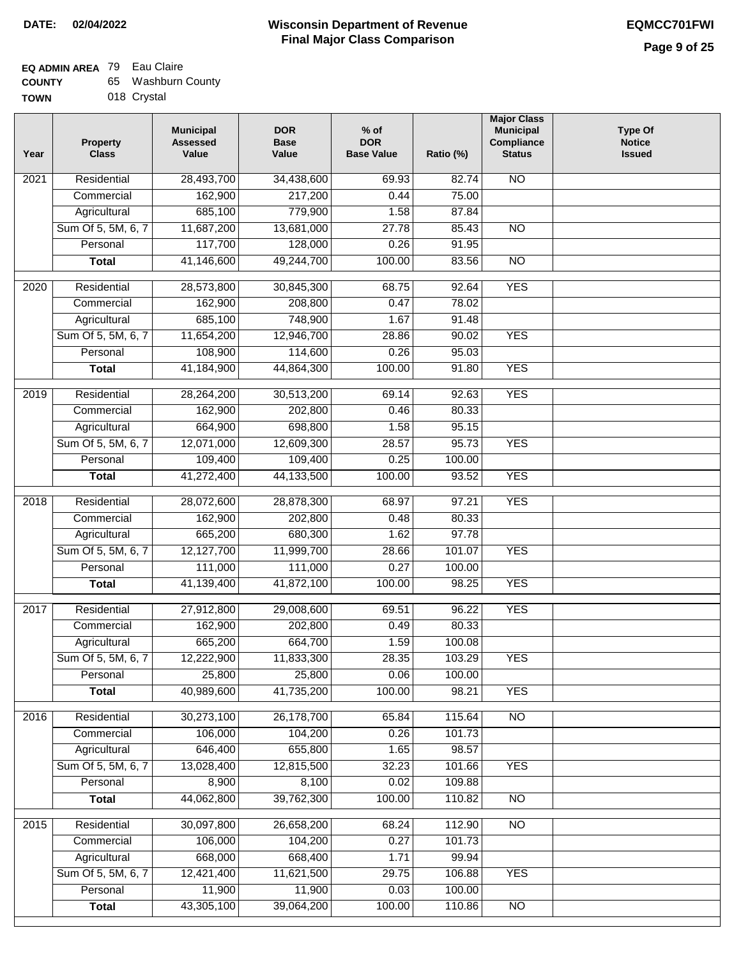| <b>COUNTY</b> | 65 Washburn County |
|---------------|--------------------|
| <b>TOWN</b>   | 018 Crystal        |

|  | 018 Crystal |
|--|-------------|
|  |             |

| Year | <b>Property</b><br><b>Class</b> | <b>Municipal</b><br><b>Assessed</b><br>Value | <b>DOR</b><br><b>Base</b><br>Value | $%$ of<br><b>DOR</b><br><b>Base Value</b> | Ratio (%) | <b>Major Class</b><br><b>Municipal</b><br>Compliance<br><b>Status</b> | <b>Type Of</b><br><b>Notice</b><br><b>Issued</b> |
|------|---------------------------------|----------------------------------------------|------------------------------------|-------------------------------------------|-----------|-----------------------------------------------------------------------|--------------------------------------------------|
| 2021 | Residential                     | 28,493,700                                   | 34,438,600                         | 69.93                                     | 82.74     | N <sub>O</sub>                                                        |                                                  |
|      | Commercial                      | 162,900                                      | 217,200                            | 0.44                                      | 75.00     |                                                                       |                                                  |
|      | Agricultural                    | 685,100                                      | 779,900                            | 1.58                                      | 87.84     |                                                                       |                                                  |
|      | Sum Of 5, 5M, 6, 7              | 11,687,200                                   | 13,681,000                         | 27.78                                     | 85.43     | $\overline{NO}$                                                       |                                                  |
|      | Personal                        | 117,700                                      | 128,000                            | 0.26                                      | 91.95     |                                                                       |                                                  |
|      | <b>Total</b>                    | 41,146,600                                   | 49,244,700                         | 100.00                                    | 83.56     | $\overline{NO}$                                                       |                                                  |
| 2020 | Residential                     | 28,573,800                                   | 30,845,300                         | 68.75                                     | 92.64     | <b>YES</b>                                                            |                                                  |
|      | Commercial                      | 162,900                                      | 208,800                            | 0.47                                      | 78.02     |                                                                       |                                                  |
|      | Agricultural                    | 685,100                                      | 748,900                            | 1.67                                      | 91.48     |                                                                       |                                                  |
|      | Sum Of 5, 5M, 6, 7              | 11,654,200                                   | 12,946,700                         | 28.86                                     | 90.02     | <b>YES</b>                                                            |                                                  |
|      | Personal                        | 108,900                                      | 114,600                            | 0.26                                      | 95.03     |                                                                       |                                                  |
|      | <b>Total</b>                    | 41,184,900                                   | 44,864,300                         | 100.00                                    | 91.80     | <b>YES</b>                                                            |                                                  |
| 2019 | Residential                     | 28,264,200                                   | 30,513,200                         | 69.14                                     | 92.63     | <b>YES</b>                                                            |                                                  |
|      | Commercial                      | 162,900                                      | 202,800                            | 0.46                                      | 80.33     |                                                                       |                                                  |
|      | Agricultural                    | 664,900                                      | 698,800                            | 1.58                                      | 95.15     |                                                                       |                                                  |
|      | Sum Of 5, 5M, 6, 7              | 12,071,000                                   | 12,609,300                         | 28.57                                     | 95.73     | <b>YES</b>                                                            |                                                  |
|      | Personal                        | 109,400                                      | 109,400                            | 0.25                                      | 100.00    |                                                                       |                                                  |
|      | <b>Total</b>                    | 41,272,400                                   | 44,133,500                         | 100.00                                    | 93.52     | <b>YES</b>                                                            |                                                  |
| 2018 | Residential                     | 28,072,600                                   | 28,878,300                         | 68.97                                     | 97.21     | <b>YES</b>                                                            |                                                  |
|      | Commercial                      | 162,900                                      | 202,800                            | 0.48                                      | 80.33     |                                                                       |                                                  |
|      | Agricultural                    | 665,200                                      | 680,300                            | 1.62                                      | 97.78     |                                                                       |                                                  |
|      | Sum Of 5, 5M, 6, 7              | 12,127,700                                   | 11,999,700                         | 28.66                                     | 101.07    | <b>YES</b>                                                            |                                                  |
|      | Personal                        | 111,000                                      | 111,000                            | 0.27                                      | 100.00    |                                                                       |                                                  |
|      | <b>Total</b>                    | 41,139,400                                   | 41,872,100                         | 100.00                                    | 98.25     | <b>YES</b>                                                            |                                                  |
| 2017 | Residential                     | 27,912,800                                   | 29,008,600                         | 69.51                                     | 96.22     | <b>YES</b>                                                            |                                                  |
|      | Commercial                      | 162,900                                      | 202,800                            | 0.49                                      | 80.33     |                                                                       |                                                  |
|      | Agricultural                    | 665,200                                      | 664,700                            | 1.59                                      | 100.08    |                                                                       |                                                  |
|      | Sum Of 5, 5M, 6, 7              | 12,222,900                                   | 11,833,300                         | 28.35                                     | 103.29    | <b>YES</b>                                                            |                                                  |
|      | Personal                        | 25,800                                       | 25,800                             | 0.06                                      | 100.00    |                                                                       |                                                  |
|      | <b>Total</b>                    | 40,989,600                                   | 41,735,200                         | 100.00                                    | 98.21     | <b>YES</b>                                                            |                                                  |
| 2016 | Residential                     | 30,273,100                                   | 26,178,700                         | 65.84                                     | 115.64    | N <sub>O</sub>                                                        |                                                  |
|      | Commercial                      | 106,000                                      | 104,200                            | 0.26                                      | 101.73    |                                                                       |                                                  |
|      | Agricultural                    | 646,400                                      | 655,800                            | 1.65                                      | 98.57     |                                                                       |                                                  |
|      | Sum Of 5, 5M, 6, 7              | 13,028,400                                   | 12,815,500                         | 32.23                                     | 101.66    | <b>YES</b>                                                            |                                                  |
|      | Personal                        | 8,900                                        | 8,100                              | 0.02                                      | 109.88    |                                                                       |                                                  |
|      | <b>Total</b>                    | 44,062,800                                   | 39,762,300                         | 100.00                                    | 110.82    | $\overline{NO}$                                                       |                                                  |
| 2015 | Residential                     | 30,097,800                                   | 26,658,200                         | 68.24                                     | 112.90    | <b>NO</b>                                                             |                                                  |
|      | Commercial                      | 106,000                                      | 104,200                            | 0.27                                      | 101.73    |                                                                       |                                                  |
|      | Agricultural                    | 668,000                                      | 668,400                            | 1.71                                      | 99.94     |                                                                       |                                                  |
|      | Sum Of 5, 5M, 6, 7              | 12,421,400                                   | 11,621,500                         | 29.75                                     | 106.88    | <b>YES</b>                                                            |                                                  |
|      | Personal                        | 11,900                                       | 11,900                             | 0.03                                      | 100.00    |                                                                       |                                                  |
|      | <b>Total</b>                    | 43,305,100                                   | 39,064,200                         | 100.00                                    | 110.86    | NO                                                                    |                                                  |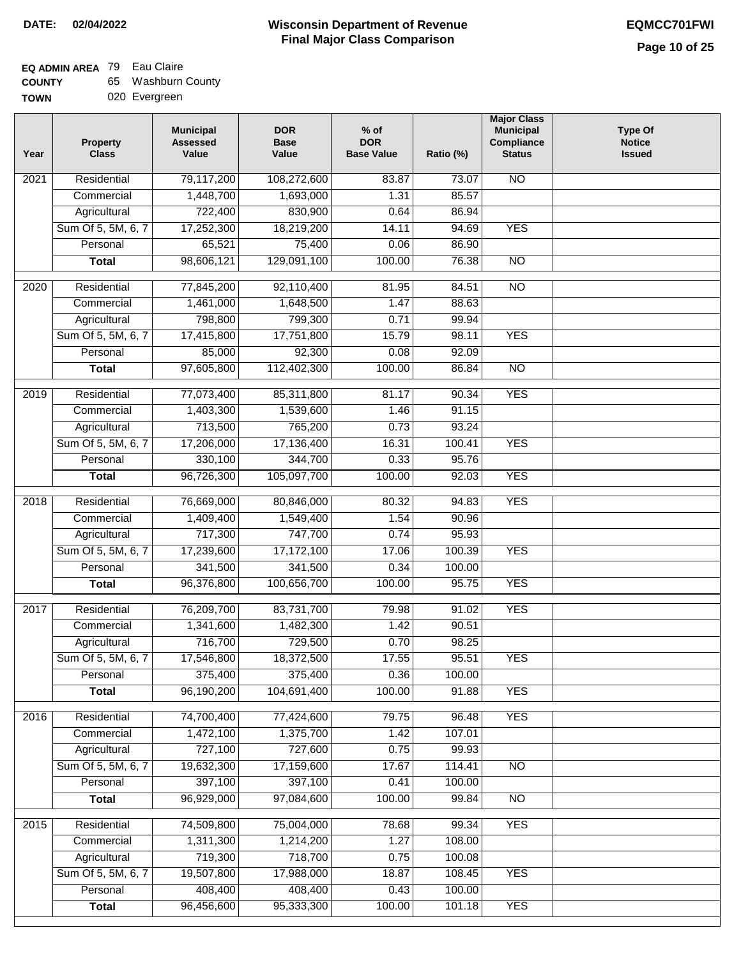| <b>COUNTY</b> | 65 Washburn County |
|---------------|--------------------|
| <b>TOWN</b>   | 020 Evergreen      |

|  | 020 Evergreen |
|--|---------------|
|--|---------------|

| 79,117,200<br>Residential<br>108,272,600<br>83.87<br>73.07<br><b>NO</b><br>2021<br>85.57<br>1,448,700<br>1,693,000<br>1.31<br>Commercial<br>722,400<br>830,900<br>0.64<br>86.94<br>Agricultural<br><b>YES</b><br>Sum Of 5, 5M, 6, 7<br>17,252,300<br>18,219,200<br>14.11<br>94.69<br>75,400<br>Personal<br>65,521<br>0.06<br>86.90<br>98,606,121<br>129,091,100<br>100.00<br>76.38<br>$\overline{NO}$<br><b>Total</b><br>Residential<br>77,845,200<br>92,110,400<br>81.95<br>84.51<br>$\overline{NO}$<br>2020<br>1.47<br>Commercial<br>1,461,000<br>1,648,500<br>88.63<br>798,800<br>799,300<br>0.71<br>99.94<br>Agricultural<br>Sum Of 5, 5M, 6, 7<br>17,415,800<br>17,751,800<br>15.79<br>98.11<br><b>YES</b><br>92,300<br>Personal<br>85,000<br>0.08<br>92.09<br>100.00<br><b>Total</b><br>97,605,800<br>112,402,300<br>86.84<br><b>NO</b><br><b>YES</b><br>2019<br>Residential<br>77,073,400<br>85,311,800<br>81.17<br>90.34<br>Commercial<br>1,403,300<br>1,539,600<br>1.46<br>91.15<br>713,500<br>765,200<br>0.73<br>93.24<br>Agricultural<br>Sum Of 5, 5M, 6, 7<br>17,136,400<br><b>YES</b><br>17,206,000<br>16.31<br>100.41<br>344,700<br>0.33<br>95.76<br>Personal<br>330,100<br>96,726,300<br>105,097,700<br><b>YES</b><br>100.00<br>92.03<br><b>Total</b><br>76,669,000<br>80,846,000<br><b>YES</b><br>2018<br>Residential<br>80.32<br>94.83<br>1.54<br>Commercial<br>1,409,400<br>1,549,400<br>90.96<br>717,300<br>747,700<br>Agricultural<br>0.74<br>95.93<br>Sum Of 5, 5M, 6, 7<br>17,239,600<br>17,172,100<br>17.06<br>100.39<br><b>YES</b><br>341,500<br>341,500<br>0.34<br>100.00<br>Personal<br><b>YES</b><br>96,376,800<br>100,656,700<br>100.00<br>95.75<br><b>Total</b><br><b>YES</b><br>Residential<br>76,209,700<br>83,731,700<br>79.98<br>91.02<br>2017<br>1,341,600<br>1,482,300<br>1.42<br>90.51<br>Commercial<br>716,700<br>729,500<br>0.70<br>98.25<br>Agricultural<br>Sum Of 5, 5M, 6, 7<br>17,546,800<br>18,372,500<br>17.55<br>95.51<br><b>YES</b><br>375,400<br>375,400<br>Personal<br>0.36<br>100.00<br><b>YES</b><br>96,190,200<br>104,691,400<br>100.00<br>91.88<br><b>Total</b><br><b>YES</b><br>Residential<br>74,700,400<br>77,424,600<br>79.75<br>96.48<br>2016<br>1,375,700<br>107.01<br>Commercial<br>1,472,100<br>1.42<br>727,100<br>727,600<br>0.75<br>99.93<br>Agricultural<br>Sum Of 5, 5M, 6, 7<br>19,632,300<br>17,159,600<br>114.41<br>$\overline{NO}$<br>17.67<br>397,100<br>397,100<br>Personal<br>0.41<br>100.00<br>96,929,000<br><b>Total</b><br>97,084,600<br>100.00<br>99.84<br>$\overline{NO}$<br>74,509,800<br>75,004,000<br>78.68<br>99.34<br><b>YES</b><br>2015<br>Residential<br>1.27<br>108.00<br>Commercial<br>1,311,300<br>1,214,200<br>719,300<br>718,700<br>Agricultural<br>100.08<br>0.75 | Year | <b>Property</b><br><b>Class</b> | <b>Municipal</b><br><b>Assessed</b><br>Value | <b>DOR</b><br><b>Base</b><br>Value | $%$ of<br><b>DOR</b><br><b>Base Value</b> | Ratio (%) | <b>Major Class</b><br><b>Municipal</b><br>Compliance<br><b>Status</b> | <b>Type Of</b><br><b>Notice</b><br><b>Issued</b> |
|------------------------------------------------------------------------------------------------------------------------------------------------------------------------------------------------------------------------------------------------------------------------------------------------------------------------------------------------------------------------------------------------------------------------------------------------------------------------------------------------------------------------------------------------------------------------------------------------------------------------------------------------------------------------------------------------------------------------------------------------------------------------------------------------------------------------------------------------------------------------------------------------------------------------------------------------------------------------------------------------------------------------------------------------------------------------------------------------------------------------------------------------------------------------------------------------------------------------------------------------------------------------------------------------------------------------------------------------------------------------------------------------------------------------------------------------------------------------------------------------------------------------------------------------------------------------------------------------------------------------------------------------------------------------------------------------------------------------------------------------------------------------------------------------------------------------------------------------------------------------------------------------------------------------------------------------------------------------------------------------------------------------------------------------------------------------------------------------------------------------------------------------------------------------------------------------------------------------------------------------------------------------------------------------------------------------------------------------------------------------------------------------------------------------------------------------------------------------------------------------------------------------------------------------------------------------------------------------------------------------------------------------------------------------------------------------------------------------------------------------------------|------|---------------------------------|----------------------------------------------|------------------------------------|-------------------------------------------|-----------|-----------------------------------------------------------------------|--------------------------------------------------|
|                                                                                                                                                                                                                                                                                                                                                                                                                                                                                                                                                                                                                                                                                                                                                                                                                                                                                                                                                                                                                                                                                                                                                                                                                                                                                                                                                                                                                                                                                                                                                                                                                                                                                                                                                                                                                                                                                                                                                                                                                                                                                                                                                                                                                                                                                                                                                                                                                                                                                                                                                                                                                                                                                                                                                            |      |                                 |                                              |                                    |                                           |           |                                                                       |                                                  |
|                                                                                                                                                                                                                                                                                                                                                                                                                                                                                                                                                                                                                                                                                                                                                                                                                                                                                                                                                                                                                                                                                                                                                                                                                                                                                                                                                                                                                                                                                                                                                                                                                                                                                                                                                                                                                                                                                                                                                                                                                                                                                                                                                                                                                                                                                                                                                                                                                                                                                                                                                                                                                                                                                                                                                            |      |                                 |                                              |                                    |                                           |           |                                                                       |                                                  |
|                                                                                                                                                                                                                                                                                                                                                                                                                                                                                                                                                                                                                                                                                                                                                                                                                                                                                                                                                                                                                                                                                                                                                                                                                                                                                                                                                                                                                                                                                                                                                                                                                                                                                                                                                                                                                                                                                                                                                                                                                                                                                                                                                                                                                                                                                                                                                                                                                                                                                                                                                                                                                                                                                                                                                            |      |                                 |                                              |                                    |                                           |           |                                                                       |                                                  |
|                                                                                                                                                                                                                                                                                                                                                                                                                                                                                                                                                                                                                                                                                                                                                                                                                                                                                                                                                                                                                                                                                                                                                                                                                                                                                                                                                                                                                                                                                                                                                                                                                                                                                                                                                                                                                                                                                                                                                                                                                                                                                                                                                                                                                                                                                                                                                                                                                                                                                                                                                                                                                                                                                                                                                            |      |                                 |                                              |                                    |                                           |           |                                                                       |                                                  |
|                                                                                                                                                                                                                                                                                                                                                                                                                                                                                                                                                                                                                                                                                                                                                                                                                                                                                                                                                                                                                                                                                                                                                                                                                                                                                                                                                                                                                                                                                                                                                                                                                                                                                                                                                                                                                                                                                                                                                                                                                                                                                                                                                                                                                                                                                                                                                                                                                                                                                                                                                                                                                                                                                                                                                            |      |                                 |                                              |                                    |                                           |           |                                                                       |                                                  |
|                                                                                                                                                                                                                                                                                                                                                                                                                                                                                                                                                                                                                                                                                                                                                                                                                                                                                                                                                                                                                                                                                                                                                                                                                                                                                                                                                                                                                                                                                                                                                                                                                                                                                                                                                                                                                                                                                                                                                                                                                                                                                                                                                                                                                                                                                                                                                                                                                                                                                                                                                                                                                                                                                                                                                            |      |                                 |                                              |                                    |                                           |           |                                                                       |                                                  |
|                                                                                                                                                                                                                                                                                                                                                                                                                                                                                                                                                                                                                                                                                                                                                                                                                                                                                                                                                                                                                                                                                                                                                                                                                                                                                                                                                                                                                                                                                                                                                                                                                                                                                                                                                                                                                                                                                                                                                                                                                                                                                                                                                                                                                                                                                                                                                                                                                                                                                                                                                                                                                                                                                                                                                            |      |                                 |                                              |                                    |                                           |           |                                                                       |                                                  |
|                                                                                                                                                                                                                                                                                                                                                                                                                                                                                                                                                                                                                                                                                                                                                                                                                                                                                                                                                                                                                                                                                                                                                                                                                                                                                                                                                                                                                                                                                                                                                                                                                                                                                                                                                                                                                                                                                                                                                                                                                                                                                                                                                                                                                                                                                                                                                                                                                                                                                                                                                                                                                                                                                                                                                            |      |                                 |                                              |                                    |                                           |           |                                                                       |                                                  |
|                                                                                                                                                                                                                                                                                                                                                                                                                                                                                                                                                                                                                                                                                                                                                                                                                                                                                                                                                                                                                                                                                                                                                                                                                                                                                                                                                                                                                                                                                                                                                                                                                                                                                                                                                                                                                                                                                                                                                                                                                                                                                                                                                                                                                                                                                                                                                                                                                                                                                                                                                                                                                                                                                                                                                            |      |                                 |                                              |                                    |                                           |           |                                                                       |                                                  |
|                                                                                                                                                                                                                                                                                                                                                                                                                                                                                                                                                                                                                                                                                                                                                                                                                                                                                                                                                                                                                                                                                                                                                                                                                                                                                                                                                                                                                                                                                                                                                                                                                                                                                                                                                                                                                                                                                                                                                                                                                                                                                                                                                                                                                                                                                                                                                                                                                                                                                                                                                                                                                                                                                                                                                            |      |                                 |                                              |                                    |                                           |           |                                                                       |                                                  |
|                                                                                                                                                                                                                                                                                                                                                                                                                                                                                                                                                                                                                                                                                                                                                                                                                                                                                                                                                                                                                                                                                                                                                                                                                                                                                                                                                                                                                                                                                                                                                                                                                                                                                                                                                                                                                                                                                                                                                                                                                                                                                                                                                                                                                                                                                                                                                                                                                                                                                                                                                                                                                                                                                                                                                            |      |                                 |                                              |                                    |                                           |           |                                                                       |                                                  |
|                                                                                                                                                                                                                                                                                                                                                                                                                                                                                                                                                                                                                                                                                                                                                                                                                                                                                                                                                                                                                                                                                                                                                                                                                                                                                                                                                                                                                                                                                                                                                                                                                                                                                                                                                                                                                                                                                                                                                                                                                                                                                                                                                                                                                                                                                                                                                                                                                                                                                                                                                                                                                                                                                                                                                            |      |                                 |                                              |                                    |                                           |           |                                                                       |                                                  |
|                                                                                                                                                                                                                                                                                                                                                                                                                                                                                                                                                                                                                                                                                                                                                                                                                                                                                                                                                                                                                                                                                                                                                                                                                                                                                                                                                                                                                                                                                                                                                                                                                                                                                                                                                                                                                                                                                                                                                                                                                                                                                                                                                                                                                                                                                                                                                                                                                                                                                                                                                                                                                                                                                                                                                            |      |                                 |                                              |                                    |                                           |           |                                                                       |                                                  |
|                                                                                                                                                                                                                                                                                                                                                                                                                                                                                                                                                                                                                                                                                                                                                                                                                                                                                                                                                                                                                                                                                                                                                                                                                                                                                                                                                                                                                                                                                                                                                                                                                                                                                                                                                                                                                                                                                                                                                                                                                                                                                                                                                                                                                                                                                                                                                                                                                                                                                                                                                                                                                                                                                                                                                            |      |                                 |                                              |                                    |                                           |           |                                                                       |                                                  |
|                                                                                                                                                                                                                                                                                                                                                                                                                                                                                                                                                                                                                                                                                                                                                                                                                                                                                                                                                                                                                                                                                                                                                                                                                                                                                                                                                                                                                                                                                                                                                                                                                                                                                                                                                                                                                                                                                                                                                                                                                                                                                                                                                                                                                                                                                                                                                                                                                                                                                                                                                                                                                                                                                                                                                            |      |                                 |                                              |                                    |                                           |           |                                                                       |                                                  |
|                                                                                                                                                                                                                                                                                                                                                                                                                                                                                                                                                                                                                                                                                                                                                                                                                                                                                                                                                                                                                                                                                                                                                                                                                                                                                                                                                                                                                                                                                                                                                                                                                                                                                                                                                                                                                                                                                                                                                                                                                                                                                                                                                                                                                                                                                                                                                                                                                                                                                                                                                                                                                                                                                                                                                            |      |                                 |                                              |                                    |                                           |           |                                                                       |                                                  |
|                                                                                                                                                                                                                                                                                                                                                                                                                                                                                                                                                                                                                                                                                                                                                                                                                                                                                                                                                                                                                                                                                                                                                                                                                                                                                                                                                                                                                                                                                                                                                                                                                                                                                                                                                                                                                                                                                                                                                                                                                                                                                                                                                                                                                                                                                                                                                                                                                                                                                                                                                                                                                                                                                                                                                            |      |                                 |                                              |                                    |                                           |           |                                                                       |                                                  |
|                                                                                                                                                                                                                                                                                                                                                                                                                                                                                                                                                                                                                                                                                                                                                                                                                                                                                                                                                                                                                                                                                                                                                                                                                                                                                                                                                                                                                                                                                                                                                                                                                                                                                                                                                                                                                                                                                                                                                                                                                                                                                                                                                                                                                                                                                                                                                                                                                                                                                                                                                                                                                                                                                                                                                            |      |                                 |                                              |                                    |                                           |           |                                                                       |                                                  |
|                                                                                                                                                                                                                                                                                                                                                                                                                                                                                                                                                                                                                                                                                                                                                                                                                                                                                                                                                                                                                                                                                                                                                                                                                                                                                                                                                                                                                                                                                                                                                                                                                                                                                                                                                                                                                                                                                                                                                                                                                                                                                                                                                                                                                                                                                                                                                                                                                                                                                                                                                                                                                                                                                                                                                            |      |                                 |                                              |                                    |                                           |           |                                                                       |                                                  |
|                                                                                                                                                                                                                                                                                                                                                                                                                                                                                                                                                                                                                                                                                                                                                                                                                                                                                                                                                                                                                                                                                                                                                                                                                                                                                                                                                                                                                                                                                                                                                                                                                                                                                                                                                                                                                                                                                                                                                                                                                                                                                                                                                                                                                                                                                                                                                                                                                                                                                                                                                                                                                                                                                                                                                            |      |                                 |                                              |                                    |                                           |           |                                                                       |                                                  |
|                                                                                                                                                                                                                                                                                                                                                                                                                                                                                                                                                                                                                                                                                                                                                                                                                                                                                                                                                                                                                                                                                                                                                                                                                                                                                                                                                                                                                                                                                                                                                                                                                                                                                                                                                                                                                                                                                                                                                                                                                                                                                                                                                                                                                                                                                                                                                                                                                                                                                                                                                                                                                                                                                                                                                            |      |                                 |                                              |                                    |                                           |           |                                                                       |                                                  |
|                                                                                                                                                                                                                                                                                                                                                                                                                                                                                                                                                                                                                                                                                                                                                                                                                                                                                                                                                                                                                                                                                                                                                                                                                                                                                                                                                                                                                                                                                                                                                                                                                                                                                                                                                                                                                                                                                                                                                                                                                                                                                                                                                                                                                                                                                                                                                                                                                                                                                                                                                                                                                                                                                                                                                            |      |                                 |                                              |                                    |                                           |           |                                                                       |                                                  |
|                                                                                                                                                                                                                                                                                                                                                                                                                                                                                                                                                                                                                                                                                                                                                                                                                                                                                                                                                                                                                                                                                                                                                                                                                                                                                                                                                                                                                                                                                                                                                                                                                                                                                                                                                                                                                                                                                                                                                                                                                                                                                                                                                                                                                                                                                                                                                                                                                                                                                                                                                                                                                                                                                                                                                            |      |                                 |                                              |                                    |                                           |           |                                                                       |                                                  |
|                                                                                                                                                                                                                                                                                                                                                                                                                                                                                                                                                                                                                                                                                                                                                                                                                                                                                                                                                                                                                                                                                                                                                                                                                                                                                                                                                                                                                                                                                                                                                                                                                                                                                                                                                                                                                                                                                                                                                                                                                                                                                                                                                                                                                                                                                                                                                                                                                                                                                                                                                                                                                                                                                                                                                            |      |                                 |                                              |                                    |                                           |           |                                                                       |                                                  |
|                                                                                                                                                                                                                                                                                                                                                                                                                                                                                                                                                                                                                                                                                                                                                                                                                                                                                                                                                                                                                                                                                                                                                                                                                                                                                                                                                                                                                                                                                                                                                                                                                                                                                                                                                                                                                                                                                                                                                                                                                                                                                                                                                                                                                                                                                                                                                                                                                                                                                                                                                                                                                                                                                                                                                            |      |                                 |                                              |                                    |                                           |           |                                                                       |                                                  |
|                                                                                                                                                                                                                                                                                                                                                                                                                                                                                                                                                                                                                                                                                                                                                                                                                                                                                                                                                                                                                                                                                                                                                                                                                                                                                                                                                                                                                                                                                                                                                                                                                                                                                                                                                                                                                                                                                                                                                                                                                                                                                                                                                                                                                                                                                                                                                                                                                                                                                                                                                                                                                                                                                                                                                            |      |                                 |                                              |                                    |                                           |           |                                                                       |                                                  |
|                                                                                                                                                                                                                                                                                                                                                                                                                                                                                                                                                                                                                                                                                                                                                                                                                                                                                                                                                                                                                                                                                                                                                                                                                                                                                                                                                                                                                                                                                                                                                                                                                                                                                                                                                                                                                                                                                                                                                                                                                                                                                                                                                                                                                                                                                                                                                                                                                                                                                                                                                                                                                                                                                                                                                            |      |                                 |                                              |                                    |                                           |           |                                                                       |                                                  |
|                                                                                                                                                                                                                                                                                                                                                                                                                                                                                                                                                                                                                                                                                                                                                                                                                                                                                                                                                                                                                                                                                                                                                                                                                                                                                                                                                                                                                                                                                                                                                                                                                                                                                                                                                                                                                                                                                                                                                                                                                                                                                                                                                                                                                                                                                                                                                                                                                                                                                                                                                                                                                                                                                                                                                            |      |                                 |                                              |                                    |                                           |           |                                                                       |                                                  |
|                                                                                                                                                                                                                                                                                                                                                                                                                                                                                                                                                                                                                                                                                                                                                                                                                                                                                                                                                                                                                                                                                                                                                                                                                                                                                                                                                                                                                                                                                                                                                                                                                                                                                                                                                                                                                                                                                                                                                                                                                                                                                                                                                                                                                                                                                                                                                                                                                                                                                                                                                                                                                                                                                                                                                            |      |                                 |                                              |                                    |                                           |           |                                                                       |                                                  |
|                                                                                                                                                                                                                                                                                                                                                                                                                                                                                                                                                                                                                                                                                                                                                                                                                                                                                                                                                                                                                                                                                                                                                                                                                                                                                                                                                                                                                                                                                                                                                                                                                                                                                                                                                                                                                                                                                                                                                                                                                                                                                                                                                                                                                                                                                                                                                                                                                                                                                                                                                                                                                                                                                                                                                            |      |                                 |                                              |                                    |                                           |           |                                                                       |                                                  |
|                                                                                                                                                                                                                                                                                                                                                                                                                                                                                                                                                                                                                                                                                                                                                                                                                                                                                                                                                                                                                                                                                                                                                                                                                                                                                                                                                                                                                                                                                                                                                                                                                                                                                                                                                                                                                                                                                                                                                                                                                                                                                                                                                                                                                                                                                                                                                                                                                                                                                                                                                                                                                                                                                                                                                            |      |                                 |                                              |                                    |                                           |           |                                                                       |                                                  |
|                                                                                                                                                                                                                                                                                                                                                                                                                                                                                                                                                                                                                                                                                                                                                                                                                                                                                                                                                                                                                                                                                                                                                                                                                                                                                                                                                                                                                                                                                                                                                                                                                                                                                                                                                                                                                                                                                                                                                                                                                                                                                                                                                                                                                                                                                                                                                                                                                                                                                                                                                                                                                                                                                                                                                            |      |                                 |                                              |                                    |                                           |           |                                                                       |                                                  |
|                                                                                                                                                                                                                                                                                                                                                                                                                                                                                                                                                                                                                                                                                                                                                                                                                                                                                                                                                                                                                                                                                                                                                                                                                                                                                                                                                                                                                                                                                                                                                                                                                                                                                                                                                                                                                                                                                                                                                                                                                                                                                                                                                                                                                                                                                                                                                                                                                                                                                                                                                                                                                                                                                                                                                            |      |                                 |                                              |                                    |                                           |           |                                                                       |                                                  |
|                                                                                                                                                                                                                                                                                                                                                                                                                                                                                                                                                                                                                                                                                                                                                                                                                                                                                                                                                                                                                                                                                                                                                                                                                                                                                                                                                                                                                                                                                                                                                                                                                                                                                                                                                                                                                                                                                                                                                                                                                                                                                                                                                                                                                                                                                                                                                                                                                                                                                                                                                                                                                                                                                                                                                            |      |                                 |                                              |                                    |                                           |           |                                                                       |                                                  |
|                                                                                                                                                                                                                                                                                                                                                                                                                                                                                                                                                                                                                                                                                                                                                                                                                                                                                                                                                                                                                                                                                                                                                                                                                                                                                                                                                                                                                                                                                                                                                                                                                                                                                                                                                                                                                                                                                                                                                                                                                                                                                                                                                                                                                                                                                                                                                                                                                                                                                                                                                                                                                                                                                                                                                            |      |                                 |                                              |                                    |                                           |           |                                                                       |                                                  |
|                                                                                                                                                                                                                                                                                                                                                                                                                                                                                                                                                                                                                                                                                                                                                                                                                                                                                                                                                                                                                                                                                                                                                                                                                                                                                                                                                                                                                                                                                                                                                                                                                                                                                                                                                                                                                                                                                                                                                                                                                                                                                                                                                                                                                                                                                                                                                                                                                                                                                                                                                                                                                                                                                                                                                            |      |                                 |                                              |                                    |                                           |           |                                                                       |                                                  |
|                                                                                                                                                                                                                                                                                                                                                                                                                                                                                                                                                                                                                                                                                                                                                                                                                                                                                                                                                                                                                                                                                                                                                                                                                                                                                                                                                                                                                                                                                                                                                                                                                                                                                                                                                                                                                                                                                                                                                                                                                                                                                                                                                                                                                                                                                                                                                                                                                                                                                                                                                                                                                                                                                                                                                            |      |                                 |                                              |                                    |                                           |           |                                                                       |                                                  |
|                                                                                                                                                                                                                                                                                                                                                                                                                                                                                                                                                                                                                                                                                                                                                                                                                                                                                                                                                                                                                                                                                                                                                                                                                                                                                                                                                                                                                                                                                                                                                                                                                                                                                                                                                                                                                                                                                                                                                                                                                                                                                                                                                                                                                                                                                                                                                                                                                                                                                                                                                                                                                                                                                                                                                            |      |                                 |                                              |                                    |                                           |           |                                                                       |                                                  |
|                                                                                                                                                                                                                                                                                                                                                                                                                                                                                                                                                                                                                                                                                                                                                                                                                                                                                                                                                                                                                                                                                                                                                                                                                                                                                                                                                                                                                                                                                                                                                                                                                                                                                                                                                                                                                                                                                                                                                                                                                                                                                                                                                                                                                                                                                                                                                                                                                                                                                                                                                                                                                                                                                                                                                            |      |                                 |                                              |                                    |                                           |           |                                                                       |                                                  |
|                                                                                                                                                                                                                                                                                                                                                                                                                                                                                                                                                                                                                                                                                                                                                                                                                                                                                                                                                                                                                                                                                                                                                                                                                                                                                                                                                                                                                                                                                                                                                                                                                                                                                                                                                                                                                                                                                                                                                                                                                                                                                                                                                                                                                                                                                                                                                                                                                                                                                                                                                                                                                                                                                                                                                            |      |                                 |                                              |                                    |                                           |           |                                                                       |                                                  |
|                                                                                                                                                                                                                                                                                                                                                                                                                                                                                                                                                                                                                                                                                                                                                                                                                                                                                                                                                                                                                                                                                                                                                                                                                                                                                                                                                                                                                                                                                                                                                                                                                                                                                                                                                                                                                                                                                                                                                                                                                                                                                                                                                                                                                                                                                                                                                                                                                                                                                                                                                                                                                                                                                                                                                            |      | Sum Of 5, 5M, 6, 7              | 19,507,800                                   | 17,988,000                         | 18.87                                     | 108.45    | <b>YES</b>                                                            |                                                  |
| 408,400<br>Personal<br>408,400<br>0.43<br>100.00                                                                                                                                                                                                                                                                                                                                                                                                                                                                                                                                                                                                                                                                                                                                                                                                                                                                                                                                                                                                                                                                                                                                                                                                                                                                                                                                                                                                                                                                                                                                                                                                                                                                                                                                                                                                                                                                                                                                                                                                                                                                                                                                                                                                                                                                                                                                                                                                                                                                                                                                                                                                                                                                                                           |      |                                 |                                              |                                    |                                           |           |                                                                       |                                                  |
| 96,456,600<br>95,333,300<br>100.00<br><b>YES</b><br>101.18<br><b>Total</b>                                                                                                                                                                                                                                                                                                                                                                                                                                                                                                                                                                                                                                                                                                                                                                                                                                                                                                                                                                                                                                                                                                                                                                                                                                                                                                                                                                                                                                                                                                                                                                                                                                                                                                                                                                                                                                                                                                                                                                                                                                                                                                                                                                                                                                                                                                                                                                                                                                                                                                                                                                                                                                                                                 |      |                                 |                                              |                                    |                                           |           |                                                                       |                                                  |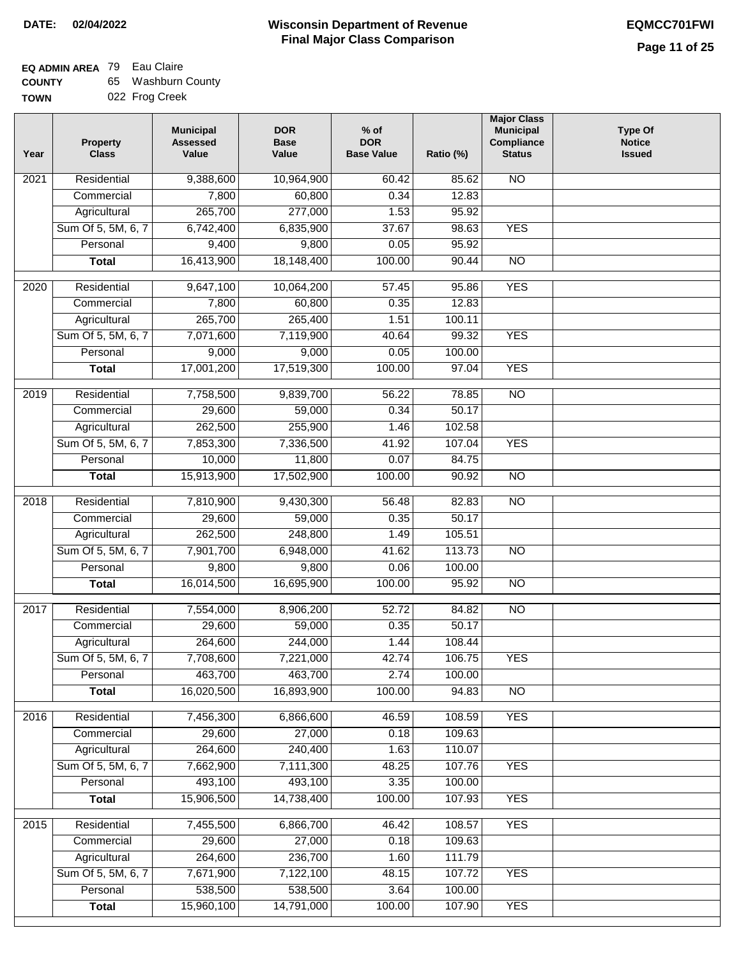# **EQ ADMIN AREA** 79 Eau Claire

| <b>COUNTY</b> | 65 Washburn County |
|---------------|--------------------|
| <b>TOWN</b>   | 022 Frog Creek     |

| Year              | <b>Property</b><br><b>Class</b> | <b>Municipal</b><br><b>Assessed</b><br>Value | <b>DOR</b><br><b>Base</b><br>Value | $%$ of<br><b>DOR</b><br><b>Base Value</b> | Ratio (%) | <b>Major Class</b><br><b>Municipal</b><br>Compliance<br><b>Status</b> | <b>Type Of</b><br><b>Notice</b><br><b>Issued</b> |
|-------------------|---------------------------------|----------------------------------------------|------------------------------------|-------------------------------------------|-----------|-----------------------------------------------------------------------|--------------------------------------------------|
| 2021              | Residential                     | 9,388,600                                    | 10,964,900                         | 60.42                                     | 85.62     | <b>NO</b>                                                             |                                                  |
|                   | Commercial                      | 7,800                                        | 60,800                             | 0.34                                      | 12.83     |                                                                       |                                                  |
|                   | Agricultural                    | 265,700                                      | 277,000                            | 1.53                                      | 95.92     |                                                                       |                                                  |
|                   | Sum Of 5, 5M, 6, 7              | 6,742,400                                    | 6,835,900                          | 37.67                                     | 98.63     | <b>YES</b>                                                            |                                                  |
|                   | Personal                        | 9,400                                        | 9,800                              | 0.05                                      | 95.92     |                                                                       |                                                  |
|                   | <b>Total</b>                    | 16,413,900                                   | 18,148,400                         | 100.00                                    | 90.44     | $\overline{NO}$                                                       |                                                  |
|                   |                                 |                                              |                                    |                                           |           |                                                                       |                                                  |
| 2020              | Residential                     | 9,647,100                                    | 10,064,200                         | 57.45                                     | 95.86     | <b>YES</b>                                                            |                                                  |
|                   | Commercial                      | 7,800                                        | 60,800                             | 0.35                                      | 12.83     |                                                                       |                                                  |
|                   | Agricultural                    | 265,700                                      | 265,400                            | 1.51                                      | 100.11    |                                                                       |                                                  |
|                   | Sum Of 5, 5M, 6, 7              | 7,071,600                                    | 7,119,900                          | 40.64                                     | 99.32     | <b>YES</b>                                                            |                                                  |
|                   | Personal                        | 9,000                                        | 9,000                              | 0.05                                      | 100.00    |                                                                       |                                                  |
|                   | <b>Total</b>                    | 17,001,200                                   | 17,519,300                         | 100.00                                    | 97.04     | <b>YES</b>                                                            |                                                  |
| $\frac{1}{2019}$  | Residential                     | 7,758,500                                    | 9,839,700                          | 56.22                                     | 78.85     | $\overline{NO}$                                                       |                                                  |
|                   | Commercial                      | 29,600                                       | 59,000                             | 0.34                                      | 50.17     |                                                                       |                                                  |
|                   | Agricultural                    | 262,500                                      | 255,900                            | 1.46                                      | 102.58    |                                                                       |                                                  |
|                   | Sum Of 5, 5M, 6, 7              | 7,853,300                                    | 7,336,500                          | 41.92                                     | 107.04    | <b>YES</b>                                                            |                                                  |
|                   | Personal                        | 10,000                                       | 11,800                             | 0.07                                      | 84.75     |                                                                       |                                                  |
|                   | <b>Total</b>                    | 15,913,900                                   | 17,502,900                         | 100.00                                    | 90.92     | $\overline{NO}$                                                       |                                                  |
| 2018              | Residential                     | 7,810,900                                    | 9,430,300                          | 56.48                                     | 82.83     | $\overline{10}$                                                       |                                                  |
|                   | Commercial                      | 29,600                                       | 59,000                             | 0.35                                      | 50.17     |                                                                       |                                                  |
|                   | Agricultural                    | 262,500                                      | 248,800                            | 1.49                                      | 105.51    |                                                                       |                                                  |
|                   | Sum Of 5, 5M, 6, 7              | 7,901,700                                    | 6,948,000                          | 41.62                                     | 113.73    | $\overline{10}$                                                       |                                                  |
|                   | Personal                        | 9,800                                        | 9,800                              | 0.06                                      | 100.00    |                                                                       |                                                  |
|                   | <b>Total</b>                    | 16,014,500                                   | 16,695,900                         | 100.00                                    | 95.92     | $\overline{10}$                                                       |                                                  |
|                   |                                 |                                              |                                    |                                           |           |                                                                       |                                                  |
| 2017              | Residential                     | 7,554,000                                    | 8,906,200                          | 52.72                                     | 84.82     | $\overline{NO}$                                                       |                                                  |
|                   | Commercial                      | 29,600                                       | 59,000                             | 0.35                                      | 50.17     |                                                                       |                                                  |
|                   | Agricultural                    | 264,600                                      | 244,000                            | 1.44                                      | 108.44    |                                                                       |                                                  |
|                   | Sum Of 5, 5M, 6, 7              | 7,708,600                                    | 7,221,000                          | 42.74                                     | 106.75    | <b>YES</b>                                                            |                                                  |
|                   | Personal                        | 463,700                                      | 463,700                            | 2.74                                      | 100.00    |                                                                       |                                                  |
|                   | <b>Total</b>                    | 16,020,500                                   | 16,893,900                         | 100.00                                    | 94.83     | <b>NO</b>                                                             |                                                  |
| 2016              | Residential                     | 7,456,300                                    | 6,866,600                          | 46.59                                     | 108.59    | <b>YES</b>                                                            |                                                  |
|                   | Commercial                      | 29,600                                       | 27,000                             | 0.18                                      | 109.63    |                                                                       |                                                  |
|                   | Agricultural                    | 264,600                                      | 240,400                            | 1.63                                      | 110.07    |                                                                       |                                                  |
|                   | Sum Of 5, 5M, 6, 7              | 7,662,900                                    | 7,111,300                          | 48.25                                     | 107.76    | <b>YES</b>                                                            |                                                  |
|                   | Personal                        | 493,100                                      | 493,100                            | 3.35                                      | 100.00    |                                                                       |                                                  |
|                   | <b>Total</b>                    | 15,906,500                                   | 14,738,400                         | 100.00                                    | 107.93    | <b>YES</b>                                                            |                                                  |
| $\overline{2015}$ | Residential                     | 7,455,500                                    | 6,866,700                          | 46.42                                     | 108.57    | <b>YES</b>                                                            |                                                  |
|                   | Commercial                      | 29,600                                       | 27,000                             | 0.18                                      | 109.63    |                                                                       |                                                  |
|                   | Agricultural                    | 264,600                                      | 236,700                            | 1.60                                      | 111.79    |                                                                       |                                                  |
|                   | Sum Of 5, 5M, 6, 7              | 7,671,900                                    | 7,122,100                          | 48.15                                     | 107.72    | <b>YES</b>                                                            |                                                  |
|                   | Personal                        | 538,500                                      | 538,500                            | 3.64                                      | 100.00    |                                                                       |                                                  |
|                   | <b>Total</b>                    | 15,960,100                                   | 14,791,000                         | 100.00                                    | 107.90    | <b>YES</b>                                                            |                                                  |
|                   |                                 |                                              |                                    |                                           |           |                                                                       |                                                  |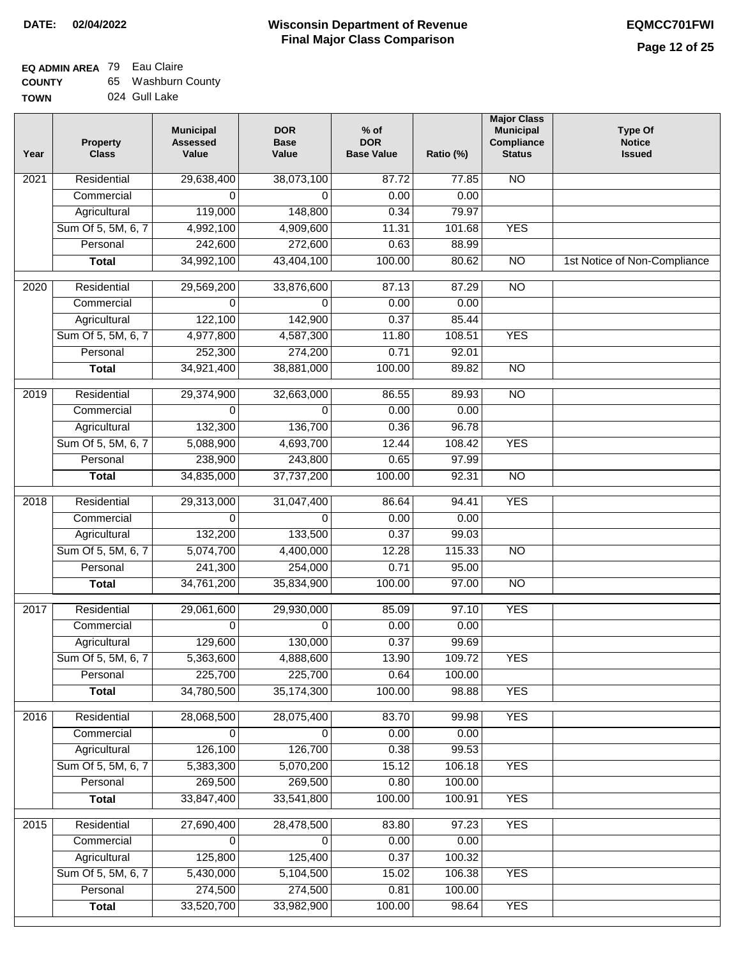| <b>COUNTY</b> | 65 Washburn County |
|---------------|--------------------|
| <b>TOWN</b>   | 024 Gull Lake      |

| Year              | <b>Property</b><br><b>Class</b> | <b>Municipal</b><br><b>Assessed</b><br>Value | <b>DOR</b><br><b>Base</b><br>Value | % of<br><b>DOR</b><br><b>Base Value</b> | Ratio (%) | <b>Major Class</b><br><b>Municipal</b><br>Compliance<br><b>Status</b> | <b>Type Of</b><br><b>Notice</b><br><b>Issued</b> |
|-------------------|---------------------------------|----------------------------------------------|------------------------------------|-----------------------------------------|-----------|-----------------------------------------------------------------------|--------------------------------------------------|
| $\overline{202}1$ | Residential                     | 29,638,400                                   | 38,073,100                         | 87.72                                   | 77.85     | <b>NO</b>                                                             |                                                  |
|                   | Commercial                      | 0                                            | 0                                  | 0.00                                    | 0.00      |                                                                       |                                                  |
|                   | Agricultural                    | 119,000                                      | 148,800                            | 0.34                                    | 79.97     |                                                                       |                                                  |
|                   | Sum Of 5, 5M, 6, 7              | 4,992,100                                    | 4,909,600                          | 11.31                                   | 101.68    | <b>YES</b>                                                            |                                                  |
|                   | Personal                        | 242,600                                      | 272,600                            | 0.63                                    | 88.99     |                                                                       |                                                  |
|                   | <b>Total</b>                    | 34,992,100                                   | 43,404,100                         | 100.00                                  | 80.62     | $\overline{NO}$                                                       | 1st Notice of Non-Compliance                     |
| $\overline{2020}$ | Residential                     | 29,569,200                                   | 33,876,600                         | 87.13                                   | 87.29     | $\overline{NO}$                                                       |                                                  |
|                   | Commercial                      | 0                                            | 0                                  | 0.00                                    | 0.00      |                                                                       |                                                  |
|                   | Agricultural                    | 122,100                                      | 142,900                            | 0.37                                    | 85.44     |                                                                       |                                                  |
|                   | Sum Of 5, 5M, 6, 7              | 4,977,800                                    | 4,587,300                          | 11.80                                   | 108.51    | <b>YES</b>                                                            |                                                  |
|                   | Personal                        | 252,300                                      | 274,200                            | 0.71                                    | 92.01     |                                                                       |                                                  |
|                   | <b>Total</b>                    | 34,921,400                                   | 38,881,000                         | 100.00                                  | 89.82     | $\overline{NO}$                                                       |                                                  |
| 2019              | Residential                     | 29,374,900                                   | 32,663,000                         | 86.55                                   | 89.93     | $\overline{3}$                                                        |                                                  |
|                   | Commercial                      | $\Omega$                                     | $\Omega$                           | 0.00                                    | 0.00      |                                                                       |                                                  |
|                   | Agricultural                    | 132,300                                      | 136,700                            | 0.36                                    | 96.78     |                                                                       |                                                  |
|                   | Sum Of 5, 5M, 6, 7              | 5,088,900                                    | 4,693,700                          | 12.44                                   | 108.42    | <b>YES</b>                                                            |                                                  |
|                   | Personal                        | 238,900                                      | 243,800                            | 0.65                                    | 97.99     |                                                                       |                                                  |
|                   | <b>Total</b>                    | 34,835,000                                   | 37,737,200                         | 100.00                                  | 92.31     | $\overline{NO}$                                                       |                                                  |
| 2018              | Residential                     | 29,313,000                                   | 31,047,400                         | 86.64                                   | 94.41     | <b>YES</b>                                                            |                                                  |
|                   | Commercial                      | $\Omega$                                     | $\Omega$                           | 0.00                                    | 0.00      |                                                                       |                                                  |
|                   | Agricultural                    | 132,200                                      | 133,500                            | 0.37                                    | 99.03     |                                                                       |                                                  |
|                   | Sum Of 5, 5M, 6, 7              | 5,074,700                                    | 4,400,000                          | 12.28                                   | 115.33    | $\overline{3}$                                                        |                                                  |
|                   | Personal                        | 241,300                                      | 254,000                            | 0.71                                    | 95.00     |                                                                       |                                                  |
|                   | <b>Total</b>                    | 34,761,200                                   | 35,834,900                         | 100.00                                  | 97.00     | <b>NO</b>                                                             |                                                  |
| 2017              | Residential                     | 29,061,600                                   | 29,930,000                         | 85.09                                   | 97.10     | <b>YES</b>                                                            |                                                  |
|                   | Commercial                      | 0                                            | $\Omega$                           | 0.00                                    | 0.00      |                                                                       |                                                  |
|                   | Agricultural                    | 129,600                                      | 130,000                            | 0.37                                    | 99.69     |                                                                       |                                                  |
|                   | Sum Of 5, 5M, 6, 7              | 5,363,600                                    | 4,888,600                          | 13.90                                   | 109.72    | <b>YES</b>                                                            |                                                  |
|                   | Personal                        | 225,700                                      | 225,700                            | 0.64                                    | 100.00    |                                                                       |                                                  |
|                   | <b>Total</b>                    | 34,780,500                                   | 35,174,300                         | 100.00                                  | 98.88     | <b>YES</b>                                                            |                                                  |
| 2016              | Residential                     | 28,068,500                                   | 28,075,400                         | 83.70                                   | 99.98     | <b>YES</b>                                                            |                                                  |
|                   | Commercial                      | 0                                            | 0                                  | 0.00                                    | 0.00      |                                                                       |                                                  |
|                   | Agricultural                    | 126,100                                      | 126,700                            | 0.38                                    | 99.53     |                                                                       |                                                  |
|                   | Sum Of 5, 5M, 6, 7              | 5,383,300                                    | 5,070,200                          | 15.12                                   | 106.18    | <b>YES</b>                                                            |                                                  |
|                   | Personal                        | 269,500                                      | 269,500                            | 0.80                                    | 100.00    |                                                                       |                                                  |
|                   | <b>Total</b>                    | 33,847,400                                   | 33,541,800                         | 100.00                                  | 100.91    | <b>YES</b>                                                            |                                                  |
| 2015              | Residential                     | 27,690,400                                   | 28,478,500                         | 83.80                                   | 97.23     | <b>YES</b>                                                            |                                                  |
|                   | Commercial                      | 0                                            | $\Omega$                           | 0.00                                    | 0.00      |                                                                       |                                                  |
|                   | Agricultural                    | 125,800                                      | 125,400                            | 0.37                                    | 100.32    |                                                                       |                                                  |
|                   | Sum Of 5, 5M, 6, 7              | 5,430,000                                    | 5,104,500                          | 15.02                                   | 106.38    | <b>YES</b>                                                            |                                                  |
|                   | Personal                        | 274,500                                      | 274,500                            | 0.81                                    | 100.00    |                                                                       |                                                  |
|                   | <b>Total</b>                    | 33,520,700                                   | 33,982,900                         | 100.00                                  | 98.64     | <b>YES</b>                                                            |                                                  |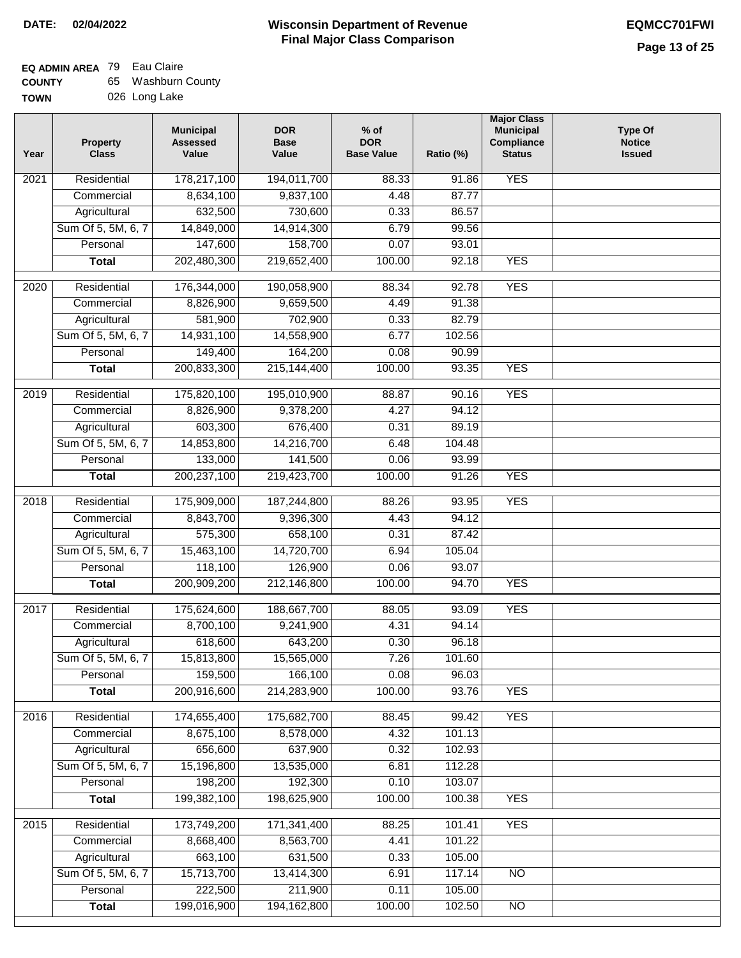| <b>COUNTY</b> | 65 Washburn County |
|---------------|--------------------|
| <b>TOWN</b>   | 026 Long Lake      |

| Year              | <b>Property</b><br><b>Class</b> | <b>Municipal</b><br><b>Assessed</b><br>Value | <b>DOR</b><br><b>Base</b><br>Value | $%$ of<br><b>DOR</b><br><b>Base Value</b> | Ratio (%) | <b>Major Class</b><br><b>Municipal</b><br>Compliance<br><b>Status</b> | <b>Type Of</b><br><b>Notice</b><br><b>Issued</b> |
|-------------------|---------------------------------|----------------------------------------------|------------------------------------|-------------------------------------------|-----------|-----------------------------------------------------------------------|--------------------------------------------------|
| $\overline{202}1$ | Residential                     | 178,217,100                                  | 194,011,700                        | 88.33                                     | 91.86     | <b>YES</b>                                                            |                                                  |
|                   | Commercial                      | 8,634,100                                    | 9,837,100                          | 4.48                                      | 87.77     |                                                                       |                                                  |
|                   | Agricultural                    | 632,500                                      | 730,600                            | 0.33                                      | 86.57     |                                                                       |                                                  |
|                   | Sum Of 5, 5M, 6, 7              | 14,849,000                                   | 14,914,300                         | 6.79                                      | 99.56     |                                                                       |                                                  |
|                   | Personal                        | 147,600                                      | 158,700                            | 0.07                                      | 93.01     |                                                                       |                                                  |
|                   | <b>Total</b>                    | 202,480,300                                  | 219,652,400                        | 100.00                                    | 92.18     | <b>YES</b>                                                            |                                                  |
| 2020              | Residential                     | 176,344,000                                  | 190,058,900                        | 88.34                                     | 92.78     | <b>YES</b>                                                            |                                                  |
|                   | Commercial                      | 8,826,900                                    | 9,659,500                          | 4.49                                      | 91.38     |                                                                       |                                                  |
|                   | Agricultural                    | 581,900                                      | 702,900                            | 0.33                                      | 82.79     |                                                                       |                                                  |
|                   | Sum Of 5, 5M, 6, 7              | 14,931,100                                   | 14,558,900                         | 6.77                                      | 102.56    |                                                                       |                                                  |
|                   | Personal                        | 149,400                                      | 164,200                            | 0.08                                      | 90.99     |                                                                       |                                                  |
|                   | $\overline{T}$ otal             | 200,833,300                                  | 215, 144, 400                      | 100.00                                    | 93.35     | <b>YES</b>                                                            |                                                  |
| 2019              | Residential                     | 175,820,100                                  | 195,010,900                        | 88.87                                     | 90.16     | <b>YES</b>                                                            |                                                  |
|                   | Commercial                      | 8,826,900                                    | 9,378,200                          | 4.27                                      | 94.12     |                                                                       |                                                  |
|                   | Agricultural                    | 603,300                                      | 676,400                            | 0.31                                      | 89.19     |                                                                       |                                                  |
|                   | Sum Of 5, 5M, 6, 7              | 14,853,800                                   | 14,216,700                         | 6.48                                      | 104.48    |                                                                       |                                                  |
|                   | Personal                        | 133,000                                      | 141,500                            | 0.06                                      | 93.99     |                                                                       |                                                  |
|                   | <b>Total</b>                    | 200, 237, 100                                | 219,423,700                        | 100.00                                    | 91.26     | <b>YES</b>                                                            |                                                  |
| 2018              | Residential                     | 175,909,000                                  | 187,244,800                        | 88.26                                     | 93.95     | <b>YES</b>                                                            |                                                  |
|                   | Commercial                      | 8,843,700                                    | 9,396,300                          | 4.43                                      | 94.12     |                                                                       |                                                  |
|                   | Agricultural                    | 575,300                                      | 658,100                            | 0.31                                      | 87.42     |                                                                       |                                                  |
|                   | Sum Of 5, 5M, 6, 7              | 15,463,100                                   | 14,720,700                         | 6.94                                      | 105.04    |                                                                       |                                                  |
|                   | Personal                        | 118,100                                      | 126,900                            | 0.06                                      | 93.07     |                                                                       |                                                  |
|                   | <b>Total</b>                    | 200,909,200                                  | 212,146,800                        | 100.00                                    | 94.70     | <b>YES</b>                                                            |                                                  |
| 2017              | Residential                     | 175,624,600                                  | 188,667,700                        | 88.05                                     | 93.09     | <b>YES</b>                                                            |                                                  |
|                   | Commercial                      | 8,700,100                                    | 9,241,900                          | 4.31                                      | 94.14     |                                                                       |                                                  |
|                   | Agricultural                    | 618,600                                      | 643,200                            | 0.30                                      | 96.18     |                                                                       |                                                  |
|                   | Sum Of 5, 5M, 6, 7              | 15,813,800                                   | 15,565,000                         | 7.26                                      | 101.60    |                                                                       |                                                  |
|                   | Personal                        | 159,500                                      | 166,100                            | 0.08                                      | 96.03     |                                                                       |                                                  |
|                   | <b>Total</b>                    | 200,916,600                                  | 214,283,900                        | 100.00                                    | 93.76     | <b>YES</b>                                                            |                                                  |
| 2016              | Residential                     | 174,655,400                                  | 175,682,700                        | 88.45                                     | 99.42     | <b>YES</b>                                                            |                                                  |
|                   | Commercial                      | 8,675,100                                    | 8,578,000                          | 4.32                                      | 101.13    |                                                                       |                                                  |
|                   | Agricultural                    | 656,600                                      | 637,900                            | 0.32                                      | 102.93    |                                                                       |                                                  |
|                   | Sum Of 5, 5M, 6, 7              | 15,196,800                                   | 13,535,000                         | 6.81                                      | 112.28    |                                                                       |                                                  |
|                   | Personal                        | 198,200                                      | 192,300                            | 0.10                                      | 103.07    |                                                                       |                                                  |
|                   | <b>Total</b>                    | 199,382,100                                  | 198,625,900                        | 100.00                                    | 100.38    | <b>YES</b>                                                            |                                                  |
| 2015              | Residential                     | 173,749,200                                  | 171,341,400                        | 88.25                                     | 101.41    | <b>YES</b>                                                            |                                                  |
|                   | Commercial                      | 8,668,400                                    | 8,563,700                          | 4.41                                      | 101.22    |                                                                       |                                                  |
|                   | Agricultural                    | 663,100                                      | 631,500                            | 0.33                                      | 105.00    |                                                                       |                                                  |
|                   | Sum Of 5, 5M, 6, 7              | 15,713,700                                   | 13,414,300                         | 6.91                                      | 117.14    | $\overline{NO}$                                                       |                                                  |
|                   | Personal                        | 222,500                                      | 211,900                            | 0.11                                      | 105.00    |                                                                       |                                                  |
|                   | <b>Total</b>                    | 199,016,900                                  | 194, 162, 800                      | 100.00                                    | 102.50    | NO                                                                    |                                                  |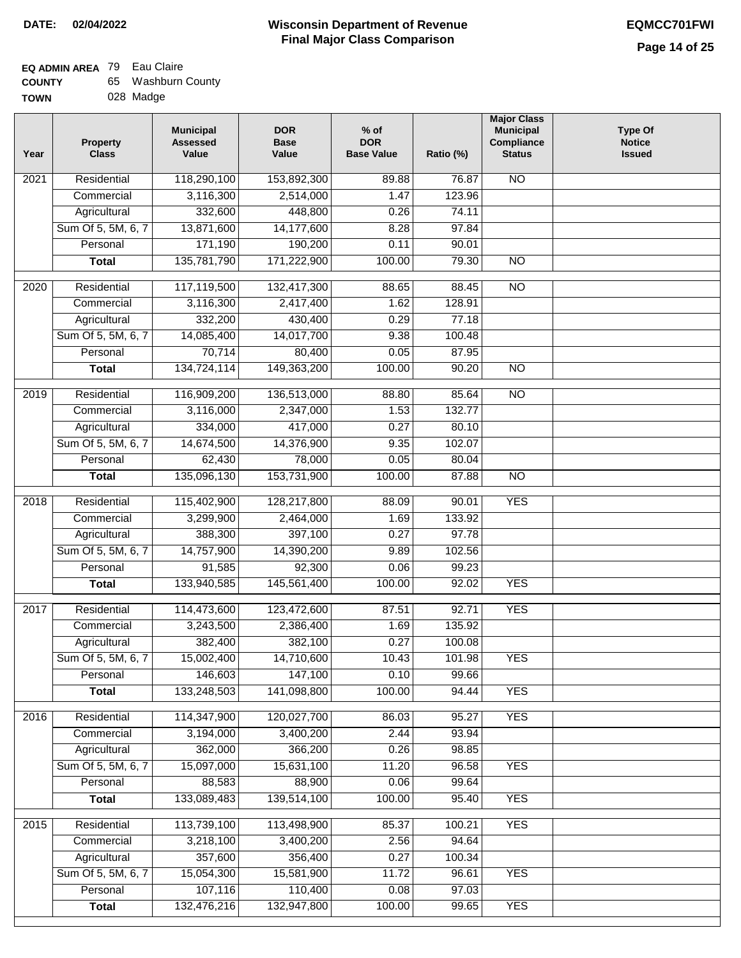٦

#### **EQ ADMIN AREA** 79 Eau Claire **COUNTY** 65 Washburn County

| uuun 1      | ີ | ,,,,,,,,,,,, |
|-------------|---|--------------|
| <b>TOWN</b> |   | 028 Madge    |

| Year             | <b>Property</b><br><b>Class</b> | <b>Municipal</b><br><b>Assessed</b><br>Value | <b>DOR</b><br><b>Base</b><br>Value | $%$ of<br><b>DOR</b><br><b>Base Value</b> | Ratio (%) | <b>Major Class</b><br><b>Municipal</b><br>Compliance<br><b>Status</b> | <b>Type Of</b><br><b>Notice</b><br><b>Issued</b> |
|------------------|---------------------------------|----------------------------------------------|------------------------------------|-------------------------------------------|-----------|-----------------------------------------------------------------------|--------------------------------------------------|
| 2021             | Residential                     | 118,290,100                                  | 153,892,300                        | 89.88                                     | 76.87     | $\overline{NO}$                                                       |                                                  |
|                  | Commercial                      | 3,116,300                                    | 2,514,000                          | 1.47                                      | 123.96    |                                                                       |                                                  |
|                  | Agricultural                    | 332,600                                      | 448,800                            | 0.26                                      | 74.11     |                                                                       |                                                  |
|                  | Sum Of 5, 5M, 6, 7              | 13,871,600                                   | 14,177,600                         | 8.28                                      | 97.84     |                                                                       |                                                  |
|                  | Personal                        | 171,190                                      | 190,200                            | 0.11                                      | 90.01     |                                                                       |                                                  |
|                  | <b>Total</b>                    | 135,781,790                                  | 171,222,900                        | 100.00                                    | 79.30     | $\overline{NO}$                                                       |                                                  |
| $\frac{1}{2020}$ | Residential                     | 117,119,500                                  | 132,417,300                        | 88.65                                     | 88.45     | $\overline{NO}$                                                       |                                                  |
|                  | Commercial                      | 3,116,300                                    | 2,417,400                          | 1.62                                      | 128.91    |                                                                       |                                                  |
|                  | Agricultural                    | 332,200                                      | 430,400                            | 0.29                                      | 77.18     |                                                                       |                                                  |
|                  | Sum Of 5, 5M, 6, 7              | 14,085,400                                   | 14,017,700                         | 9.38                                      | 100.48    |                                                                       |                                                  |
|                  | Personal                        | 70,714                                       | 80,400                             | 0.05                                      | 87.95     |                                                                       |                                                  |
|                  | <b>Total</b>                    | 134,724,114                                  | 149,363,200                        | 100.00                                    | 90.20     | $\overline{NO}$                                                       |                                                  |
| $\frac{1}{2019}$ | Residential                     | 116,909,200                                  | 136,513,000                        | 88.80                                     | 85.64     | $\overline{NO}$                                                       |                                                  |
|                  | Commercial                      | 3,116,000                                    | 2,347,000                          | 1.53                                      | 132.77    |                                                                       |                                                  |
|                  | Agricultural                    | 334,000                                      | 417,000                            | 0.27                                      | 80.10     |                                                                       |                                                  |
|                  | Sum Of 5, 5M, 6, 7              | 14,674,500                                   | 14,376,900                         | 9.35                                      | 102.07    |                                                                       |                                                  |
|                  | Personal                        | 62,430                                       | 78,000                             | 0.05                                      | 80.04     |                                                                       |                                                  |
|                  | <b>Total</b>                    | 135,096,130                                  | 153,731,900                        | 100.00                                    | 87.88     | $\overline{NO}$                                                       |                                                  |
|                  |                                 |                                              |                                    |                                           |           |                                                                       |                                                  |
| 2018             | Residential                     | 115,402,900                                  | 128,217,800                        | 88.09                                     | 90.01     | <b>YES</b>                                                            |                                                  |
|                  | Commercial                      | 3,299,900                                    | 2,464,000                          | 1.69                                      | 133.92    |                                                                       |                                                  |
|                  | Agricultural                    | 388,300                                      | 397,100                            | 0.27                                      | 97.78     |                                                                       |                                                  |
|                  | Sum Of 5, 5M, 6, 7              | 14,757,900                                   | 14,390,200                         | 9.89                                      | 102.56    |                                                                       |                                                  |
|                  | Personal                        | 91,585                                       | 92,300                             | 0.06                                      | 99.23     |                                                                       |                                                  |
|                  | <b>Total</b>                    | 133,940,585                                  | 145,561,400                        | 100.00                                    | 92.02     | <b>YES</b>                                                            |                                                  |
| 2017             | Residential                     | 114,473,600                                  | 123,472,600                        | 87.51                                     | 92.71     | <b>YES</b>                                                            |                                                  |
|                  | Commercial                      | 3,243,500                                    | 2,386,400                          | 1.69                                      | 135.92    |                                                                       |                                                  |
|                  | Agricultural                    | 382,400                                      | 382,100                            | 0.27                                      | 100.08    |                                                                       |                                                  |
|                  | Sum Of 5, 5M, 6, 7              | 15,002,400                                   | 14,710,600                         | 10.43                                     | 101.98    | <b>YES</b>                                                            |                                                  |
|                  | Personal                        | 146,603                                      | 147,100                            | 0.10                                      | 99.66     |                                                                       |                                                  |
|                  | <b>Total</b>                    | 133,248,503                                  | 141,098,800                        | 100.00                                    | 94.44     | <b>YES</b>                                                            |                                                  |
| 2016             | Residential                     | 114,347,900                                  | 120,027,700                        | 86.03                                     | 95.27     | <b>YES</b>                                                            |                                                  |
|                  | Commercial                      | 3,194,000                                    | 3,400,200                          | 2.44                                      | 93.94     |                                                                       |                                                  |
|                  | Agricultural                    | 362,000                                      | 366,200                            | 0.26                                      | 98.85     |                                                                       |                                                  |
|                  | Sum Of 5, 5M, 6, 7              | 15,097,000                                   | 15,631,100                         | 11.20                                     | 96.58     | <b>YES</b>                                                            |                                                  |
|                  | Personal                        | 88,583                                       | 88,900                             | 0.06                                      | 99.64     |                                                                       |                                                  |
|                  | <b>Total</b>                    | 133,089,483                                  | 139,514,100                        | 100.00                                    | 95.40     | <b>YES</b>                                                            |                                                  |
| 2015             | Residential                     | 113,739,100                                  | 113,498,900                        | 85.37                                     | 100.21    | <b>YES</b>                                                            |                                                  |
|                  | Commercial                      | 3,218,100                                    | 3,400,200                          |                                           | 94.64     |                                                                       |                                                  |
|                  | Agricultural                    | 357,600                                      | 356,400                            | 2.56<br>0.27                              | 100.34    |                                                                       |                                                  |
|                  | Sum Of 5, 5M, 6, 7              | 15,054,300                                   | 15,581,900                         | 11.72                                     | 96.61     | <b>YES</b>                                                            |                                                  |
|                  | Personal                        | 107,116                                      | 110,400                            | 0.08                                      | 97.03     |                                                                       |                                                  |
|                  | <b>Total</b>                    | 132,476,216                                  | 132,947,800                        | 100.00                                    | 99.65     | <b>YES</b>                                                            |                                                  |
|                  |                                 |                                              |                                    |                                           |           |                                                                       |                                                  |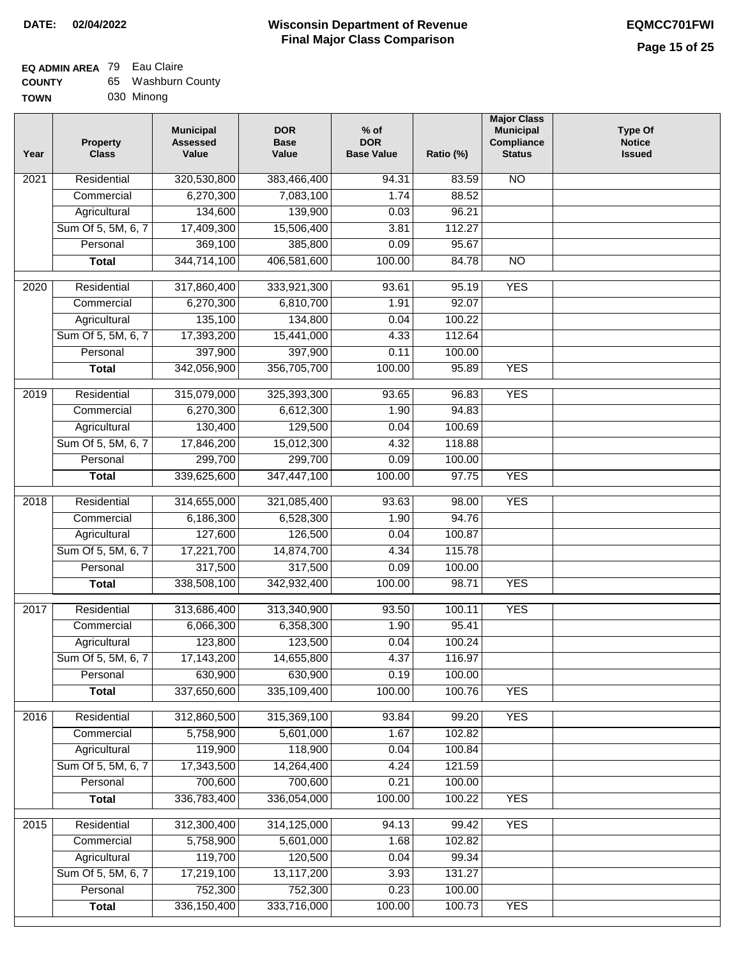#### **Wisconsin Department of Revenue Final Major Class Comparison DATE: 02/04/2022 EQMCC701FWI**

#### **EQ ADMIN AREA** 79 Eau Claire

| <b>COUNTY</b> | 65 Washburn County |
|---------------|--------------------|
| <b>TOWN</b>   | 030 Minong         |

| Year | <b>Property</b><br><b>Class</b> | <b>Municipal</b><br><b>Assessed</b><br>Value | <b>DOR</b><br><b>Base</b><br>Value | $%$ of<br><b>DOR</b><br><b>Base Value</b> | Ratio (%) | <b>Major Class</b><br><b>Municipal</b><br>Compliance<br><b>Status</b> | <b>Type Of</b><br><b>Notice</b><br><b>Issued</b> |
|------|---------------------------------|----------------------------------------------|------------------------------------|-------------------------------------------|-----------|-----------------------------------------------------------------------|--------------------------------------------------|
| 2021 | Residential                     | 320,530,800                                  | 383,466,400                        | 94.31                                     | 83.59     | $\overline{NO}$                                                       |                                                  |
|      | Commercial                      | 6,270,300                                    | 7,083,100                          | 1.74                                      | 88.52     |                                                                       |                                                  |
|      | Agricultural                    | 134,600                                      | 139,900                            | 0.03                                      | 96.21     |                                                                       |                                                  |
|      | Sum Of 5, 5M, 6, 7              | 17,409,300                                   | 15,506,400                         | 3.81                                      | 112.27    |                                                                       |                                                  |
|      | Personal                        | 369,100                                      | 385,800                            | 0.09                                      | 95.67     |                                                                       |                                                  |
|      | <b>Total</b>                    | 344,714,100                                  | 406,581,600                        | 100.00                                    | 84.78     | $\overline{NO}$                                                       |                                                  |
| 2020 | Residential                     | 317,860,400                                  | 333,921,300                        | 93.61                                     | 95.19     | <b>YES</b>                                                            |                                                  |
|      | Commercial                      | 6,270,300                                    | 6,810,700                          | 1.91                                      | 92.07     |                                                                       |                                                  |
|      | Agricultural                    | 135,100                                      | 134,800                            | 0.04                                      | 100.22    |                                                                       |                                                  |
|      | Sum Of 5, 5M, 6, 7              | 17,393,200                                   | 15,441,000                         | 4.33                                      | 112.64    |                                                                       |                                                  |
|      | Personal                        | 397,900                                      | 397,900                            | 0.11                                      | 100.00    |                                                                       |                                                  |
|      | <b>Total</b>                    | 342,056,900                                  | 356,705,700                        | 100.00                                    | 95.89     | <b>YES</b>                                                            |                                                  |
| 2019 | Residential                     | 315,079,000                                  | 325,393,300                        | 93.65                                     | 96.83     | <b>YES</b>                                                            |                                                  |
|      | Commercial                      | 6,270,300                                    | 6,612,300                          | 1.90                                      | 94.83     |                                                                       |                                                  |
|      | Agricultural                    | 130,400                                      | 129,500                            | 0.04                                      | 100.69    |                                                                       |                                                  |
|      | Sum Of 5, 5M, 6, 7              | 17,846,200                                   | 15,012,300                         | 4.32                                      | 118.88    |                                                                       |                                                  |
|      | Personal                        | 299,700                                      | 299,700                            | 0.09                                      | 100.00    |                                                                       |                                                  |
|      | <b>Total</b>                    | 339,625,600                                  | 347,447,100                        | 100.00                                    | 97.75     | <b>YES</b>                                                            |                                                  |
|      |                                 |                                              |                                    |                                           |           |                                                                       |                                                  |
| 2018 | Residential                     | 314,655,000                                  | 321,085,400                        | 93.63                                     | 98.00     | <b>YES</b>                                                            |                                                  |
|      | Commercial                      | 6,186,300                                    | 6,528,300                          | 1.90                                      | 94.76     |                                                                       |                                                  |
|      | Agricultural                    | 127,600                                      | 126,500                            | 0.04                                      | 100.87    |                                                                       |                                                  |
|      | Sum Of 5, 5M, 6, 7              | 17,221,700                                   | 14,874,700                         | 4.34                                      | 115.78    |                                                                       |                                                  |
|      | Personal                        | 317,500                                      | 317,500                            | 0.09                                      | 100.00    |                                                                       |                                                  |
|      | <b>Total</b>                    | 338,508,100                                  | 342,932,400                        | 100.00                                    | 98.71     | <b>YES</b>                                                            |                                                  |
| 2017 | Residential                     | 313,686,400                                  | 313,340,900                        | 93.50                                     | 100.11    | <b>YES</b>                                                            |                                                  |
|      | Commercial                      | 6,066,300                                    | 6,358,300                          | 1.90                                      | 95.41     |                                                                       |                                                  |
|      | Agricultural                    | 123,800                                      | 123,500                            | 0.04                                      | 100.24    |                                                                       |                                                  |
|      | Sum Of 5, 5M, 6, 7              | 17,143,200                                   | 14,655,800                         | 4.37                                      | 116.97    |                                                                       |                                                  |
|      | Personal                        | 630,900                                      | 630,900                            | 0.19                                      | 100.00    |                                                                       |                                                  |
|      | <b>Total</b>                    | 337,650,600                                  | 335,109,400                        | 100.00                                    | 100.76    | <b>YES</b>                                                            |                                                  |
| 2016 | Residential                     | 312,860,500                                  | 315,369,100                        | 93.84                                     | 99.20     | <b>YES</b>                                                            |                                                  |
|      | Commercial                      | 5,758,900                                    | 5,601,000                          | 1.67                                      | 102.82    |                                                                       |                                                  |
|      | Agricultural                    | 119,900                                      | 118,900                            | 0.04                                      | 100.84    |                                                                       |                                                  |
|      | Sum Of 5, 5M, 6, 7              | 17,343,500                                   | 14,264,400                         | 4.24                                      | 121.59    |                                                                       |                                                  |
|      | Personal                        | 700,600                                      | 700,600                            | 0.21                                      | 100.00    |                                                                       |                                                  |
|      | <b>Total</b>                    | 336,783,400                                  | 336,054,000                        | 100.00                                    | 100.22    | <b>YES</b>                                                            |                                                  |
| 2015 | Residential                     | 312,300,400                                  | 314,125,000                        | 94.13                                     | 99.42     | <b>YES</b>                                                            |                                                  |
|      | Commercial                      | 5,758,900                                    | 5,601,000                          | 1.68                                      | 102.82    |                                                                       |                                                  |
|      | Agricultural                    | 119,700                                      | 120,500                            | 0.04                                      | 99.34     |                                                                       |                                                  |
|      | Sum Of 5, 5M, 6, 7              | 17,219,100                                   | 13,117,200                         | 3.93                                      | 131.27    |                                                                       |                                                  |
|      | Personal                        | 752,300                                      | 752,300                            | 0.23                                      | 100.00    |                                                                       |                                                  |
|      | <b>Total</b>                    | 336, 150, 400                                | 333,716,000                        | 100.00                                    | 100.73    | <b>YES</b>                                                            |                                                  |
|      |                                 |                                              |                                    |                                           |           |                                                                       |                                                  |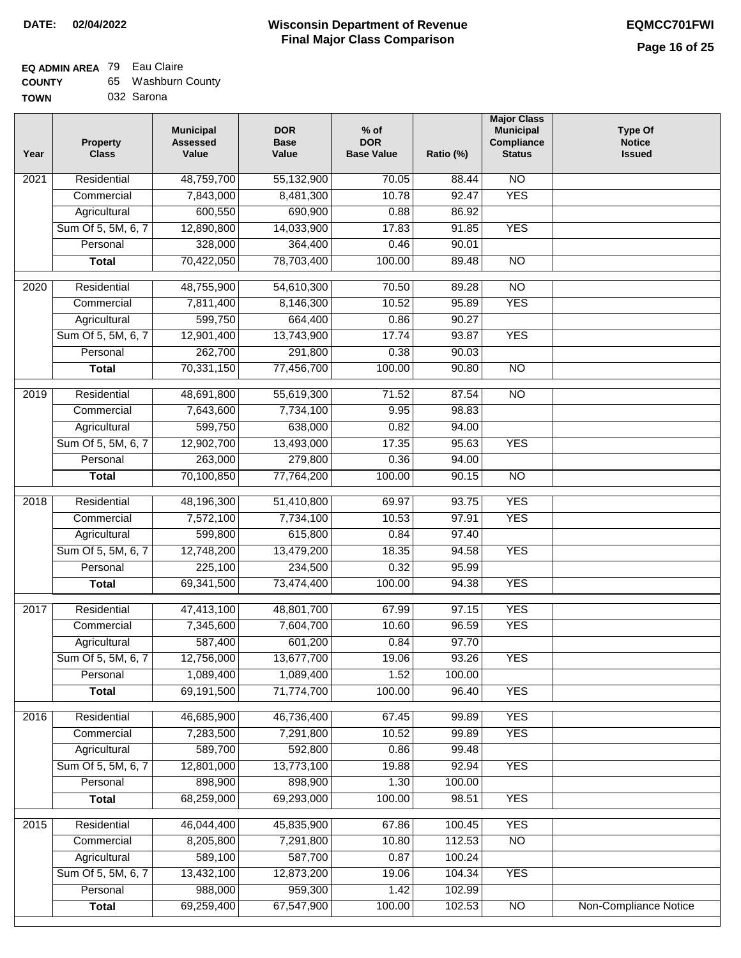#### **Wisconsin Department of Revenue Final Major Class Comparison DATE: 02/04/2022 EQMCC701FWI**

### **EQ ADMIN AREA** 79 Eau Claire **COUNTY**

| <b>COUNTY</b> | 65 Washburn County |
|---------------|--------------------|
| <b>TOWN</b>   | 032 Sarona         |

| Year             | <b>Property</b><br><b>Class</b> | <b>Municipal</b><br><b>Assessed</b><br>Value | <b>DOR</b><br><b>Base</b><br>Value | $%$ of<br><b>DOR</b><br><b>Base Value</b> | Ratio (%) | <b>Major Class</b><br><b>Municipal</b><br>Compliance<br><b>Status</b> | <b>Type Of</b><br><b>Notice</b><br><b>Issued</b> |
|------------------|---------------------------------|----------------------------------------------|------------------------------------|-------------------------------------------|-----------|-----------------------------------------------------------------------|--------------------------------------------------|
| 2021             | Residential                     | 48,759,700                                   | 55,132,900                         | 70.05                                     | 88.44     | $\overline{NO}$                                                       |                                                  |
|                  | Commercial                      | 7,843,000                                    | 8,481,300                          | 10.78                                     | 92.47     | <b>YES</b>                                                            |                                                  |
|                  | Agricultural                    | 600,550                                      | 690,900                            | 0.88                                      | 86.92     |                                                                       |                                                  |
|                  | Sum Of 5, 5M, 6, 7              | 12,890,800                                   | 14,033,900                         | 17.83                                     | 91.85     | <b>YES</b>                                                            |                                                  |
|                  | Personal                        | 328,000                                      | 364,400                            | 0.46                                      | 90.01     |                                                                       |                                                  |
|                  | <b>Total</b>                    | 70,422,050                                   | 78,703,400                         | 100.00                                    | 89.48     | $\overline{NO}$                                                       |                                                  |
| $\frac{1}{2020}$ | Residential                     | 48,755,900                                   | 54,610,300                         | 70.50                                     | 89.28     | $\overline{NO}$                                                       |                                                  |
|                  | Commercial                      | 7,811,400                                    | 8,146,300                          | 10.52                                     | 95.89     | <b>YES</b>                                                            |                                                  |
|                  | Agricultural                    | 599,750                                      | 664,400                            | 0.86                                      | 90.27     |                                                                       |                                                  |
|                  | Sum Of 5, 5M, 6, 7              | 12,901,400                                   | 13,743,900                         | 17.74                                     | 93.87     | <b>YES</b>                                                            |                                                  |
|                  | Personal                        | 262,700                                      | 291,800                            | 0.38                                      | 90.03     |                                                                       |                                                  |
|                  | <b>Total</b>                    | 70,331,150                                   | 77,456,700                         | 100.00                                    | 90.80     | $\overline{NO}$                                                       |                                                  |
| $\frac{1}{2019}$ | Residential                     | 48,691,800                                   | 55,619,300                         | 71.52                                     | 87.54     | $\overline{NO}$                                                       |                                                  |
|                  | Commercial                      | 7,643,600                                    | 7,734,100                          | 9.95                                      | 98.83     |                                                                       |                                                  |
|                  | Agricultural                    | 599,750                                      | 638,000                            | 0.82                                      | 94.00     |                                                                       |                                                  |
|                  | Sum Of 5, 5M, 6, 7              | 12,902,700                                   | 13,493,000                         | 17.35                                     | 95.63     | <b>YES</b>                                                            |                                                  |
|                  | Personal                        | 263,000                                      | 279,800                            | 0.36                                      | 94.00     |                                                                       |                                                  |
|                  | <b>Total</b>                    | 70,100,850                                   | 77,764,200                         | 100.00                                    | 90.15     | $\overline{NO}$                                                       |                                                  |
|                  |                                 |                                              |                                    |                                           |           |                                                                       |                                                  |
| 2018             | Residential                     | 48,196,300                                   | 51,410,800                         | 69.97                                     | 93.75     | <b>YES</b>                                                            |                                                  |
|                  | Commercial                      | 7,572,100                                    | 7,734,100                          | 10.53                                     | 97.91     | <b>YES</b>                                                            |                                                  |
|                  | Agricultural                    | 599,800                                      | 615,800                            | 0.84                                      | 97.40     |                                                                       |                                                  |
|                  | Sum Of 5, 5M, 6, 7              | 12,748,200                                   | 13,479,200                         | 18.35                                     | 94.58     | <b>YES</b>                                                            |                                                  |
|                  | Personal                        | 225,100                                      | 234,500                            | 0.32                                      | 95.99     |                                                                       |                                                  |
|                  | <b>Total</b>                    | 69,341,500                                   | 73,474,400                         | 100.00                                    | 94.38     | <b>YES</b>                                                            |                                                  |
| 2017             | Residential                     | 47,413,100                                   | 48,801,700                         | 67.99                                     | 97.15     | <b>YES</b>                                                            |                                                  |
|                  | Commercial                      | 7,345,600                                    | 7,604,700                          | 10.60                                     | 96.59     | <b>YES</b>                                                            |                                                  |
|                  | Agricultural                    | 587,400                                      | 601,200                            | 0.84                                      | 97.70     |                                                                       |                                                  |
|                  | Sum Of 5, 5M, 6, 7              | 12,756,000                                   | 13,677,700                         | 19.06                                     | 93.26     | <b>YES</b>                                                            |                                                  |
|                  | Personal                        | 1,089,400                                    | 1,089,400                          | 1.52                                      | 100.00    |                                                                       |                                                  |
|                  | <b>Total</b>                    | 69,191,500                                   | 71,774,700                         | 100.00                                    | 96.40     | <b>YES</b>                                                            |                                                  |
| 2016             | Residential                     | 46,685,900                                   | 46,736,400                         | 67.45                                     | 99.89     | <b>YES</b>                                                            |                                                  |
|                  | Commercial                      | 7,283,500                                    | 7,291,800                          | 10.52                                     | 99.89     | <b>YES</b>                                                            |                                                  |
|                  | Agricultural                    | 589,700                                      | 592,800                            | 0.86                                      | 99.48     |                                                                       |                                                  |
|                  | Sum Of 5, 5M, 6, 7              | 12,801,000                                   | 13,773,100                         | 19.88                                     | 92.94     | <b>YES</b>                                                            |                                                  |
|                  | Personal                        | 898,900                                      | 898,900                            | 1.30                                      | 100.00    |                                                                       |                                                  |
|                  | <b>Total</b>                    | 68,259,000                                   | 69,293,000                         | 100.00                                    | 98.51     | <b>YES</b>                                                            |                                                  |
|                  |                                 |                                              |                                    |                                           |           |                                                                       |                                                  |
| 2015             | Residential                     | 46,044,400                                   | 45,835,900                         | 67.86                                     | 100.45    | <b>YES</b>                                                            |                                                  |
|                  | Commercial                      | 8,205,800                                    | 7,291,800                          | 10.80                                     | 112.53    | $\overline{NO}$                                                       |                                                  |
|                  | Agricultural                    | 589,100                                      | 587,700                            | 0.87                                      | 100.24    |                                                                       |                                                  |
|                  | Sum Of 5, 5M, 6, 7              | 13,432,100                                   | 12,873,200                         | 19.06                                     | 104.34    | <b>YES</b>                                                            |                                                  |
|                  | Personal                        | 988,000<br>69,259,400                        | 959,300<br>67,547,900              | 1.42<br>100.00                            | 102.99    | $\overline{NO}$                                                       |                                                  |
|                  | <b>Total</b>                    |                                              |                                    |                                           | 102.53    |                                                                       | Non-Compliance Notice                            |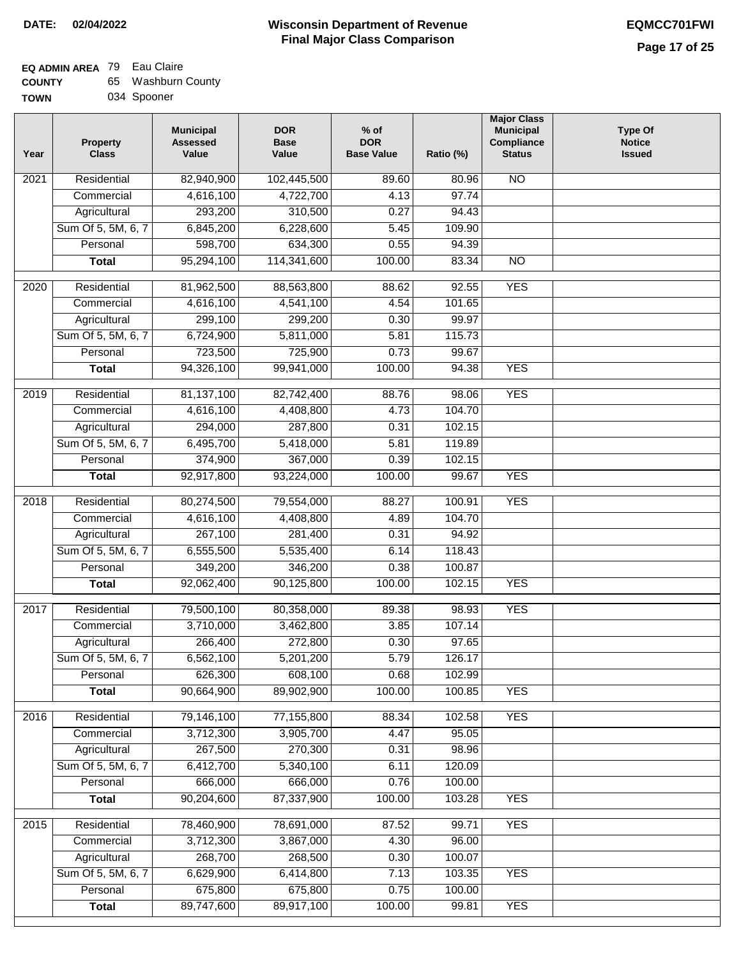| <b>COUNTY</b> | 65 Washburn County |
|---------------|--------------------|
| <b>TOWN</b>   | 034 Spooner        |

|  | 034 Spooner |
|--|-------------|
|--|-------------|

| Year              | <b>Property</b><br><b>Class</b>    | <b>Municipal</b><br><b>Assessed</b><br>Value | <b>DOR</b><br><b>Base</b><br>Value | $%$ of<br><b>DOR</b><br><b>Base Value</b> | Ratio (%) | <b>Major Class</b><br><b>Municipal</b><br>Compliance<br><b>Status</b> | <b>Type Of</b><br><b>Notice</b><br><b>Issued</b> |
|-------------------|------------------------------------|----------------------------------------------|------------------------------------|-------------------------------------------|-----------|-----------------------------------------------------------------------|--------------------------------------------------|
| 2021              | Residential                        | 82,940,900                                   | 102,445,500                        | 89.60                                     | 80.96     | <b>NO</b>                                                             |                                                  |
|                   | Commercial                         | 4,616,100                                    | 4,722,700                          | 4.13                                      | 97.74     |                                                                       |                                                  |
|                   | Agricultural                       | 293,200                                      | 310,500                            | 0.27                                      | 94.43     |                                                                       |                                                  |
|                   | Sum Of 5, 5M, 6, 7                 | 6,845,200                                    | 6,228,600                          | 5.45                                      | 109.90    |                                                                       |                                                  |
|                   | Personal                           | 598,700                                      | 634,300                            | 0.55                                      | 94.39     |                                                                       |                                                  |
|                   | <b>Total</b>                       | 95,294,100                                   | 114,341,600                        | 100.00                                    | 83.34     | $\overline{NO}$                                                       |                                                  |
| $\overline{2020}$ | Residential                        | 81,962,500                                   | 88,563,800                         | 88.62                                     | 92.55     | <b>YES</b>                                                            |                                                  |
|                   | Commercial                         | 4,616,100                                    | 4,541,100                          | 4.54                                      | 101.65    |                                                                       |                                                  |
|                   | Agricultural                       | 299,100                                      | 299,200                            | 0.30                                      | 99.97     |                                                                       |                                                  |
|                   | Sum Of 5, 5M, 6, 7                 | 6,724,900                                    | 5,811,000                          | 5.81                                      | 115.73    |                                                                       |                                                  |
|                   | Personal                           | 723,500                                      | 725,900                            | 0.73                                      | 99.67     |                                                                       |                                                  |
|                   | <b>Total</b>                       | 94,326,100                                   | 99,941,000                         | 100.00                                    | 94.38     | <b>YES</b>                                                            |                                                  |
| 2019              | Residential                        |                                              | 82,742,400                         |                                           | 98.06     | <b>YES</b>                                                            |                                                  |
|                   | Commercial                         | 81,137,100<br>4,616,100                      |                                    | 88.76<br>4.73                             | 104.70    |                                                                       |                                                  |
|                   |                                    | 294,000                                      | 4,408,800<br>287,800               | 0.31                                      | 102.15    |                                                                       |                                                  |
|                   | Agricultural<br>Sum Of 5, 5M, 6, 7 | 6,495,700                                    | 5,418,000                          | 5.81                                      |           |                                                                       |                                                  |
|                   |                                    |                                              |                                    | 0.39                                      | 119.89    |                                                                       |                                                  |
|                   | Personal                           | 374,900                                      | 367,000                            |                                           | 102.15    | <b>YES</b>                                                            |                                                  |
|                   | <b>Total</b>                       | 92,917,800                                   | 93,224,000                         | 100.00                                    | 99.67     |                                                                       |                                                  |
| 2018              | Residential                        | 80,274,500                                   | 79,554,000                         | 88.27                                     | 100.91    | <b>YES</b>                                                            |                                                  |
|                   | Commercial                         | 4,616,100                                    | 4,408,800                          | 4.89                                      | 104.70    |                                                                       |                                                  |
|                   | Agricultural                       | 267,100                                      | 281,400                            | 0.31                                      | 94.92     |                                                                       |                                                  |
|                   | Sum Of 5, 5M, 6, 7                 | 6,555,500                                    | 5,535,400                          | 6.14                                      | 118.43    |                                                                       |                                                  |
|                   | Personal                           | 349,200                                      | 346,200                            | 0.38                                      | 100.87    |                                                                       |                                                  |
|                   | <b>Total</b>                       | 92,062,400                                   | 90,125,800                         | 100.00                                    | 102.15    | <b>YES</b>                                                            |                                                  |
| 2017              | Residential                        | 79,500,100                                   | 80,358,000                         | 89.38                                     | 98.93     | <b>YES</b>                                                            |                                                  |
|                   | Commercial                         | 3,710,000                                    | 3,462,800                          | 3.85                                      | 107.14    |                                                                       |                                                  |
|                   | Agricultural                       | 266,400                                      | 272,800                            | 0.30                                      | 97.65     |                                                                       |                                                  |
|                   | Sum Of 5, 5M, 6, 7                 | 6,562,100                                    | 5,201,200                          | 5.79                                      | 126.17    |                                                                       |                                                  |
|                   | Personal                           | 626,300                                      | 608,100                            | 0.68                                      | 102.99    |                                                                       |                                                  |
|                   | <b>Total</b>                       | 90,664,900                                   | 89,902,900                         | 100.00                                    | 100.85    | <b>YES</b>                                                            |                                                  |
| 2016              | Residential                        | 79,146,100                                   | 77,155,800                         | 88.34                                     | 102.58    | <b>YES</b>                                                            |                                                  |
|                   | Commercial                         | 3,712,300                                    | 3,905,700                          | 4.47                                      | 95.05     |                                                                       |                                                  |
|                   | Agricultural                       | 267,500                                      | 270,300                            | 0.31                                      | 98.96     |                                                                       |                                                  |
|                   | Sum Of 5, 5M, 6, 7                 | 6,412,700                                    | 5,340,100                          | 6.11                                      | 120.09    |                                                                       |                                                  |
|                   | Personal                           | 666,000                                      | 666,000                            | 0.76                                      | 100.00    |                                                                       |                                                  |
|                   | <b>Total</b>                       | 90,204,600                                   | 87,337,900                         | 100.00                                    | 103.28    | <b>YES</b>                                                            |                                                  |
|                   |                                    |                                              |                                    |                                           |           |                                                                       |                                                  |
| 2015              | Residential                        | 78,460,900                                   | 78,691,000                         | 87.52                                     | 99.71     | <b>YES</b>                                                            |                                                  |
|                   | Commercial                         | 3,712,300                                    | 3,867,000                          | 4.30                                      | 96.00     |                                                                       |                                                  |
|                   | Agricultural                       | 268,700                                      | 268,500                            | 0.30                                      | 100.07    |                                                                       |                                                  |
|                   | Sum Of 5, 5M, 6, 7                 | 6,629,900                                    | 6,414,800                          | 7.13                                      | 103.35    | <b>YES</b>                                                            |                                                  |
|                   | Personal                           | 675,800                                      | 675,800                            | 0.75                                      | 100.00    |                                                                       |                                                  |
|                   | <b>Total</b>                       | 89,747,600                                   | 89,917,100                         | 100.00                                    | 99.81     | <b>YES</b>                                                            |                                                  |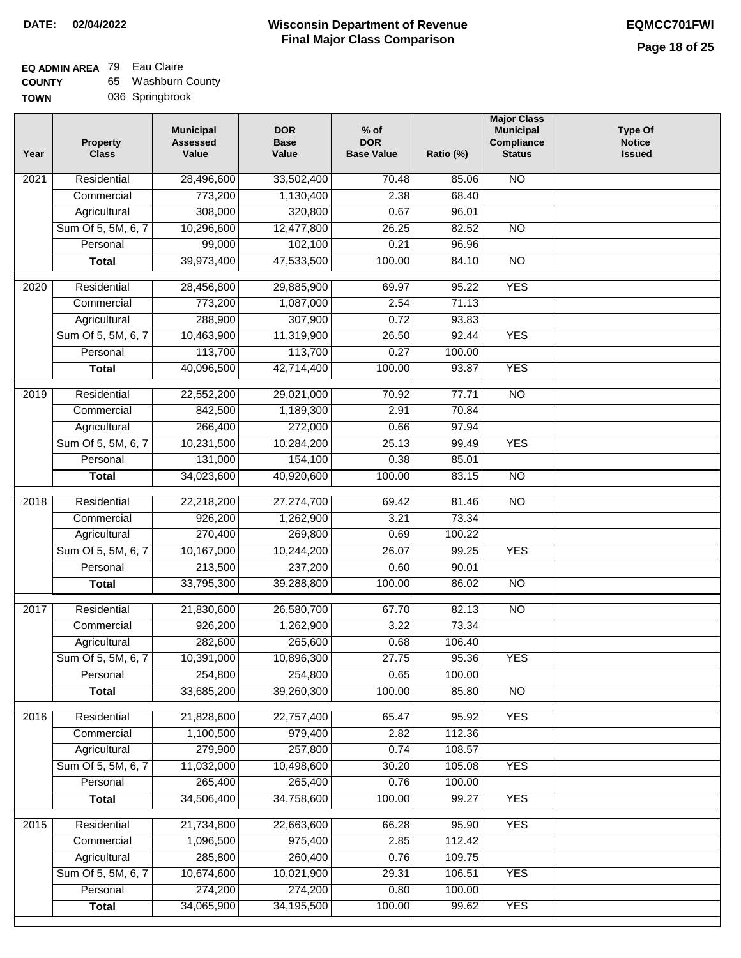### **Wisconsin Department of Revenue DATE: 02/04/2022 EQMCC701FWI Final Major Class Comparison**

**Ratio (%)** 

**Major Class Municipal Compliance Status**

**Type Of Notice Issued**

| <b>COUNTY</b> | 65 Washburn County |
|---------------|--------------------|
|---------------|--------------------|

| <b>TOWN</b> |                                 | 036 Springbrook                              |                                    |                                           |  |
|-------------|---------------------------------|----------------------------------------------|------------------------------------|-------------------------------------------|--|
| Year        | <b>Property</b><br><b>Class</b> | <b>Municipal</b><br><b>Assessed</b><br>Value | <b>DOR</b><br><b>Base</b><br>Value | $%$ of<br><b>DOR</b><br><b>Base Value</b> |  |
| 2021        | Residential                     | 28,496,600                                   | 33,502,400                         | 70.                                       |  |
|             | Commercial                      | 773,200                                      | 1,130,400                          | 2.3                                       |  |
|             | $A$ arioultural                 | aus uuu                                      | 220 PM                             | $\Omega$                                  |  |

| 2021              | Residential        | 28,496,600 | 33,502,400 | 70.48  | 85.06  | $\overline{NO}$ |  |
|-------------------|--------------------|------------|------------|--------|--------|-----------------|--|
|                   | Commercial         | 773,200    | 1,130,400  | 2.38   | 68.40  |                 |  |
|                   | Agricultural       | 308,000    | 320,800    | 0.67   | 96.01  |                 |  |
|                   | Sum Of 5, 5M, 6, 7 | 10,296,600 | 12,477,800 | 26.25  | 82.52  | $\overline{NO}$ |  |
|                   | Personal           | 99,000     | 102,100    | 0.21   | 96.96  |                 |  |
|                   | <b>Total</b>       | 39,973,400 | 47,533,500 | 100.00 | 84.10  | $\overline{NO}$ |  |
| $\overline{2020}$ | Residential        | 28,456,800 | 29,885,900 | 69.97  | 95.22  | <b>YES</b>      |  |
|                   | Commercial         | 773,200    | 1,087,000  | 2.54   | 71.13  |                 |  |
|                   | Agricultural       | 288,900    | 307,900    | 0.72   | 93.83  |                 |  |
|                   | Sum Of 5, 5M, 6, 7 | 10,463,900 | 11,319,900 | 26.50  | 92.44  | <b>YES</b>      |  |
|                   | Personal           | 113,700    | 113,700    | 0.27   | 100.00 |                 |  |
|                   | <b>Total</b>       | 40,096,500 | 42,714,400 | 100.00 | 93.87  | <b>YES</b>      |  |
| $\frac{2019}{ }$  | Residential        | 22,552,200 | 29,021,000 | 70.92  | 77.71  | $\overline{NO}$ |  |
|                   | Commercial         | 842,500    | 1,189,300  | 2.91   | 70.84  |                 |  |
|                   | Agricultural       | 266,400    | 272,000    | 0.66   | 97.94  |                 |  |
|                   | Sum Of 5, 5M, 6, 7 | 10,231,500 | 10,284,200 | 25.13  | 99.49  | <b>YES</b>      |  |
|                   | Personal           | 131,000    | 154,100    | 0.38   | 85.01  |                 |  |
|                   | <b>Total</b>       | 34,023,600 | 40,920,600 | 100.00 | 83.15  | $\overline{NO}$ |  |
|                   |                    |            |            |        |        |                 |  |
| 2018              | Residential        | 22,218,200 | 27,274,700 | 69.42  | 81.46  | $\overline{NO}$ |  |
|                   | Commercial         | 926,200    | 1,262,900  | 3.21   | 73.34  |                 |  |
|                   | Agricultural       | 270,400    | 269,800    | 0.69   | 100.22 |                 |  |
|                   | Sum Of 5, 5M, 6, 7 | 10,167,000 | 10,244,200 | 26.07  | 99.25  | <b>YES</b>      |  |
|                   | Personal           | 213,500    | 237,200    | 0.60   | 90.01  |                 |  |
|                   | <b>Total</b>       | 33,795,300 | 39,288,800 | 100.00 | 86.02  | <b>NO</b>       |  |
| 2017              | Residential        | 21,830,600 | 26,580,700 | 67.70  | 82.13  | $\overline{NO}$ |  |
|                   | Commercial         | 926,200    | 1,262,900  | 3.22   | 73.34  |                 |  |
|                   | Agricultural       | 282,600    | 265,600    | 0.68   | 106.40 |                 |  |
|                   | Sum Of 5, 5M, 6, 7 | 10,391,000 | 10,896,300 | 27.75  | 95.36  | <b>YES</b>      |  |
|                   | Personal           | 254,800    | 254,800    | 0.65   | 100.00 |                 |  |
|                   | <b>Total</b>       | 33,685,200 | 39,260,300 | 100.00 | 85.80  | $\overline{NO}$ |  |
| 2016              | Residential        | 21,828,600 | 22,757,400 | 65.47  | 95.92  | <b>YES</b>      |  |
|                   | Commercial         | 1,100,500  | 979,400    | 2.82   | 112.36 |                 |  |
|                   | Agricultural       | 279,900    | 257,800    | 0.74   | 108.57 |                 |  |
|                   | Sum Of 5, 5M, 6, 7 | 11,032,000 | 10,498,600 | 30.20  | 105.08 | <b>YES</b>      |  |
|                   | Personal           | 265,400    | 265,400    | 0.76   | 100.00 |                 |  |
|                   | <b>Total</b>       | 34,506,400 | 34,758,600 | 100.00 | 99.27  | <b>YES</b>      |  |
| 2015              | Residential        | 21,734,800 | 22,663,600 | 66.28  | 95.90  | <b>YES</b>      |  |
|                   | Commercial         | 1,096,500  | 975,400    | 2.85   | 112.42 |                 |  |
|                   | Agricultural       | 285,800    | 260,400    | 0.76   | 109.75 |                 |  |
|                   | Sum Of 5, 5M, 6, 7 | 10,674,600 | 10,021,900 | 29.31  | 106.51 | <b>YES</b>      |  |
|                   | Personal           | 274,200    | 274,200    | 0.80   | 100.00 |                 |  |
|                   | <b>Total</b>       | 34,065,900 | 34,195,500 | 100.00 | 99.62  | <b>YES</b>      |  |
|                   |                    |            |            |        |        |                 |  |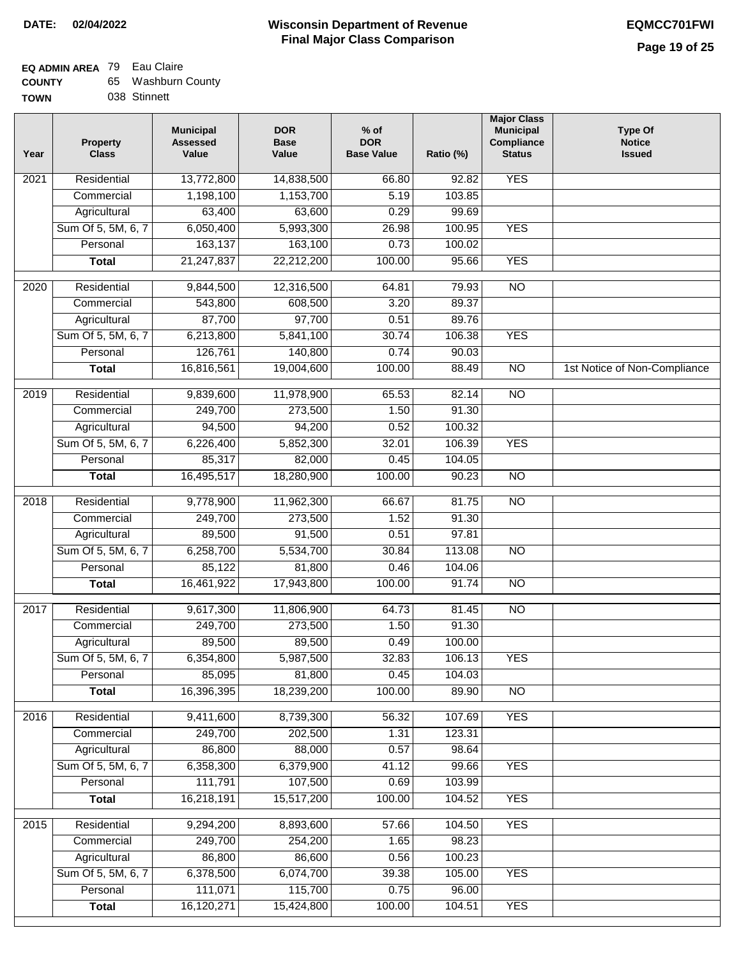| <b>COUNTY</b> | 65 Washburn County |
|---------------|--------------------|
| <b>TOWN</b>   | 038 Stinnett       |

| Year              | <b>Property</b><br><b>Class</b> | <b>Municipal</b><br><b>Assessed</b><br>Value | <b>DOR</b><br><b>Base</b><br>Value | $%$ of<br><b>DOR</b><br><b>Base Value</b> | Ratio (%) | <b>Major Class</b><br><b>Municipal</b><br>Compliance<br><b>Status</b> | <b>Type Of</b><br><b>Notice</b><br><b>Issued</b> |
|-------------------|---------------------------------|----------------------------------------------|------------------------------------|-------------------------------------------|-----------|-----------------------------------------------------------------------|--------------------------------------------------|
| 2021              | Residential                     | 13,772,800                                   | 14,838,500                         | 66.80                                     | 92.82     | <b>YES</b>                                                            |                                                  |
|                   | Commercial                      | 1,198,100                                    | 1,153,700                          | 5.19                                      | 103.85    |                                                                       |                                                  |
|                   | Agricultural                    | 63,400                                       | 63,600                             | 0.29                                      | 99.69     |                                                                       |                                                  |
|                   | Sum Of 5, 5M, 6, 7              | 6,050,400                                    | 5,993,300                          | 26.98                                     | 100.95    | <b>YES</b>                                                            |                                                  |
|                   | Personal                        | 163,137                                      | 163,100                            | 0.73                                      | 100.02    |                                                                       |                                                  |
|                   | <b>Total</b>                    | 21,247,837                                   | 22,212,200                         | 100.00                                    | 95.66     | <b>YES</b>                                                            |                                                  |
| $\overline{2020}$ | Residential                     | 9,844,500                                    | 12,316,500                         | 64.81                                     | 79.93     | $\overline{NO}$                                                       |                                                  |
|                   | Commercial                      | 543,800                                      | 608,500                            | 3.20                                      | 89.37     |                                                                       |                                                  |
|                   | Agricultural                    | 87,700                                       | 97,700                             | 0.51                                      | 89.76     |                                                                       |                                                  |
|                   | Sum Of 5, 5M, 6, 7              | 6,213,800                                    | 5,841,100                          | 30.74                                     | 106.38    | <b>YES</b>                                                            |                                                  |
|                   | Personal                        | 126,761                                      | 140,800                            | 0.74                                      | 90.03     |                                                                       |                                                  |
|                   | <b>Total</b>                    | 16,816,561                                   | 19,004,600                         | 100.00                                    | 88.49     | $\overline{NO}$                                                       | 1st Notice of Non-Compliance                     |
| 2019              | Residential                     | 9,839,600                                    | 11,978,900                         | 65.53                                     | 82.14     | $\overline{NO}$                                                       |                                                  |
|                   | Commercial                      | 249,700                                      | 273,500                            | 1.50                                      | 91.30     |                                                                       |                                                  |
|                   | Agricultural                    | 94,500                                       | 94,200                             | 0.52                                      | 100.32    |                                                                       |                                                  |
|                   | Sum Of 5, 5M, 6, 7              | 6,226,400                                    | 5,852,300                          | 32.01                                     | 106.39    | <b>YES</b>                                                            |                                                  |
|                   | Personal                        | 85,317                                       | 82,000                             | 0.45                                      | 104.05    |                                                                       |                                                  |
|                   | <b>Total</b>                    | 16,495,517                                   | 18,280,900                         | 100.00                                    | 90.23     | $\overline{NO}$                                                       |                                                  |
|                   |                                 |                                              |                                    |                                           |           |                                                                       |                                                  |
| 2018              | Residential                     | 9,778,900                                    | 11,962,300                         | 66.67                                     | 81.75     | $\overline{NO}$                                                       |                                                  |
|                   | Commercial                      | 249,700                                      | 273,500                            | 1.52                                      | 91.30     |                                                                       |                                                  |
|                   | Agricultural                    | 89,500                                       | 91,500                             | 0.51                                      | 97.81     |                                                                       |                                                  |
|                   | Sum Of 5, 5M, 6, 7              | 6,258,700                                    | 5,534,700                          | 30.84                                     | 113.08    | <b>NO</b>                                                             |                                                  |
|                   | Personal                        | 85,122                                       | 81,800                             | 0.46                                      | 104.06    |                                                                       |                                                  |
|                   | <b>Total</b>                    | 16,461,922                                   | 17,943,800                         | 100.00                                    | 91.74     | $\overline{10}$                                                       |                                                  |
| 2017              | Residential                     | 9,617,300                                    | 11,806,900                         | 64.73                                     | 81.45     | <b>NO</b>                                                             |                                                  |
|                   | Commercial                      | 249,700                                      | 273,500                            | 1.50                                      | 91.30     |                                                                       |                                                  |
|                   | Agricultural                    | 89,500                                       | 89,500                             | 0.49                                      | 100.00    |                                                                       |                                                  |
|                   | Sum Of 5, 5M, 6, 7              | 6,354,800                                    | 5,987,500                          | 32.83                                     | 106.13    | <b>YES</b>                                                            |                                                  |
|                   | Personal                        | 85,095                                       | 81,800                             | 0.45                                      | 104.03    |                                                                       |                                                  |
|                   | <b>Total</b>                    | 16,396,395                                   | 18,239,200                         | 100.00                                    | 89.90     | $\overline{30}$                                                       |                                                  |
| 2016              | Residential                     | 9,411,600                                    | 8,739,300                          | 56.32                                     | 107.69    | <b>YES</b>                                                            |                                                  |
|                   | Commercial                      | 249,700                                      | 202,500                            | 1.31                                      | 123.31    |                                                                       |                                                  |
|                   | Agricultural                    | 86,800                                       | 88,000                             | 0.57                                      | 98.64     |                                                                       |                                                  |
|                   | Sum Of 5, 5M, 6, 7              | 6,358,300                                    | 6,379,900                          | 41.12                                     | 99.66     | <b>YES</b>                                                            |                                                  |
|                   | Personal                        | 111,791                                      | 107,500                            | 0.69                                      | 103.99    |                                                                       |                                                  |
|                   | <b>Total</b>                    | 16,218,191                                   | 15,517,200                         | 100.00                                    | 104.52    | <b>YES</b>                                                            |                                                  |
| 2015              | Residential                     | 9,294,200                                    | 8,893,600                          | 57.66                                     | 104.50    | <b>YES</b>                                                            |                                                  |
|                   | Commercial                      | 249,700                                      | 254,200                            | 1.65                                      | 98.23     |                                                                       |                                                  |
|                   | Agricultural                    | 86,800                                       | 86,600                             | 0.56                                      | 100.23    |                                                                       |                                                  |
|                   | Sum Of 5, 5M, 6, 7              | 6,378,500                                    | 6,074,700                          | 39.38                                     | 105.00    | <b>YES</b>                                                            |                                                  |
|                   | Personal                        | 111,071                                      | 115,700                            | 0.75                                      | 96.00     |                                                                       |                                                  |
|                   | <b>Total</b>                    | 16,120,271                                   | 15,424,800                         | 100.00                                    | 104.51    | <b>YES</b>                                                            |                                                  |
|                   |                                 |                                              |                                    |                                           |           |                                                                       |                                                  |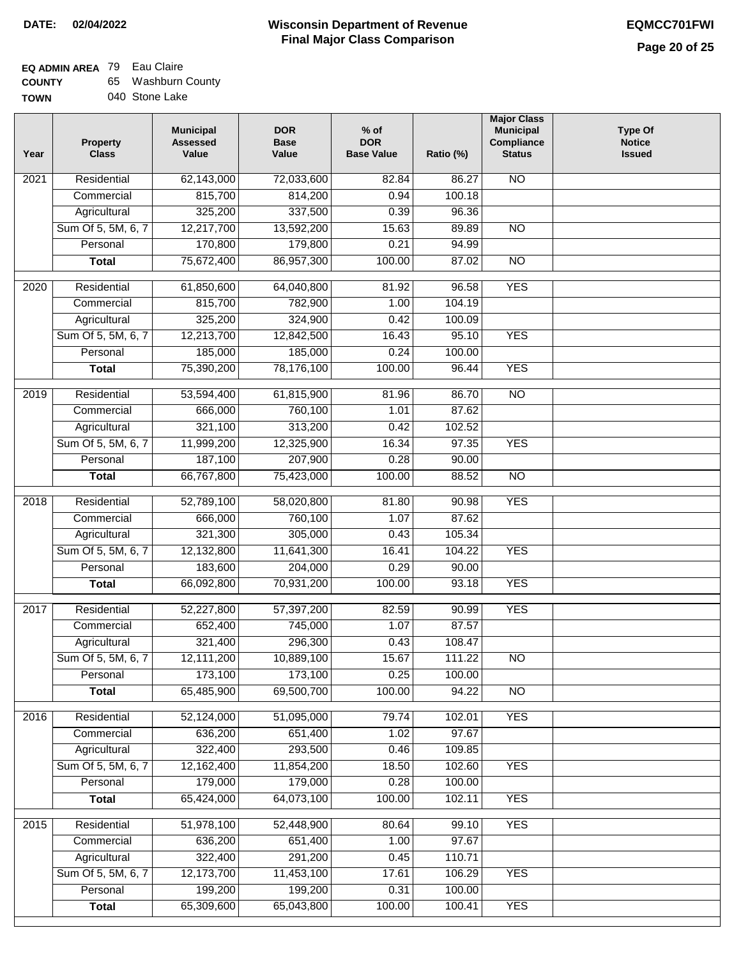### **Wisconsin Department of Revenue DATE: 02/04/2022 EQMCC701FWI Final Major Class Comparison**

## **EQ ADMIN AREA** 79 Eau Claire

| <b>COUNTY</b> | 65 Washburn County |
|---------------|--------------------|
| <b>TOWN</b>   | 040 Stone Lake     |

| Year             | <b>Property</b><br><b>Class</b> | <b>Municipal</b><br><b>Assessed</b><br>Value | <b>DOR</b><br><b>Base</b><br>Value | $%$ of<br><b>DOR</b><br><b>Base Value</b> | Ratio (%) | <b>Major Class</b><br><b>Municipal</b><br>Compliance<br><b>Status</b> | <b>Type Of</b><br><b>Notice</b><br><b>Issued</b> |
|------------------|---------------------------------|----------------------------------------------|------------------------------------|-------------------------------------------|-----------|-----------------------------------------------------------------------|--------------------------------------------------|
| 2021             | Residential                     | 62,143,000                                   | 72,033,600                         | 82.84                                     | 86.27     | $\overline{NO}$                                                       |                                                  |
|                  | Commercial                      | 815,700                                      | 814,200                            | 0.94                                      | 100.18    |                                                                       |                                                  |
|                  | Agricultural                    | 325,200                                      | 337,500                            | 0.39                                      | 96.36     |                                                                       |                                                  |
|                  | Sum Of 5, 5M, 6, 7              | 12,217,700                                   | 13,592,200                         | 15.63                                     | 89.89     | $\overline{NO}$                                                       |                                                  |
|                  | Personal                        | 170,800                                      | 179,800                            | 0.21                                      | 94.99     |                                                                       |                                                  |
|                  | <b>Total</b>                    | 75,672,400                                   | 86,957,300                         | 100.00                                    | 87.02     | $\overline{NO}$                                                       |                                                  |
| 2020             | Residential                     | 61,850,600                                   | 64,040,800                         | 81.92                                     | 96.58     | <b>YES</b>                                                            |                                                  |
|                  | Commercial                      | 815,700                                      | 782,900                            | 1.00                                      | 104.19    |                                                                       |                                                  |
|                  | Agricultural                    | 325,200                                      | 324,900                            | 0.42                                      | 100.09    |                                                                       |                                                  |
|                  | Sum Of 5, 5M, 6, 7              | 12,213,700                                   | 12,842,500                         | 16.43                                     | 95.10     | <b>YES</b>                                                            |                                                  |
|                  | Personal                        | 185,000                                      | 185,000                            | 0.24                                      | 100.00    |                                                                       |                                                  |
|                  | <b>Total</b>                    | 75,390,200                                   | 78,176,100                         | 100.00                                    | 96.44     | <b>YES</b>                                                            |                                                  |
|                  |                                 |                                              |                                    |                                           |           |                                                                       |                                                  |
| $\frac{1}{2019}$ | Residential                     | 53,594,400                                   | 61,815,900                         | 81.96                                     | 86.70     | $\overline{NO}$                                                       |                                                  |
|                  | Commercial                      | 666,000                                      | 760,100                            | 1.01                                      | 87.62     |                                                                       |                                                  |
|                  | Agricultural                    | 321,100                                      | 313,200                            | 0.42                                      | 102.52    |                                                                       |                                                  |
|                  | Sum Of 5, 5M, 6, 7              | 11,999,200                                   | 12,325,900                         | 16.34                                     | 97.35     | <b>YES</b>                                                            |                                                  |
|                  | Personal                        | 187,100                                      | 207,900                            | 0.28                                      | 90.00     |                                                                       |                                                  |
|                  | <b>Total</b>                    | 66,767,800                                   | 75,423,000                         | 100.00                                    | 88.52     | $\overline{NO}$                                                       |                                                  |
| 2018             | Residential                     | 52,789,100                                   | 58,020,800                         | 81.80                                     | 90.98     | <b>YES</b>                                                            |                                                  |
|                  | Commercial                      | 666,000                                      | 760,100                            | 1.07                                      | 87.62     |                                                                       |                                                  |
|                  | Agricultural                    | 321,300                                      | 305,000                            | 0.43                                      | 105.34    |                                                                       |                                                  |
|                  | Sum Of 5, 5M, 6, 7              | 12,132,800                                   | 11,641,300                         | 16.41                                     | 104.22    | <b>YES</b>                                                            |                                                  |
|                  | Personal                        | 183,600                                      | 204,000                            | 0.29                                      | 90.00     |                                                                       |                                                  |
|                  | <b>Total</b>                    | 66,092,800                                   | 70,931,200                         | 100.00                                    | 93.18     | <b>YES</b>                                                            |                                                  |
| 2017             | Residential                     | 52,227,800                                   | 57,397,200                         | 82.59                                     | 90.99     | <b>YES</b>                                                            |                                                  |
|                  | Commercial                      | 652,400                                      | 745,000                            | 1.07                                      | 87.57     |                                                                       |                                                  |
|                  | Agricultural                    | 321,400                                      | 296,300                            | 0.43                                      | 108.47    |                                                                       |                                                  |
|                  | Sum Of 5, 5M, 6, 7              | 12,111,200                                   | 10,889,100                         | 15.67                                     | 111.22    | <b>NO</b>                                                             |                                                  |
|                  | Personal                        | 173,100                                      | 173,100                            | 0.25                                      | 100.00    |                                                                       |                                                  |
|                  | <b>Total</b>                    | 65,485,900                                   | 69,500,700                         | 100.00                                    | 94.22     | N <sub>O</sub>                                                        |                                                  |
| 2016             | Residential                     | 52,124,000                                   | 51,095,000                         | 79.74                                     | 102.01    | <b>YES</b>                                                            |                                                  |
|                  | Commercial                      | 636,200                                      | 651,400                            | 1.02                                      | 97.67     |                                                                       |                                                  |
|                  | Agricultural                    | 322,400                                      | 293,500                            | 0.46                                      | 109.85    |                                                                       |                                                  |
|                  | Sum Of 5, 5M, 6, 7              | 12,162,400                                   | 11,854,200                         | 18.50                                     | 102.60    | <b>YES</b>                                                            |                                                  |
|                  | Personal                        | 179,000                                      | 179,000                            | 0.28                                      | 100.00    |                                                                       |                                                  |
|                  | <b>Total</b>                    | 65,424,000                                   | 64,073,100                         | 100.00                                    | 102.11    | <b>YES</b>                                                            |                                                  |
| 2015             | Residential                     | 51,978,100                                   | 52,448,900                         | 80.64                                     | 99.10     | <b>YES</b>                                                            |                                                  |
|                  | Commercial                      | 636,200                                      | 651,400                            | 1.00                                      | 97.67     |                                                                       |                                                  |
|                  | Agricultural                    | 322,400                                      | 291,200                            | 0.45                                      | 110.71    |                                                                       |                                                  |
|                  | Sum Of 5, 5M, 6, 7              | 12,173,700                                   | 11,453,100                         | 17.61                                     | 106.29    | <b>YES</b>                                                            |                                                  |
|                  | Personal                        | 199,200                                      | 199,200                            | 0.31                                      | 100.00    |                                                                       |                                                  |
|                  | <b>Total</b>                    | 65,309,600                                   | 65,043,800                         | 100.00                                    | 100.41    | <b>YES</b>                                                            |                                                  |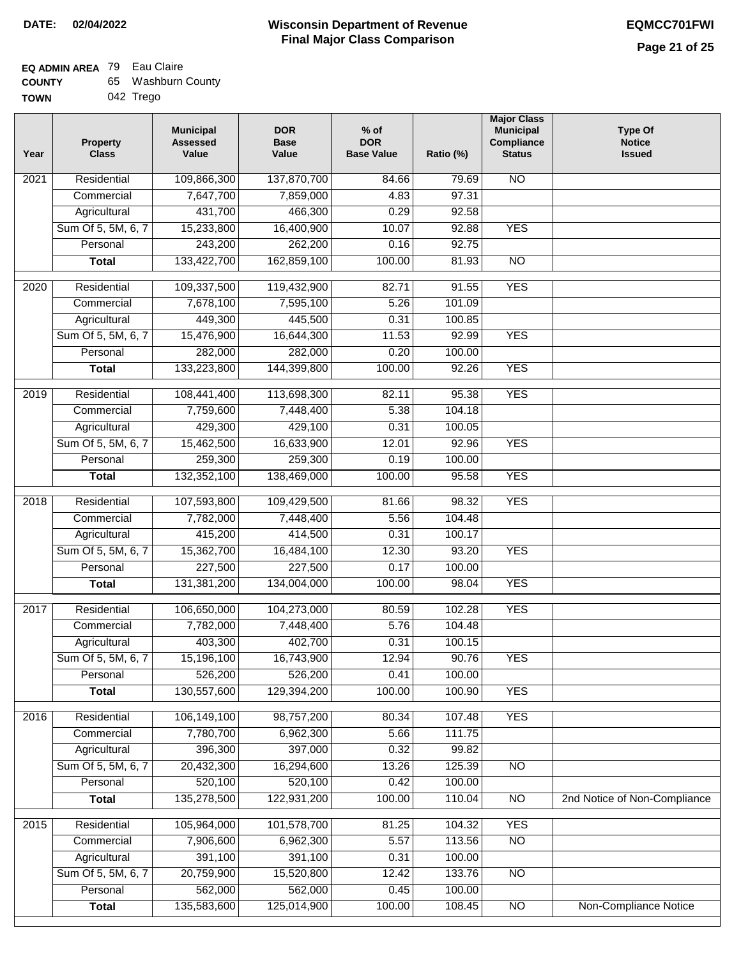#### **Wisconsin Department of Revenue Final Major Class Comparison DATE: 02/04/2022 EQMCC701FWI**

#### **EQ ADMIN AREA** 79 Eau Claire **COUNTY** 65 Washburn County

| <b>UUUILI</b> | ື |           |
|---------------|---|-----------|
| <b>TOWN</b>   |   | 042 Trego |

| Year | <b>Property</b><br><b>Class</b> | <b>Municipal</b><br><b>Assessed</b><br>Value | <b>DOR</b><br><b>Base</b><br>Value | $%$ of<br><b>DOR</b><br><b>Base Value</b> | Ratio (%) | <b>Major Class</b><br><b>Municipal</b><br>Compliance<br><b>Status</b> | <b>Type Of</b><br><b>Notice</b><br><b>Issued</b> |
|------|---------------------------------|----------------------------------------------|------------------------------------|-------------------------------------------|-----------|-----------------------------------------------------------------------|--------------------------------------------------|
| 2021 | Residential                     | 109,866,300                                  | 137,870,700                        | 84.66                                     | 79.69     | $\overline{NO}$                                                       |                                                  |
|      | Commercial                      | 7,647,700                                    | 7,859,000                          | 4.83                                      | 97.31     |                                                                       |                                                  |
|      | Agricultural                    | 431,700                                      | 466,300                            | 0.29                                      | 92.58     |                                                                       |                                                  |
|      | Sum Of 5, 5M, 6, 7              | 15,233,800                                   | 16,400,900                         | 10.07                                     | 92.88     | <b>YES</b>                                                            |                                                  |
|      | Personal                        | 243,200                                      | 262,200                            | 0.16                                      | 92.75     |                                                                       |                                                  |
|      | <b>Total</b>                    | 133,422,700                                  | 162,859,100                        | 100.00                                    | 81.93     | $\overline{NO}$                                                       |                                                  |
| 2020 | Residential                     | 109,337,500                                  | 119,432,900                        | 82.71                                     | 91.55     | <b>YES</b>                                                            |                                                  |
|      | Commercial                      | 7,678,100                                    | 7,595,100                          | 5.26                                      | 101.09    |                                                                       |                                                  |
|      | Agricultural                    | 449,300                                      | 445,500                            | 0.31                                      | 100.85    |                                                                       |                                                  |
|      | Sum Of 5, 5M, 6, 7              | 15,476,900                                   | 16,644,300                         | 11.53                                     | 92.99     | <b>YES</b>                                                            |                                                  |
|      | Personal                        | 282,000                                      | 282,000                            | 0.20                                      | 100.00    |                                                                       |                                                  |
|      | <b>Total</b>                    | 133,223,800                                  | 144,399,800                        | 100.00                                    | 92.26     | <b>YES</b>                                                            |                                                  |
| 2019 | Residential                     | 108,441,400                                  | 113,698,300                        | 82.11                                     | 95.38     | <b>YES</b>                                                            |                                                  |
|      | Commercial                      | 7,759,600                                    | 7,448,400                          | 5.38                                      | 104.18    |                                                                       |                                                  |
|      | Agricultural                    | 429,300                                      | 429,100                            | 0.31                                      | 100.05    |                                                                       |                                                  |
|      | Sum Of 5, 5M, 6, 7              | 15,462,500                                   | 16,633,900                         | 12.01                                     | 92.96     | <b>YES</b>                                                            |                                                  |
|      | Personal                        | 259,300                                      | 259,300                            | 0.19                                      | 100.00    |                                                                       |                                                  |
|      | <b>Total</b>                    | 132,352,100                                  | 138,469,000                        | 100.00                                    | 95.58     | <b>YES</b>                                                            |                                                  |
| 2018 | Residential                     | 107,593,800                                  | 109,429,500                        | 81.66                                     | 98.32     | <b>YES</b>                                                            |                                                  |
|      | Commercial                      | 7,782,000                                    | 7,448,400                          | 5.56                                      | 104.48    |                                                                       |                                                  |
|      | Agricultural                    | 415,200                                      | 414,500                            | 0.31                                      | 100.17    |                                                                       |                                                  |
|      | Sum Of 5, 5M, 6, 7              | 15,362,700                                   | 16,484,100                         | 12.30                                     | 93.20     | <b>YES</b>                                                            |                                                  |
|      | Personal                        | 227,500                                      | 227,500                            | 0.17                                      | 100.00    |                                                                       |                                                  |
|      | <b>Total</b>                    | 131,381,200                                  | 134,004,000                        | 100.00                                    | 98.04     | <b>YES</b>                                                            |                                                  |
| 2017 | Residential                     | 106,650,000                                  | 104,273,000                        | 80.59                                     | 102.28    | <b>YES</b>                                                            |                                                  |
|      | Commercial                      | 7,782,000                                    | 7,448,400                          | 5.76                                      | 104.48    |                                                                       |                                                  |
|      | Agricultural                    | 403,300                                      | 402,700                            | 0.31                                      | 100.15    |                                                                       |                                                  |
|      | Sum Of 5, 5M, 6, 7              | 15,196,100                                   | 16,743,900                         | 12.94                                     | 90.76     | <b>YES</b>                                                            |                                                  |
|      | Personal                        | 526,200                                      | 526,200                            | 0.41                                      | 100.00    |                                                                       |                                                  |
|      | <b>Total</b>                    | 130,557,600                                  | 129,394,200                        | 100.00                                    | 100.90    | <b>YES</b>                                                            |                                                  |
|      |                                 |                                              |                                    |                                           |           |                                                                       |                                                  |
| 2016 | Residential                     | 106,149,100                                  | 98,757,200                         | 80.34                                     | 107.48    | <b>YES</b>                                                            |                                                  |
|      | Commercial                      | 7,780,700                                    | 6,962,300                          | 5.66                                      | 111.75    |                                                                       |                                                  |
|      | Agricultural                    | 396,300                                      | 397,000                            | 0.32                                      | 99.82     |                                                                       |                                                  |
|      | Sum Of 5, 5M, 6, 7              | 20,432,300                                   | 16,294,600                         | 13.26                                     | 125.39    | <b>NO</b>                                                             |                                                  |
|      | Personal                        | 520,100                                      | 520,100                            | 0.42                                      | 100.00    |                                                                       |                                                  |
|      | <b>Total</b>                    | 135,278,500                                  | 122,931,200                        | 100.00                                    | 110.04    | $\overline{NO}$                                                       | 2nd Notice of Non-Compliance                     |
| 2015 | Residential                     | 105,964,000                                  | 101,578,700                        | 81.25                                     | 104.32    | <b>YES</b>                                                            |                                                  |
|      | Commercial                      | 7,906,600                                    | 6,962,300                          | 5.57                                      | 113.56    | $\overline{NO}$                                                       |                                                  |
|      | Agricultural                    | 391,100                                      | 391,100                            | 0.31                                      | 100.00    |                                                                       |                                                  |
|      | Sum Of 5, 5M, 6, 7              | 20,759,900                                   | 15,520,800                         | 12.42                                     | 133.76    | <b>NO</b>                                                             |                                                  |
|      | Personal                        | 562,000                                      | 562,000                            | 0.45                                      | 100.00    |                                                                       |                                                  |
|      | <b>Total</b>                    | 135,583,600                                  | 125,014,900                        | 100.00                                    | 108.45    | $\overline{NO}$                                                       | Non-Compliance Notice                            |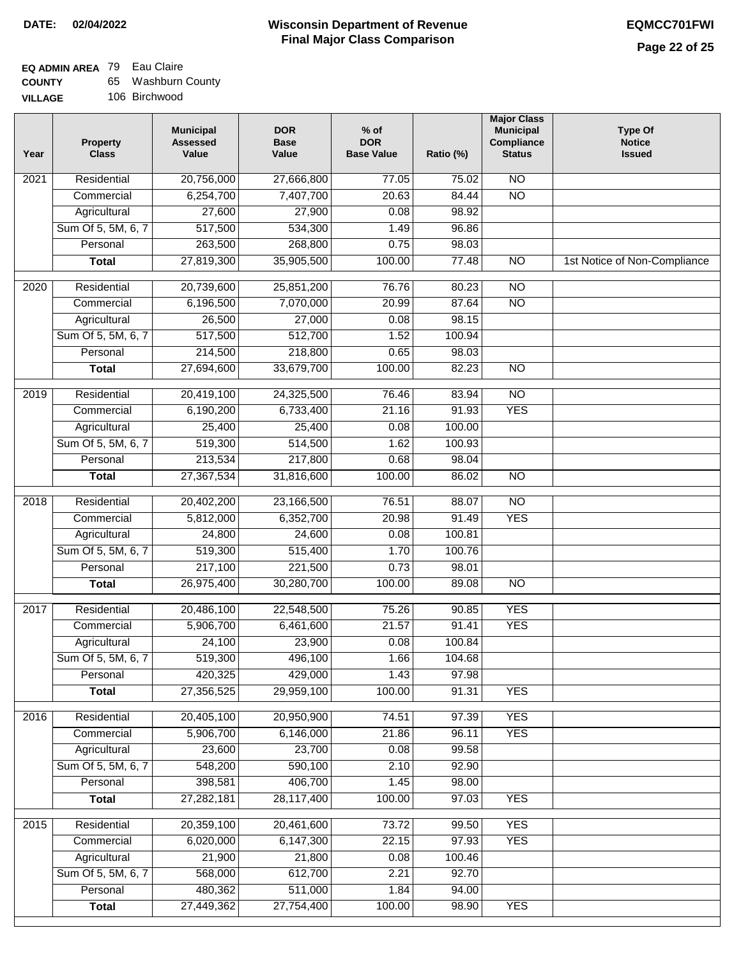| <b>COUNTY</b>  | 65 Washburn County |
|----------------|--------------------|
| <b>VILLAGE</b> | 106 Birchwood      |

| ЭE | 106 Birchwood |
|----|---------------|
|    |               |

| Year | <b>Property</b><br><b>Class</b> | <b>Municipal</b><br><b>Assessed</b><br>Value | <b>DOR</b><br><b>Base</b><br>Value | $%$ of<br><b>DOR</b><br><b>Base Value</b> | Ratio (%) | <b>Major Class</b><br><b>Municipal</b><br>Compliance<br><b>Status</b> | <b>Type Of</b><br><b>Notice</b><br><b>Issued</b> |
|------|---------------------------------|----------------------------------------------|------------------------------------|-------------------------------------------|-----------|-----------------------------------------------------------------------|--------------------------------------------------|
| 2021 | Residential                     | 20,756,000                                   | 27,666,800                         | 77.05                                     | 75.02     | $\overline{NO}$                                                       |                                                  |
|      | Commercial                      | 6,254,700                                    | 7,407,700                          | 20.63                                     | 84.44     | N <sub>O</sub>                                                        |                                                  |
|      | Agricultural                    | 27,600                                       | 27,900                             | 0.08                                      | 98.92     |                                                                       |                                                  |
|      | Sum Of 5, 5M, 6, 7              | 517,500                                      | 534,300                            | 1.49                                      | 96.86     |                                                                       |                                                  |
|      | Personal                        | 263,500                                      | 268,800                            | 0.75                                      | 98.03     |                                                                       |                                                  |
|      | <b>Total</b>                    | 27,819,300                                   | 35,905,500                         | 100.00                                    | 77.48     | $\overline{NO}$                                                       | 1st Notice of Non-Compliance                     |
| 2020 | Residential                     | 20,739,600                                   | 25,851,200                         | 76.76                                     | 80.23     | $\overline{NO}$                                                       |                                                  |
|      | Commercial                      | 6,196,500                                    | 7,070,000                          | 20.99                                     | 87.64     | $\overline{NO}$                                                       |                                                  |
|      | Agricultural                    | 26,500                                       | 27,000                             | 0.08                                      | 98.15     |                                                                       |                                                  |
|      | Sum Of 5, 5M, 6, 7              | 517,500                                      | 512,700                            | 1.52                                      | 100.94    |                                                                       |                                                  |
|      | Personal                        | 214,500                                      | 218,800                            | 0.65                                      | 98.03     |                                                                       |                                                  |
|      | <b>Total</b>                    | 27,694,600                                   | 33,679,700                         | 100.00                                    | 82.23     | $\overline{NO}$                                                       |                                                  |
| 2019 | Residential                     | 20,419,100                                   | 24,325,500                         | 76.46                                     | 83.94     | $\overline{NO}$                                                       |                                                  |
|      | Commercial                      | 6,190,200                                    | 6,733,400                          | 21.16                                     | 91.93     | <b>YES</b>                                                            |                                                  |
|      | Agricultural                    | 25,400                                       | 25,400                             | 0.08                                      | 100.00    |                                                                       |                                                  |
|      | Sum Of 5, 5M, 6, 7              | 519,300                                      | 514,500                            | 1.62                                      | 100.93    |                                                                       |                                                  |
|      | Personal                        | 213,534                                      | 217,800                            | 0.68                                      | 98.04     |                                                                       |                                                  |
|      | <b>Total</b>                    | 27,367,534                                   | 31,816,600                         | 100.00                                    | 86.02     | $\overline{NO}$                                                       |                                                  |
| 2018 | Residential                     | 20,402,200                                   | 23,166,500                         | 76.51                                     | 88.07     | $\overline{NO}$                                                       |                                                  |
|      | Commercial                      | 5,812,000                                    | 6,352,700                          | 20.98                                     | 91.49     | <b>YES</b>                                                            |                                                  |
|      | Agricultural                    | 24,800                                       | 24,600                             | 0.08                                      | 100.81    |                                                                       |                                                  |
|      | Sum Of 5, 5M, 6, 7              | 519,300                                      | 515,400                            | 1.70                                      | 100.76    |                                                                       |                                                  |
|      | Personal                        | 217,100                                      | 221,500                            | 0.73                                      | 98.01     |                                                                       |                                                  |
|      | <b>Total</b>                    | 26,975,400                                   | 30,280,700                         | 100.00                                    | 89.08     | $\overline{NO}$                                                       |                                                  |
| 2017 | Residential                     | 20,486,100                                   | 22,548,500                         | 75.26                                     | 90.85     | <b>YES</b>                                                            |                                                  |
|      | Commercial                      | 5,906,700                                    | 6,461,600                          | 21.57                                     | 91.41     | <b>YES</b>                                                            |                                                  |
|      | Agricultural                    | 24,100                                       | 23,900                             | 0.08                                      | 100.84    |                                                                       |                                                  |
|      | Sum Of 5, 5M, 6, 7              | 519,300                                      | 496,100                            | 1.66                                      | 104.68    |                                                                       |                                                  |
|      | Personal                        | 420,325                                      | 429,000                            | 1.43                                      | 97.98     |                                                                       |                                                  |
|      | <b>Total</b>                    | 27,356,525                                   | 29,959,100                         | 100.00                                    | 91.31     | <b>YES</b>                                                            |                                                  |
|      |                                 |                                              |                                    |                                           |           |                                                                       |                                                  |
| 2016 | Residential                     | 20,405,100                                   | 20,950,900                         | 74.51                                     | 97.39     | <b>YES</b>                                                            |                                                  |
|      | Commercial                      | 5,906,700                                    | 6,146,000                          | 21.86                                     | 96.11     | <b>YES</b>                                                            |                                                  |
|      | Agricultural                    | 23,600                                       | 23,700                             | 0.08                                      | 99.58     |                                                                       |                                                  |
|      | Sum Of 5, 5M, 6, 7              | 548,200                                      | 590,100                            | 2.10                                      | 92.90     |                                                                       |                                                  |
|      | Personal                        | 398,581                                      | 406,700                            | 1.45                                      | 98.00     |                                                                       |                                                  |
|      | <b>Total</b>                    | 27,282,181                                   | 28,117,400                         | 100.00                                    | 97.03     | <b>YES</b>                                                            |                                                  |
| 2015 | Residential                     | 20,359,100                                   | 20,461,600                         | 73.72                                     | 99.50     | <b>YES</b>                                                            |                                                  |
|      | Commercial                      | 6,020,000                                    | 6,147,300                          | 22.15                                     | 97.93     | <b>YES</b>                                                            |                                                  |
|      | Agricultural                    | 21,900                                       | 21,800                             | 0.08                                      | 100.46    |                                                                       |                                                  |
|      | Sum Of 5, 5M, 6, 7              | 568,000                                      | 612,700                            | 2.21                                      | 92.70     |                                                                       |                                                  |
|      | Personal                        | 480,362                                      | 511,000                            | 1.84                                      | 94.00     |                                                                       |                                                  |
|      | <b>Total</b>                    | 27,449,362                                   | 27,754,400                         | 100.00                                    | 98.90     | <b>YES</b>                                                            |                                                  |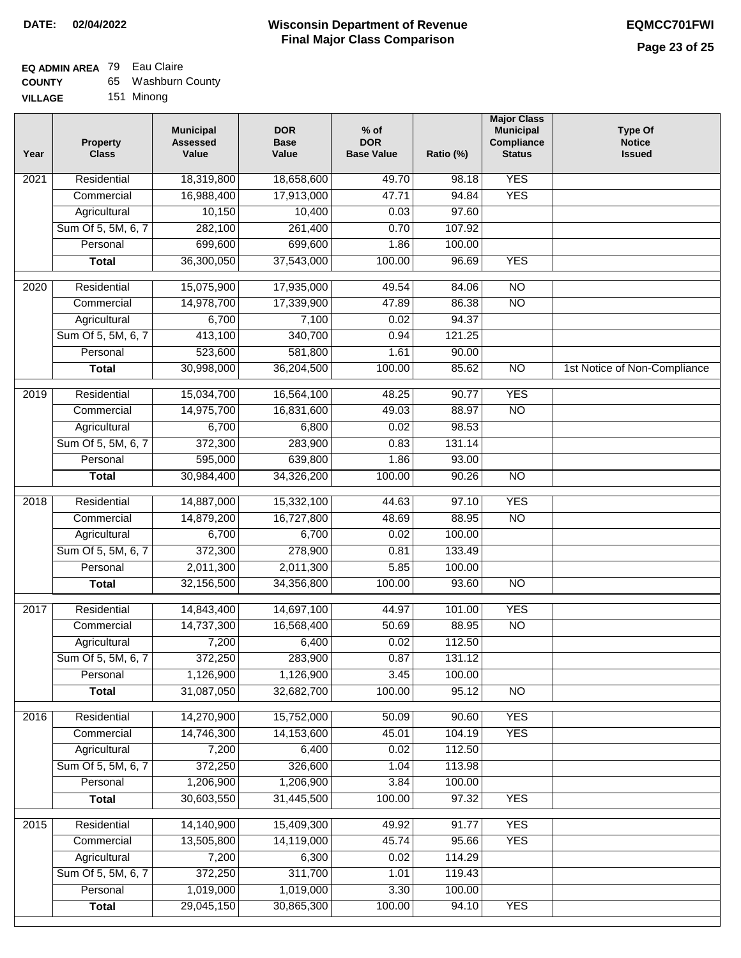## **EQ ADMIN AREA** 79 Eau Claire

| <b>COUNTY</b> |  | 65 Washburn County |  |
|---------------|--|--------------------|--|
|---------------|--|--------------------|--|

**VILLAGE** 151 Minong

| Year | <b>Property</b><br><b>Class</b> | <b>Municipal</b><br><b>Assessed</b><br>Value | <b>DOR</b><br><b>Base</b><br>Value | $%$ of<br><b>DOR</b><br><b>Base Value</b> | Ratio (%) | <b>Major Class</b><br><b>Municipal</b><br>Compliance<br><b>Status</b> | <b>Type Of</b><br><b>Notice</b><br><b>Issued</b> |
|------|---------------------------------|----------------------------------------------|------------------------------------|-------------------------------------------|-----------|-----------------------------------------------------------------------|--------------------------------------------------|
| 2021 | Residential                     | 18,319,800                                   | 18,658,600                         | 49.70                                     | 98.18     | <b>YES</b>                                                            |                                                  |
|      | Commercial                      | 16,988,400                                   | 17,913,000                         | 47.71                                     | 94.84     | <b>YES</b>                                                            |                                                  |
|      | Agricultural                    | 10,150                                       | 10,400                             | 0.03                                      | 97.60     |                                                                       |                                                  |
|      | Sum Of 5, 5M, 6, 7              | 282,100                                      | 261,400                            | 0.70                                      | 107.92    |                                                                       |                                                  |
|      | Personal                        | 699,600                                      | 699,600                            | 1.86                                      | 100.00    |                                                                       |                                                  |
|      | <b>Total</b>                    | 36,300,050                                   | 37,543,000                         | 100.00                                    | 96.69     | <b>YES</b>                                                            |                                                  |
| 2020 | Residential                     | 15,075,900                                   | 17,935,000                         | 49.54                                     | 84.06     | $\overline{NO}$                                                       |                                                  |
|      | Commercial                      | 14,978,700                                   | 17,339,900                         | 47.89                                     | 86.38     | $\overline{NO}$                                                       |                                                  |
|      | Agricultural                    | 6,700                                        | 7,100                              | 0.02                                      | 94.37     |                                                                       |                                                  |
|      | Sum Of 5, 5M, 6, 7              | 413,100                                      | 340,700                            | 0.94                                      | 121.25    |                                                                       |                                                  |
|      | Personal                        | 523,600                                      | 581,800                            | 1.61                                      | 90.00     |                                                                       |                                                  |
|      | <b>Total</b>                    | 30,998,000                                   | 36,204,500                         | 100.00                                    | 85.62     | $\overline{NO}$                                                       | 1st Notice of Non-Compliance                     |
|      |                                 |                                              |                                    |                                           |           |                                                                       |                                                  |
| 2019 | Residential                     | 15,034,700                                   | 16,564,100                         | 48.25                                     | 90.77     | <b>YES</b>                                                            |                                                  |
|      | Commercial                      | 14,975,700                                   | 16,831,600                         | 49.03                                     | 88.97     | $\overline{NO}$                                                       |                                                  |
|      | Agricultural                    | 6,700                                        | 6,800                              | 0.02                                      | 98.53     |                                                                       |                                                  |
|      | Sum Of 5, 5M, 6, 7              | 372,300                                      | 283,900                            | 0.83                                      | 131.14    |                                                                       |                                                  |
|      | Personal                        | 595,000                                      | 639,800                            | 1.86                                      | 93.00     |                                                                       |                                                  |
|      | <b>Total</b>                    | 30,984,400                                   | 34,326,200                         | 100.00                                    | 90.26     | $\overline{NO}$                                                       |                                                  |
| 2018 | Residential                     | 14,887,000                                   | 15,332,100                         | 44.63                                     | 97.10     | <b>YES</b>                                                            |                                                  |
|      | Commercial                      | 14,879,200                                   | 16,727,800                         | 48.69                                     | 88.95     | <b>NO</b>                                                             |                                                  |
|      | Agricultural                    | 6,700                                        | 6,700                              | 0.02                                      | 100.00    |                                                                       |                                                  |
|      | Sum Of 5, 5M, 6, 7              | 372,300                                      | 278,900                            | 0.81                                      | 133.49    |                                                                       |                                                  |
|      | Personal                        | 2,011,300                                    | 2,011,300                          | 5.85                                      | 100.00    |                                                                       |                                                  |
|      | <b>Total</b>                    | 32,156,500                                   | 34,356,800                         | 100.00                                    | 93.60     | <b>NO</b>                                                             |                                                  |
| 2017 | Residential                     | 14,843,400                                   | 14,697,100                         | 44.97                                     | 101.00    | <b>YES</b>                                                            |                                                  |
|      | Commercial                      | 14,737,300                                   | 16,568,400                         | 50.69                                     | 88.95     | <b>NO</b>                                                             |                                                  |
|      | Agricultural                    | 7,200                                        | 6,400                              | 0.02                                      | 112.50    |                                                                       |                                                  |
|      | Sum Of 5, 5M, 6, 7              | 372,250                                      | 283,900                            | 0.87                                      | 131.12    |                                                                       |                                                  |
|      | Personal                        | 1,126,900                                    | 1,126,900                          | 3.45                                      | 100.00    |                                                                       |                                                  |
|      | <b>Total</b>                    | 31,087,050                                   | 32,682,700                         | 100.00                                    | 95.12     | $\overline{N}$                                                        |                                                  |
| 2016 | Residential                     | 14,270,900                                   | 15,752,000                         | 50.09                                     | 90.60     | <b>YES</b>                                                            |                                                  |
|      | Commercial                      | 14,746,300                                   | 14,153,600                         | 45.01                                     | 104.19    | <b>YES</b>                                                            |                                                  |
|      | Agricultural                    | 7,200                                        | 6,400                              | 0.02                                      | 112.50    |                                                                       |                                                  |
|      | Sum Of 5, 5M, 6, 7              | 372,250                                      | 326,600                            | 1.04                                      | 113.98    |                                                                       |                                                  |
|      | Personal                        | 1,206,900                                    | 1,206,900                          | 3.84                                      | 100.00    |                                                                       |                                                  |
|      | <b>Total</b>                    | 30,603,550                                   | 31,445,500                         | 100.00                                    | 97.32     | <b>YES</b>                                                            |                                                  |
| 2015 | Residential                     | 14,140,900                                   | 15,409,300                         | 49.92                                     | 91.77     | <b>YES</b>                                                            |                                                  |
|      | Commercial                      | 13,505,800                                   | 14,119,000                         | 45.74                                     | 95.66     | <b>YES</b>                                                            |                                                  |
|      | Agricultural                    | 7,200                                        | 6,300                              | 0.02                                      | 114.29    |                                                                       |                                                  |
|      | Sum Of 5, 5M, 6, 7              | 372,250                                      | 311,700                            | 1.01                                      | 119.43    |                                                                       |                                                  |
|      | Personal                        | 1,019,000                                    | 1,019,000                          | 3.30                                      | 100.00    |                                                                       |                                                  |
|      | <b>Total</b>                    | 29,045,150                                   | 30,865,300                         | 100.00                                    | 94.10     | <b>YES</b>                                                            |                                                  |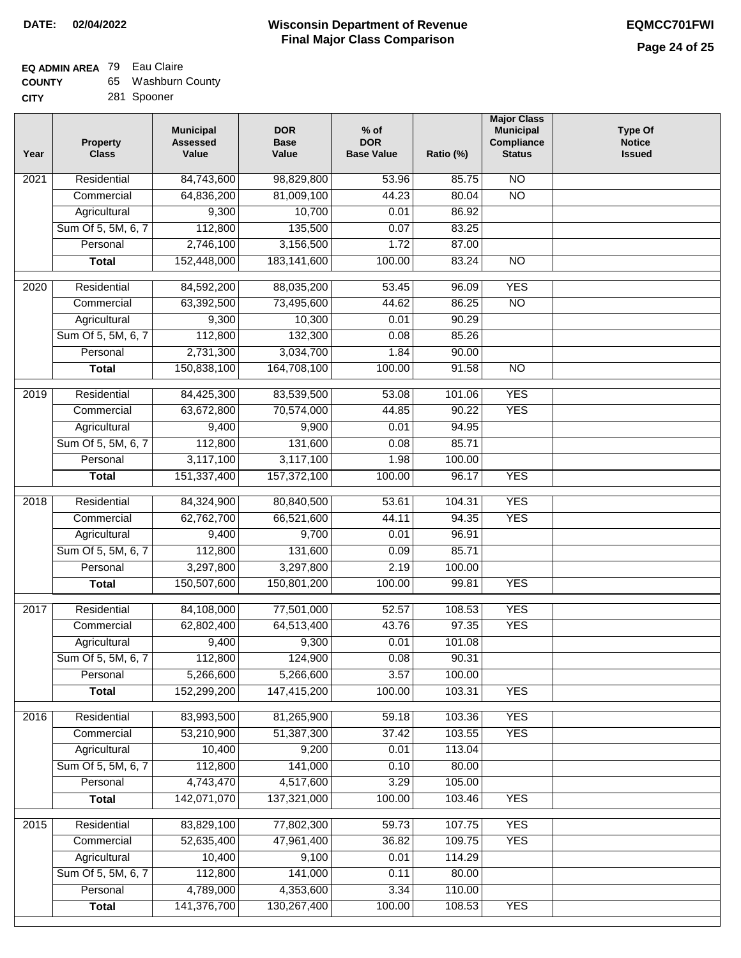## **EQ ADMIN AREA** 79 Eau Claire

| <b>COUNTY</b> | 65 Washburn County |
|---------------|--------------------|
| CITY          | 281 Spooner        |

| Year              | <b>Property</b><br><b>Class</b> | <b>Municipal</b><br><b>Assessed</b><br>Value | <b>DOR</b><br><b>Base</b><br>Value | $%$ of<br><b>DOR</b><br><b>Base Value</b> | Ratio (%)        | <b>Major Class</b><br><b>Municipal</b><br>Compliance<br><b>Status</b> | Type Of<br><b>Notice</b><br><b>Issued</b> |
|-------------------|---------------------------------|----------------------------------------------|------------------------------------|-------------------------------------------|------------------|-----------------------------------------------------------------------|-------------------------------------------|
| $\overline{202}1$ | Residential                     | 84,743,600                                   | 98,829,800                         | 53.96                                     | 85.75            | $\overline{NO}$                                                       |                                           |
|                   | Commercial                      | 64,836,200                                   | 81,009,100                         | 44.23                                     | 80.04            | $\overline{NO}$                                                       |                                           |
|                   | Agricultural                    | 9,300                                        | 10,700                             | 0.01                                      | 86.92            |                                                                       |                                           |
|                   | Sum Of 5, 5M, 6, 7              | 112,800                                      | 135,500                            | 0.07                                      | 83.25            |                                                                       |                                           |
|                   | Personal                        | 2,746,100                                    | 3,156,500                          | 1.72                                      | 87.00            |                                                                       |                                           |
|                   | <b>Total</b>                    | 152,448,000                                  | 183, 141, 600                      | 100.00                                    | 83.24            | $\overline{NO}$                                                       |                                           |
| $\overline{2020}$ | Residential                     | 84,592,200                                   | 88,035,200                         | 53.45                                     | 96.09            | <b>YES</b>                                                            |                                           |
|                   | Commercial                      | 63,392,500                                   | 73,495,600                         | 44.62                                     | 86.25            | $\overline{NO}$                                                       |                                           |
|                   | Agricultural                    | 9,300                                        | 10,300                             | 0.01                                      | 90.29            |                                                                       |                                           |
|                   | Sum Of 5, 5M, 6, 7              | 112,800                                      | 132,300                            | 0.08                                      | 85.26            |                                                                       |                                           |
|                   | Personal                        | 2,731,300                                    | 3,034,700                          | 1.84                                      | 90.00            |                                                                       |                                           |
|                   | <b>Total</b>                    | 150,838,100                                  | 164,708,100                        | 100.00                                    | 91.58            | $\overline{NO}$                                                       |                                           |
|                   |                                 | 84,425,300                                   |                                    |                                           |                  | <b>YES</b>                                                            |                                           |
| 2019              | Residential<br>Commercial       | 63,672,800                                   | 83,539,500<br>70,574,000           | 53.08<br>44.85                            | 101.06<br>90.22  | <b>YES</b>                                                            |                                           |
|                   | Agricultural                    | 9,400                                        | 9,900                              | 0.01                                      | 94.95            |                                                                       |                                           |
|                   | Sum Of 5, 5M, 6, 7              | 112,800                                      | 131,600                            | 0.08                                      | 85.71            |                                                                       |                                           |
|                   | Personal                        | 3,117,100                                    | 3,117,100                          | 1.98                                      | 100.00           |                                                                       |                                           |
|                   | <b>Total</b>                    | 151,337,400                                  | 157,372,100                        | 100.00                                    | 96.17            | <b>YES</b>                                                            |                                           |
|                   |                                 |                                              |                                    |                                           |                  |                                                                       |                                           |
| 2018              | Residential                     | 84,324,900                                   | 80,840,500                         | 53.61                                     | 104.31           | <b>YES</b>                                                            |                                           |
|                   | Commercial                      | 62,762,700                                   | 66,521,600                         | 44.11                                     | 94.35            | <b>YES</b>                                                            |                                           |
|                   | Agricultural                    | 9,400                                        | 9,700                              | 0.01                                      | 96.91            |                                                                       |                                           |
|                   | Sum Of 5, 5M, 6, 7              | 112,800                                      | 131,600                            | 0.09                                      | 85.71            |                                                                       |                                           |
|                   | Personal                        | 3,297,800                                    | 3,297,800                          | 2.19                                      | 100.00           |                                                                       |                                           |
|                   | <b>Total</b>                    | 150,507,600                                  | 150,801,200                        | 100.00                                    | 99.81            | <b>YES</b>                                                            |                                           |
| 2017              | Residential                     | 84,108,000                                   | 77,501,000                         | 52.57                                     | 108.53           | <b>YES</b>                                                            |                                           |
|                   | Commercial                      | 62,802,400                                   | 64,513,400                         | 43.76                                     | 97.35            | <b>YES</b>                                                            |                                           |
|                   | Agricultural                    | 9,400                                        | 9,300                              | 0.01                                      | 101.08           |                                                                       |                                           |
|                   | Sum Of 5, 5M, 6, 7              | 112,800                                      | 124,900                            | 0.08                                      | 90.31            |                                                                       |                                           |
|                   | Personal                        | 5,266,600                                    | 5,266,600                          | 3.57                                      | 100.00           |                                                                       |                                           |
|                   | <b>Total</b>                    | 152,299,200                                  | 147,415,200                        | 100.00                                    | 103.31           | <b>YES</b>                                                            |                                           |
| 2016              | Residential                     | 83,993,500                                   | 81,265,900                         | 59.18                                     | 103.36           | <b>YES</b>                                                            |                                           |
|                   | Commercial                      | 53,210,900                                   | 51,387,300                         | 37.42                                     | 103.55           | <b>YES</b>                                                            |                                           |
|                   | Agricultural                    | 10,400                                       | 9,200                              | 0.01                                      | 113.04           |                                                                       |                                           |
|                   | Sum Of 5, 5M, 6, 7              | 112,800                                      | 141,000                            | 0.10                                      | 80.00            |                                                                       |                                           |
|                   | Personal                        | 4,743,470                                    | 4,517,600                          | 3.29                                      | 105.00           |                                                                       |                                           |
|                   | <b>Total</b>                    | 142,071,070                                  | 137,321,000                        | 100.00                                    | 103.46           | <b>YES</b>                                                            |                                           |
|                   |                                 |                                              |                                    |                                           |                  |                                                                       |                                           |
| 2015              | Residential                     | 83,829,100                                   | 77,802,300                         | 59.73                                     | 107.75           | <b>YES</b>                                                            |                                           |
|                   | Commercial<br>Agricultural      | 52,635,400<br>10,400                         | 47,961,400<br>9,100                | 36.82<br>0.01                             | 109.75<br>114.29 | <b>YES</b>                                                            |                                           |
|                   | Sum Of 5, 5M, 6, 7              | 112,800                                      | 141,000                            | 0.11                                      | 80.00            |                                                                       |                                           |
|                   | Personal                        | 4,789,000                                    | 4,353,600                          | 3.34                                      | 110.00           |                                                                       |                                           |
|                   | <b>Total</b>                    | 141,376,700                                  | 130,267,400                        | 100.00                                    | 108.53           | <b>YES</b>                                                            |                                           |
|                   |                                 |                                              |                                    |                                           |                  |                                                                       |                                           |